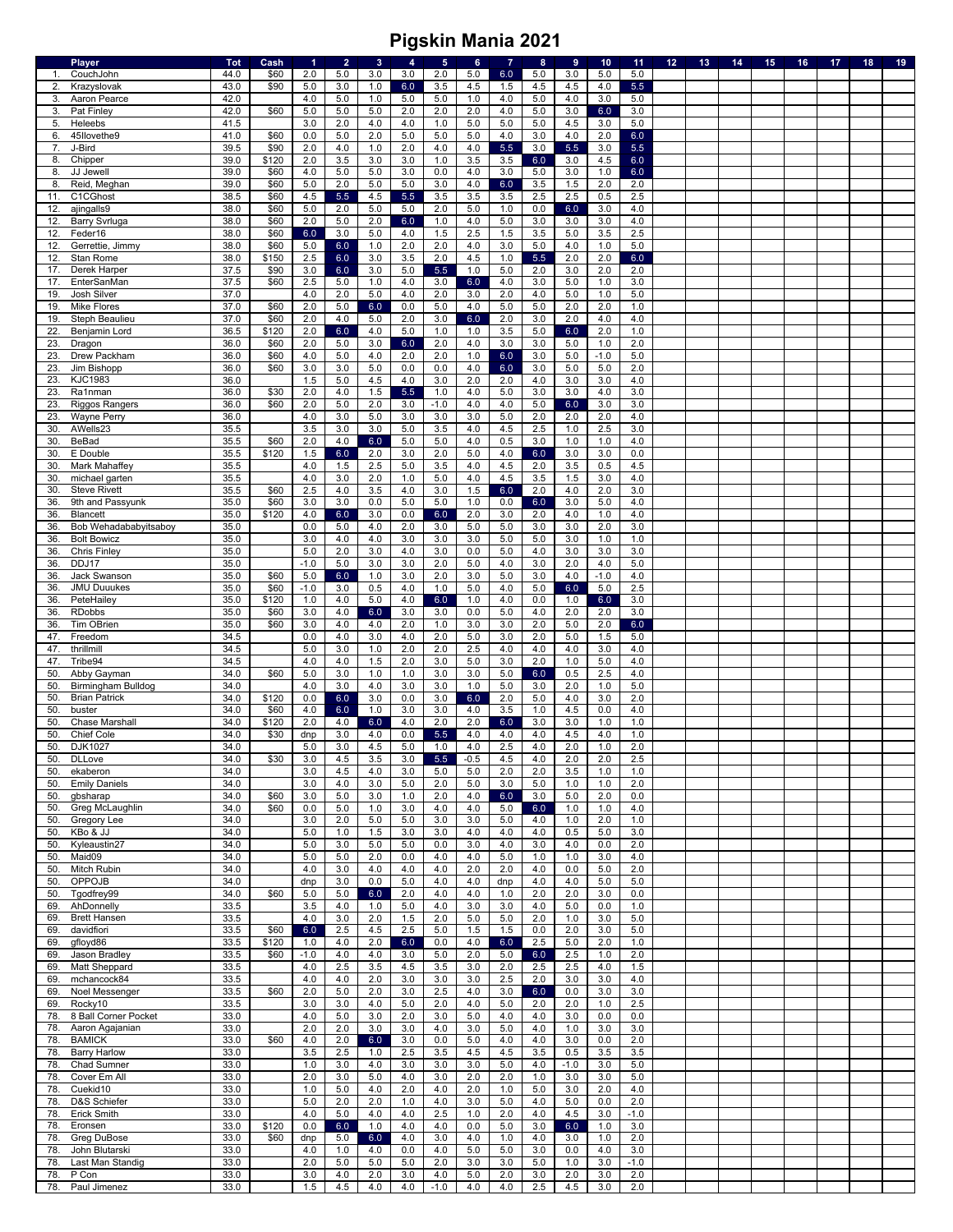|     | <b>Player</b>         | <b>Tot</b> | Cash  | 1      | $\overline{2}$ | $\mathbf{3}$ | 4     | $\sqrt{5}$ | 6          | $\overline{7}$ | $\bf8$  | 9      | 10     | 11      | 12 | 13 | 14 | 15 | 16 | 17 | 18 | 19 |
|-----|-----------------------|------------|-------|--------|----------------|--------------|-------|------------|------------|----------------|---------|--------|--------|---------|----|----|----|----|----|----|----|----|
| 1.  | CouchJohn             | 44.0       | \$60  | 2.0    | 5.0            | 3.0          | 3.0   | 2.0        | 5.0        | 6.0            | 5.0     | 3.0    | 5.0    | 5.0     |    |    |    |    |    |    |    |    |
| 2.  | Krazyslovak           | 43.0       | \$90  | 5.0    | 3.0            | 1.0          | 6.0   | 3.5        | 4.5        | 1.5            | 4.5     | 4.5    | 4.0    | 5.5     |    |    |    |    |    |    |    |    |
| 3.  | Aaron Pearce          | 42.0       |       | 4.0    | 5.0            | 1.0          | 5.0   | 5.0        | 1.0        | 4.0            | 5.0     | 4.0    | 3.0    | 5.0     |    |    |    |    |    |    |    |    |
| 3.  | Pat Finley            | 42.0       | \$60  | 5.0    | 5.0            | 5.0          | 2.0   | 2.0        | 2.0        | 4.0            | 5.0     | 3.0    | 6.0    | 3.0     |    |    |    |    |    |    |    |    |
| 5.  | Heleebs               | 41.5       |       | 3.0    | 2.0            | 4.0          | 4.0   | 1.0        | 5.0        | 5.0            | $5.0$   | 4.5    | 3.0    | $5.0\,$ |    |    |    |    |    |    |    |    |
| 6.  | 45Ilovethe9           | 41.0       | \$60  | 0.0    | 5.0            | 2.0          | 5.0   | 5.0        | 5.0        | 4.0            | 3.0     | 4.0    | 2.0    | 6.0     |    |    |    |    |    |    |    |    |
| 7.  | J-Bird                | 39.5       | \$90  | 2.0    | 4.0            | 1.0          | 2.0   | 4.0        | 4.0        | $5.5\,$        | 3.0     | 5.5    | 3.0    | 5.5     |    |    |    |    |    |    |    |    |
| 8.  | Chipper               | 39.0       | \$120 | 2.0    | 3.5            | 3.0          | 3.0   | 1.0        | 3.5        | 3.5            | $6.0\,$ | 3.0    | 4.5    | 6.0     |    |    |    |    |    |    |    |    |
| 8.  | JJ Jewell             | 39.0       | \$60  | 4.0    | 5.0            | 5.0          | 3.0   | 0.0        | 4.0        | 3.0            | 5.0     | 3.0    | 1.0    | 6.0     |    |    |    |    |    |    |    |    |
| 8   | Reid, Meghan          | 39.0       | \$60  | 5.0    | 2.0            | 5.0          | 5.0   | 3.0        | 4.0        | 6.0            | 3.5     | 1.5    | 2.0    | 2.0     |    |    |    |    |    |    |    |    |
| 11. | C1CGhost              | 38.5       | \$60  | 4.5    | 5.5            | 4.5          | $5.5$ | 3.5        | 3.5        | 3.5            | 2.5     | 2.5    | 0.5    | 2.5     |    |    |    |    |    |    |    |    |
| 12. |                       | 38.0       | \$60  | 5.0    | 2.0            | 5.0          | $5.0$ | 2.0        | 5.0        | 1.0            | 0.0     | 6.0    | 3.0    | 4.0     |    |    |    |    |    |    |    |    |
|     | ajingalls9            |            |       |        |                |              |       |            |            |                |         |        |        |         |    |    |    |    |    |    |    |    |
| 12. | <b>Barry Svrluga</b>  | 38.0       | \$60  | 2.0    | 5.0            | 2.0          | 6.0   | 1.0        | 4.0        | 5.0            | 3.0     | 3.0    | 3.0    | 4.0     |    |    |    |    |    |    |    |    |
| 12  | Feder16               | 38.0       | \$60  | 6.0    | 3.0            | 5.0          | 4.0   | 1.5        | 2.5        | 1.5            | 3.5     | 5.0    | 3.5    | 2.5     |    |    |    |    |    |    |    |    |
| 12  | Gerrettie, Jimmv      | 38.0       | \$60  | 5.0    | 6.0            | 1.0          | 2.0   | 2.0        | 4.0        | 3.0            | $5.0$   | 4.0    | 1.0    | 5.0     |    |    |    |    |    |    |    |    |
| 12. | Stan Rome             | 38.0       | \$150 | 2.5    | 6.0            | 3.0          | 3.5   | 2.0        | 4.5        | 1.0            | 5.5     | 2.0    | 2.0    | 6.0     |    |    |    |    |    |    |    |    |
| 17. | Derek Harper          | 37.5       | \$90  | 3.0    | 6.0            | 3.0          | 5.0   | 5.5        | 1.0        | $5.0\,$        | 2.0     | 3.0    | 2.0    | 2.0     |    |    |    |    |    |    |    |    |
| 17  | EnterSanMan           | 37.5       | \$60  | 2.5    | 5.0            | 1.0          | 4.0   | 3.0        | 6.0        | 4.0            | 3.0     | 5.0    | 1.0    | 3.0     |    |    |    |    |    |    |    |    |
| 19. | Josh Silver           | 37.0       |       | 4.0    | 2.0            | $5.0\,$      | 4.0   | 2.0        | 3.0        | 2.0            | 4.0     | 5.0    | 1.0    | 5.0     |    |    |    |    |    |    |    |    |
| 19. | <b>Mike Flores</b>    | 37.0       | \$60  | 2.0    | 5.0            | 6.0          | 0.0   | 5.0        | 4.0        | $5.0\,$        | 5.0     | 2.0    | 2.0    | 1.0     |    |    |    |    |    |    |    |    |
| 19  | Steph Beaulieu        | 37.0       | \$60  | 2.0    | 4.0            | 5.0          | 2.0   | 3.0        | 6.0        | 2.0            | 3.0     | 2.0    | 4.0    | 4.0     |    |    |    |    |    |    |    |    |
| 22  | Benjamin Lord         | 36.5       | \$120 | 2.0    | 6.0            | 4.0          | $5.0$ | 1.0        | 1.0        | 3.5            | 5.0     | 6.0    | 2.0    | 1.0     |    |    |    |    |    |    |    |    |
| 23. | Dragon                | 36.0       | \$60  | 2.0    | 5.0            | 3.0          | 6.0   | 2.0        | 4.0        | 3.0            | 3.0     | 5.0    | 1.0    | 2.0     |    |    |    |    |    |    |    |    |
| 23  | Drew Packham          | 36.0       | \$60  | 4.0    | $5.0$          | 4.0          | 2.0   | 2.0        | 1.0        | 6.0            | 3.0     | 5.0    | $-1.0$ | 5.0     |    |    |    |    |    |    |    |    |
| 23. | Jim Bishopp           | 36.0       | \$60  | 3.0    | 3.0            | 5.0          | 0.0   | 0.0        | 4.0        | 6.0            | 3.0     | 5.0    | 5.0    | 2.0     |    |    |    |    |    |    |    |    |
| 23. | <b>KJC1983</b>        | 36.0       |       | 1.5    | 5.0            | 4.5          | 4.0   | 3.0        | 2.0        | 2.0            | 4.0     | 3.0    | 3.0    | 4.0     |    |    |    |    |    |    |    |    |
| 23  | Ra1nman               | 36.0       | \$30  | 2.0    | 4.0            | 1.5          | 5.5   | 1.0        | 4.0        | 5.0            | 3.0     | 3.0    | 4.0    | 3.0     |    |    |    |    |    |    |    |    |
| 23  | <b>Riggos Rangers</b> | 36.0       | \$60  | 2.0    | 5.0            | 2.0          | 3.0   | $-1.0$     | 4.0        | 4.0            | $5.0$   | 6.0    | 3.0    | 3.0     |    |    |    |    |    |    |    |    |
| 23  | Wayne Perry           | 36.0       |       | 4.0    | 3.0            | 5.0          | 3.0   | 3.0        | 3.0        | $5.0\,$        | 2.0     | 2.0    | 2.0    | 4.0     |    |    |    |    |    |    |    |    |
| 30. | AWells23              | 35.5       |       | 3.5    | 3.0            | 3.0          | 5.0   | 3.5        | 4.0        | 4.5            | 2.5     | 1.0    | 2.5    | 3.0     |    |    |    |    |    |    |    |    |
| 30  | <b>BeBad</b>          | 35.5       | \$60  | 2.0    | 4.0            | 6.0          | 5.0   | 5.0        | 4.0        | 0.5            | 3.0     | 1.0    | 1.0    | 4.0     |    |    |    |    |    |    |    |    |
| 30. | E Double              | 35.5       | \$120 | 1.5    | 6.0            | 2.0          | 3.0   | 2.0        | 5.0        | 4.0            | 6.0     | 3.0    | 3.0    | 0.0     |    |    |    |    |    |    |    |    |
| 30  | Mark Mahaffey         | 35.5       |       | 4.0    | 1.5            | 2.5          | 5.0   | 3.5        | 4.0        | 4.5            | 2.0     | 3.5    | 0.5    | 4.5     |    |    |    |    |    |    |    |    |
|     |                       |            |       |        |                |              |       |            |            |                |         |        |        |         |    |    |    |    |    |    |    |    |
| 30  | michael garten        | 35.5       |       | 4.0    | 3.0            | 2.0          | 1.0   | $5.0\,$    | 4.0        | 4.5            | 3.5     | 1.5    | 3.0    | 4.0     |    |    |    |    |    |    |    |    |
| 30  | <b>Steve Rivett</b>   | 35.5       | \$60  | 2.5    | 4.0            | 3.5          | 4.0   | 3.0        | 1.5        | 6.0            | 2.0     | 4.0    | 2.0    | 3.0     |    |    |    |    |    |    |    |    |
| 36  | 9th and Passyunk      | 35.0       | \$60  | 3.0    | 3.0            | 0.0          | 5.0   | 5.0        | 1.0        | 0.0            | 6.0     | 3.0    | 5.0    | 4.0     |    |    |    |    |    |    |    |    |
| 36  | <b>Blancett</b>       | 35.0       | \$120 | 4.0    | 6.0            | 3.0          | 0.0   | 6.0        | 2.0        | 3.0            | 2.0     | 4.0    | 1.0    | 4.0     |    |    |    |    |    |    |    |    |
| 36. | Bob Wehadababyitsaboy | 35.0       |       | 0.0    | 5.0            | 4.0          | 2.0   | 3.0        | 5.0        | 5.0            | 3.0     | 3.0    | 2.0    | 3.0     |    |    |    |    |    |    |    |    |
| 36  | <b>Bolt Bowicz</b>    | 35.0       |       | 3.0    | 4.0            | 4.0          | 3.0   | 3.0        | 3.0        | 5.0            | 5.0     | 3.0    | 1.0    | 1.0     |    |    |    |    |    |    |    |    |
| 36  | <b>Chris Finley</b>   | 35.0       |       | 5.0    | 2.0            | 3.0          | 4.0   | 3.0        | 0.0        | $5.0\,$        | $4.0$   | 3.0    | 3.0    | 3.0     |    |    |    |    |    |    |    |    |
| 36. | DDJ17                 | 35.0       |       | $-1.0$ | 5.0            | 3.0          | 3.0   | 2.0        | 5.0        | 4.0            | 3.0     | 2.0    | 4.0    | 5.0     |    |    |    |    |    |    |    |    |
| 36  | Jack Swanson          | 35.0       | \$60  | 5.0    | 6.0            | 1.0          | 3.0   | 2.0        | 3.0        | 5.0            | 3.0     | 4.0    | $-1.0$ | 4.0     |    |    |    |    |    |    |    |    |
| 36  | <b>JMU Duuukes</b>    | 35.0       | \$60  | $-1.0$ | 3.0            | 0.5          | 4.0   | 1.0        | 5.0        | 4.0            | 5.0     | 6.0    | 5.0    | 2.5     |    |    |    |    |    |    |    |    |
| 36. | PeteHailey            | 35.0       | \$120 | 1.0    | 4.0            | 5.0          | 4.0   | 6.0        | 1.0        | 4.0            | 0.0     | 1.0    | 6.0    | 3.0     |    |    |    |    |    |    |    |    |
| 36. | <b>RDobbs</b>         | 35.0       | \$60  | 3.0    | 4.0            | 6.0          | 3.0   | 3.0        | 0.0        | $5.0\,$        | 4.0     | 2.0    | 2.0    | 3.0     |    |    |    |    |    |    |    |    |
| 36  | Tim OBrien            | 35.0       | \$60  | 3.0    | 4.0            | 4.0          | 2.0   | 1.0        | 3.0        | 3.0            | 2.0     | 5.0    | 2.0    | 6.0     |    |    |    |    |    |    |    |    |
| 47  | Freedom               | 34.5       |       | 0.0    | 4.0            | 3.0          | 4.0   | 2.0        | 5.0        | 3.0            | 2.0     | 5.0    | 1.5    | 5.0     |    |    |    |    |    |    |    |    |
| 47. | thrillmill            | 34.5       |       | 5.0    | 3.0            | 1.0          | 2.0   | 2.0        | 2.5        | 4.0            | 4.0     | 4.0    | 3.0    | 4.0     |    |    |    |    |    |    |    |    |
| 47  | Tribe94               | 34.5       |       | 4.0    | 4.0            | 1.5          | 2.0   | 3.0        | 5.0        | 3.0            | 2.0     | 1.0    | 5.0    | 4.0     |    |    |    |    |    |    |    |    |
| 50  | Abby Gayman           | 34.0       | \$60  | 5.0    | 3.0            | 1.0          | 1.0   | 3.0        | 3.0        | 5.0            | 6.0     | 0.5    | 2.5    | 4.0     |    |    |    |    |    |    |    |    |
| 50. | Birmingham Bulldog    | 34.0       |       | 4.0    | 3.0            | 4.0          | 3.0   | 3.0        | 1.0        | 5.0            | 3.0     | 2.0    | 1.0    | 5.0     |    |    |    |    |    |    |    |    |
| 50  | <b>Brian Patrick</b>  | 34.0       | \$120 |        |                |              |       |            |            |                |         |        |        |         |    |    |    |    |    |    |    |    |
|     |                       |            |       | 0.0    | 6.0            | 3.0          | 0.0   | 3.0        | 6.0        | 2.0            | $5.0$   | 4.0    | 3.0    | 2.0     |    |    |    |    |    |    |    |    |
| 50  | buster                | 34.0       | \$60  | 4.0    | 6.0            | 1.0          | 3.0   | 3.0        | 4.0<br>2.0 | $3.5\,$        | 1.0     | 4.5    | 0.0    | 4.0     |    |    |    |    |    |    |    |    |
| 50  | Chase Marshall        | 34.0       | \$120 | 2.0    | 4.0            | 6.0          | 4.0   | 2.0        |            | 6.0            | 3.0     | 3.0    | 1.0    | 1.0     |    |    |    |    |    |    |    |    |
| 50  | <b>Chief Cole</b>     | 34.0       | \$30  | dnp    | 3.0            | 4.0          | 0.0   | 5.5        | 4.0        | 4.0            | 4.0     | 4.5    | 4.0    | 1.0     |    |    |    |    |    |    |    |    |
| 50. | DJK1027               | 34.0       |       | 5.0    | 3.0            | 4.5          | 5.0   | 1.0        | 4.0        | 2.5            | 4.0     | 2.0    | 1.0    | 2.0     |    |    |    |    |    |    |    |    |
| 50. | <b>DLLove</b>         | 34.0       | \$30  | 3.0    | 4.5            | 3.5          | 3.0   | 5.5        | $-0.5$     | 4.5            | 4.0     | 2.0    | 2.0    | 2.5     |    |    |    |    |    |    |    |    |
| 50. | ekaberon              | 34.0       |       | 3.0    | 4.5            | 4.0          | 3.0   | 5.0        | 5.0        | 2.0            | 2.0     | 3.5    | 1.0    | 1.0     |    |    |    |    |    |    |    |    |
| 50. | <b>Emily Daniels</b>  | 34.0       |       | 3.0    | 4.0            | 3.0          | 5.0   | 2.0        | 5.0        | 3.0            | 5.0     | 1.0    | 1.0    | 2.0     |    |    |    |    |    |    |    |    |
| 50. | gbsharap              | 34.0       | \$60  | 3.0    | 5.0            | 3.0          | 1.0   | 2.0        | 4.0        | 6.0            | 3.0     | 5.0    | 2.0    | 0.0     |    |    |    |    |    |    |    |    |
| 50. | Greg McLaughlin       | 34.0       | \$60  | 0.0    | 5.0            | 1.0          | 3.0   | 4.0        | 4.0        | 5.0            | 6.0     | 1.0    | 1.0    | 4.0     |    |    |    |    |    |    |    |    |
| 50. | Gregory Lee           | 34.0       |       | 3.0    | 2.0            | $5.0\,$      | 5.0   | 3.0        | 3.0        | 5.0            | 4.0     | 1.0    | 2.0    | 1.0     |    |    |    |    |    |    |    |    |
| 50. | KBo & JJ              | 34.0       |       | 5.0    | 1.0            | 1.5          | 3.0   | 3.0        | 4.0        | 4.0            | 4.0     | 0.5    | 5.0    | 3.0     |    |    |    |    |    |    |    |    |
| 50. | Kyleaustin27          | 34.0       |       | 5.0    | 3.0            | $5.0\,$      | 5.0   | 0.0        | 3.0        | 4.0            | 3.0     | 4.0    | 0.0    | 2.0     |    |    |    |    |    |    |    |    |
| 50. | Maid09                | 34.0       |       | 5.0    | 5.0            | 2.0          | 0.0   | 4.0        | 4.0        | $5.0$          | 1.0     | 1.0    | 3.0    | 4.0     |    |    |    |    |    |    |    |    |
| 50. | Mitch Rubin           | 34.0       |       | 4.0    | 3.0            | 4.0          | 4.0   | 4.0        | 2.0        | 2.0            | 4.0     | 0.0    | 5.0    | 2.0     |    |    |    |    |    |    |    |    |
| 50. | OPPOJB                | 34.0       |       | dnp    | 3.0            | 0.0          | 5.0   | 4.0        | 4.0        | dnp            | 4.0     | 4.0    | 5.0    | 5.0     |    |    |    |    |    |    |    |    |
| 50. | Tgodfrey99            | 34.0       | \$60  | 5.0    | 5.0            | 6.0          | 2.0   | 4.0        | 4.0        | 1.0            | 2.0     | 2.0    | 3.0    | 0.0     |    |    |    |    |    |    |    |    |
| 69. | AhDonnelly            | 33.5       |       | 3.5    | 4.0            | 1.0          | 5.0   | 4.0        | 3.0        | 3.0            | $4.0$   | 5.0    | 0.0    | 1.0     |    |    |    |    |    |    |    |    |
| 69. | <b>Brett Hansen</b>   | 33.5       |       | 4.0    | 3.0            | 2.0          | 1.5   | 2.0        | 5.0        | $5.0\,$        | 2.0     | 1.0    | 3.0    | 5.0     |    |    |    |    |    |    |    |    |
| 69. | davidfiori            | 33.5       | \$60  | 6.0    | 2.5            | 4.5          | 2.5   | 5.0        | 1.5        | 1.5            | 0.0     | 2.0    | 3.0    | 5.0     |    |    |    |    |    |    |    |    |
| 69. | gfloyd86              | 33.5       | \$120 | 1.0    | 4.0            | 2.0          | 6.0   | 0.0        | 4.0        | 6.0            | 2.5     | 5.0    | 2.0    | 1.0     |    |    |    |    |    |    |    |    |
| 69. | Jason Bradley         | 33.5       | \$60  | $-1.0$ | 4.0            | 4.0          | 3.0   | 5.0        | 2.0        | $5.0\,$        | 6.0     | 2.5    | 1.0    | 2.0     |    |    |    |    |    |    |    |    |
| 69. | Matt Sheppard         | 33.5       |       | 4.0    | 2.5            | 3.5          | 4.5   | 3.5        | 3.0        | 2.0            | 2.5     | 2.5    | 4.0    | 1.5     |    |    |    |    |    |    |    |    |
| 69. | mchancock84           | 33.5       |       | 4.0    | 4.0            | 2.0          | 3.0   | 3.0        | 3.0        | 2.5            | 2.0     | 3.0    | 3.0    | 4.0     |    |    |    |    |    |    |    |    |
| 69. | Noel Messenger        | 33.5       | \$60  | 2.0    | $5.0$          | 2.0          | 3.0   | 2.5        | 4.0        | 3.0            | 6.0     | 0.0    | 3.0    | 3.0     |    |    |    |    |    |    |    |    |
| 69. | Rocky10               | 33.5       |       | 3.0    | 3.0            | 4.0          | 5.0   | 2.0        | 4.0        | 5.0            | 2.0     | 2.0    | 1.0    | 2.5     |    |    |    |    |    |    |    |    |
| 78. | 8 Ball Corner Pocket  | 33.0       |       | 4.0    | 5.0            | 3.0          | 2.0   | 3.0        | 5.0        | 4.0            | 4.0     | 3.0    | 0.0    | 0.0     |    |    |    |    |    |    |    |    |
| 78. | Aaron Agajanian       | 33.0       |       | 2.0    | 2.0            | 3.0          | 3.0   | 4.0        | 3.0        | $5.0\,$        | 4.0     | 1.0    | 3.0    | 3.0     |    |    |    |    |    |    |    |    |
|     |                       |            |       |        |                |              |       |            |            |                |         |        |        |         |    |    |    |    |    |    |    |    |
| 78. | <b>BAMICK</b>         | 33.0       | \$60  | 4.0    | 2.0            | 6.0          | 3.0   | 0.0        | 5.0        | 4.0            | 4.0     | 3.0    | 0.0    | 2.0     |    |    |    |    |    |    |    |    |
| 78. | <b>Barry Harlow</b>   | 33.0       |       | 3.5    | 2.5            | 1.0          | 2.5   | 3.5        | 4.5        | 4.5            | 3.5     | 0.5    | 3.5    | 3.5     |    |    |    |    |    |    |    |    |
| 78. | Chad Sumner           | 33.0       |       | 1.0    | 3.0            | 4.0          | 3.0   | 3.0        | 3.0        | $5.0\,$        | $4.0$   | $-1.0$ | 3.0    | 5.0     |    |    |    |    |    |    |    |    |
| 78. | Cover Em All          | 33.0       |       | 2.0    | 3.0            | 5.0          | 4.0   | 3.0        | 2.0        | 2.0            | 1.0     | 3.0    | 3.0    | 5.0     |    |    |    |    |    |    |    |    |
| 78. | Cuekid10              | 33.0       |       | 1.0    | 5.0            | 4.0          | 2.0   | 4.0        | 2.0        | 1.0            | 5.0     | 3.0    | 2.0    | 4.0     |    |    |    |    |    |    |    |    |
| 78  | D&S Schiefer          | 33.0       |       | 5.0    | 2.0            | 2.0          | 1.0   | 4.0        | 3.0        | 5.0            | 4.0     | 5.0    | 0.0    | 2.0     |    |    |    |    |    |    |    |    |
| 78. | Erick Smith           | 33.0       |       | 4.0    | 5.0            | 4.0          | 4.0   | $2.5\,$    | 1.0        | 2.0            | 4.0     | 4.5    | 3.0    | $-1.0$  |    |    |    |    |    |    |    |    |
| 78. | Eronsen               | 33.0       | \$120 | 0.0    | 6.0            | 1.0          | 4.0   | 4.0        | 0.0        | $5.0\,$        | 3.0     | 6.0    | 1.0    | 3.0     |    |    |    |    |    |    |    |    |
| 78. | <b>Greg DuBose</b>    | 33.0       | \$60  | dnp    | 5.0            | 6.0          | 4.0   | 3.0        | 4.0        | 1.0            | 4.0     | 3.0    | 1.0    | 2.0     |    |    |    |    |    |    |    |    |
| 78. | John Blutarski        | 33.0       |       | 4.0    | 1.0            | 4.0          | 0.0   | 4.0        | 5.0        | 5.0            | 3.0     | 0.0    | 4.0    | 3.0     |    |    |    |    |    |    |    |    |
| 78. | Last Man Standig      | 33.0       |       | 2.0    | 5.0            | 5.0          | 5.0   | 2.0        | 3.0        | $3.0\,$        | $5.0$   | 1.0    | 3.0    | $-1.0$  |    |    |    |    |    |    |    |    |
|     | P Con                 | 33.0       |       | 3.0    | 4.0            | 2.0          | 3.0   | 4.0        | 5.0        | 2.0            | 3.0     | 2.0    | 3.0    | 2.0     |    |    |    |    |    |    |    |    |
| 78. |                       |            |       |        | 4.5            | 4.0          | 4.0   | $-1.0$     |            | 4.0            | 2.5     | 4.5    | 3.0    | 2.0     |    |    |    |    |    |    |    |    |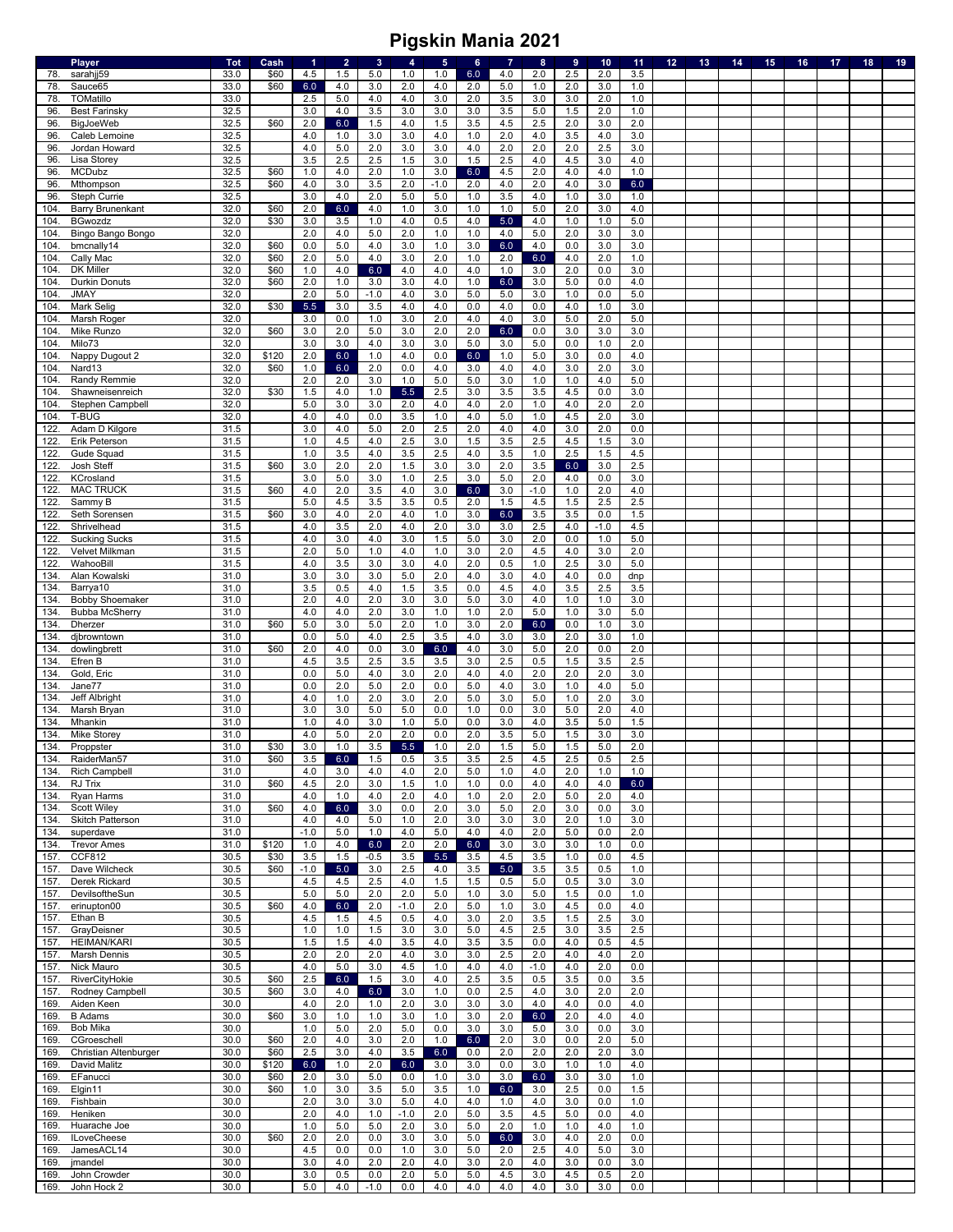|              | <b>Player</b>                     | <b>Tot</b>   | Cash         | 1             | $\overline{2}$ | 3          | 4          | $\sqrt{5}$   | 6          | $\overline{7}$ | 8                | 9          | 10         | 11         | 12 <sub>2</sub> | 13 | 14 | 15 | 16 | 17 | 18 | 19 |
|--------------|-----------------------------------|--------------|--------------|---------------|----------------|------------|------------|--------------|------------|----------------|------------------|------------|------------|------------|-----------------|----|----|----|----|----|----|----|
| 78.          | sarahjj59                         | 33.0         | \$60         | 4.5           | 1.5            | 5.0        | 1.0        | 1.0          | 6.0        | 4.0            | 2.0              | 2.5        | 2.0        | 3.5        |                 |    |    |    |    |    |    |    |
| 78           | Sauce65                           | 33.0         | \$60         | 6.0           | 4.0            | 3.0        | 2.0        | 4.0          | 2.0        | $5.0\,$        | 1.0              | 2.0        | 3.0        | $1.0$      |                 |    |    |    |    |    |    |    |
| 78           | TOMatillo                         | 33.0         |              | 2.5           | 5.0            | 4.0        | 4.0        | 3.0          | 2.0        | 3.5            | 3.0              | 3.0        | 2.0        | 1.0        |                 |    |    |    |    |    |    |    |
| 96<br>96.    | <b>Best Farinsky</b>              | 32.5<br>32.5 | \$60         | 3.0<br>2.0    | 4.0<br>6.0     | 3.5<br>1.5 | 3.0<br>4.0 | 3.0<br>1.5   | 3.0<br>3.5 | 3.5<br>4.5     | 5.0<br>2.5       | 1.5<br>2.0 | 2.0<br>3.0 | 1.0<br>2.0 |                 |    |    |    |    |    |    |    |
| 96.          | <b>BigJoeWeb</b><br>Caleb Lemoine | 32.5         |              | 4.0           | 1.0            | 3.0        | 3.0        | 4.0          | 1.0        | 2.0            | 4.0              | 3.5        | 4.0        | 3.0        |                 |    |    |    |    |    |    |    |
| 96           | Jordan Howard                     | 32.5         |              | 4.0           | 5.0            | 2.0        | 3.0        | 3.0          | 4.0        | 2.0            | 2.0              | 2.0        | 2.5        | 3.0        |                 |    |    |    |    |    |    |    |
| 96           | Lisa Storey                       | 32.5         |              | 3.5           | 2.5            | $2.5\,$    | 1.5        | 3.0          | 1.5        | $2.5\,$        | $4.0$            | 4.5        | 3.0        | 4.0        |                 |    |    |    |    |    |    |    |
| 96.          | <b>MCDubz</b>                     | 32.5         | \$60         | 1.0           | 4.0            | 2.0        | 1.0        | 3.0          | 6.0        | 4.5            | 2.0              | 4.0        | 4.0        | 1.0        |                 |    |    |    |    |    |    |    |
| 96           | Mthompson                         | 32.5         | \$60         | 4.0           | 3.0            | 3.5        | 2.0        | $-1.0$       | 2.0        | 4.0            | 2.0              | 4.0        | 3.0        | 6.0        |                 |    |    |    |    |    |    |    |
| 96           | Steph Currie                      | 32.5         |              | 3.0           | 4.0            | 2.0        | 5.0        | 5.0          | 1.0        | 3.5            | 4.0              | 1.0        | 3.0        | 1.0        |                 |    |    |    |    |    |    |    |
| 104          | <b>Barry Brunenkant</b>           | 32.0         | \$60         | 2.0           | 6.0            | 4.0        | 1.0        | 3.0          | 1.0        | 1.0            | $5.0\,$          | 2.0        | 3.0        | 4.0        |                 |    |    |    |    |    |    |    |
| 104          | <b>BGwozdz</b>                    | 32.0         | \$30         | 3.0           | 3.5            | $1.0$      | 4.0        | 0.5          | 4.0        | 5.0            | 4.0              | 1.0        | 1.0        | 5.0        |                 |    |    |    |    |    |    |    |
| 104          | Bingo Bango Bongo                 | 32.0         |              | 2.0           | 4.0            | 5.0        | 2.0        | 1.0          | 1.0        | 4.0            | 5.0              | 2.0        | 3.0        | 3.0        |                 |    |    |    |    |    |    |    |
| 104          | bmcnally14                        | 32.0         | \$60         | 0.0           | 5.0            | 4.0<br>4.0 | 3.0        | 1.0          | 3.0        | 6.0            | 4.0              | 0.0        | 3.0        | 3.0        |                 |    |    |    |    |    |    |    |
| 104<br>104   | Cally Mac<br>DK Miller            | 32.0<br>32.0 | \$60<br>\$60 | 2.0<br>1.0    | 5.0<br>4.0     | 6.0        | 3.0<br>4.0 | 2.0<br>4.0   | 1.0<br>4.0 | 2.0<br>1.0     | 6.0<br>3.0       | 4.0<br>2.0 | 2.0<br>0.0 | 1.0<br>3.0 |                 |    |    |    |    |    |    |    |
| 104          | <b>Durkin Donuts</b>              | 32.0         | \$60         | 2.0           | 1.0            | 3.0        | 3.0        | 4.0          | 1.0        | 6.0            | 3.0              | 5.0        | 0.0        | 4.0        |                 |    |    |    |    |    |    |    |
| 104          | <b>JMAY</b>                       | 32.0         |              | 2.0           | 5.0            | $-1.0$     | 4.0        | 3.0          | 5.0        | $5.0\,$        | 3.0              | 1.0        | 0.0        | 5.0        |                 |    |    |    |    |    |    |    |
| 104          | Mark Selig                        | 32.0         | \$30         | $5.5$         | 3.0            | 3.5        | 4.0        | 4.0          | 0.0        | 4.0            | 0.0              | 4.0        | 1.0        | 3.0        |                 |    |    |    |    |    |    |    |
| 104          | Marsh Roger                       | 32.0         |              | 3.0           | 0.0            | $1.0$      | 3.0        | 2.0          | 4.0        | $4.0\,$        | 3.0              | 5.0        | 2.0        | 5.0        |                 |    |    |    |    |    |    |    |
| 104          | Mike Runzo                        | 32.0         | \$60         | 3.0           | 2.0            | 5.0        | 3.0        | 2.0          | 2.0        | 6.0            | 0.0              | 3.0        | 3.0        | 3.0        |                 |    |    |    |    |    |    |    |
| 104          | Milo73                            | 32.0         |              | 3.0           | 3.0            | 4.0        | 3.0        | 3.0          | 5.0        | 3.0            | $5.0$            | 0.0        | 1.0        | 2.0        |                 |    |    |    |    |    |    |    |
| 104          | Nappy Dugout 2                    | 32.0         | \$120        | 2.0           | 6.0            | 1.0        | 4.0        | 0.0          | 6.0        | 1.0            | 5.0              | 3.0        | 0.0        | 4.0        |                 |    |    |    |    |    |    |    |
| 104          | Nard <sub>13</sub>                | 32.0         | \$60         | 1.0           | 6.0            | 2.0        | 0.0        | 4.0          | 3.0        | 4.0            | 4.0              | 3.0        | 2.0        | 3.0        |                 |    |    |    |    |    |    |    |
| 104.         | Randy Remmie                      | 32.0         |              | 2.0           | 2.0            | 3.0        | 1.0        | 5.0          | 5.0        | 3.0            | 1.0              | 1.0        | 4.0        | 5.0        |                 |    |    |    |    |    |    |    |
| 104.         | Shawneisenreich                   | 32.0         | \$30         | 1.5           | 4.0            | 1.0        | 5.5        | 2.5          | 3.0        | 3.5            | 3.5              | 4.5        | 0.0        | 3.0        |                 |    |    |    |    |    |    |    |
| 104          | Stephen Campbell                  | 32.0         |              | 5.0           | 3.0            | 3.0        | 2.0        | 4.0          | 4.0        | 2.0            | 1.0              | 4.0        | 2.0        | 2.0        |                 |    |    |    |    |    |    |    |
| 104          | T-BUG                             | 32.0         |              | 4.0           | 4.0            | 0.0        | 3.5        | 1.0          | 4.0        | $5.0\,$        | 1.0              | 4.5        | 2.0        | 3.0        |                 |    |    |    |    |    |    |    |
| 122.         | Adam D Kilgore                    | 31.5         |              | 3.0           | 4.0            | 5.0        | 2.0        | 2.5          | 2.0        | 4.0            | 4.0              | 3.0        | 2.0        | 0.0        |                 |    |    |    |    |    |    |    |
| 122.         | Erik Peterson                     | 31.5<br>31.5 |              | 1.0<br>1.0    | 4.5<br>3.5     | 4.0<br>4.0 | 2.5<br>3.5 | 3.0<br>2.5   | 1.5        | 3.5<br>3.5     | $2.5\,$<br>$1.0$ | 4.5<br>2.5 | 1.5<br>1.5 | 3.0        |                 |    |    |    |    |    |    |    |
| 122<br>122.  | Gude Squad<br>Josh Steff          | 31.5         | \$60         | 3.0           | 2.0            | 2.0        | 1.5        | 3.0          | 4.0<br>3.0 | 2.0            | 3.5              | 6.0        | 3.0        | 4.5<br>2.5 |                 |    |    |    |    |    |    |    |
| 122.         | KCrosland                         | 31.5         |              | 3.0           | 5.0            | 3.0        | 1.0        | 2.5          | 3.0        | $5.0\,$        | 2.0              | 4.0        | 0.0        | 3.0        |                 |    |    |    |    |    |    |    |
| 122.         | <b>MAC TRUCK</b>                  | 31.5         | \$60         | 4.0           | 2.0            | 3.5        | 4.0        | 3.0          | 6.0        | 3.0            | $-1.0$           | 1.0        | 2.0        | 4.0        |                 |    |    |    |    |    |    |    |
| 122          | Sammy B                           | 31.5         |              | 5.0           | 4.5            | 3.5        | 3.5        | 0.5          | 2.0        | 1.5            | 4.5              | 1.5        | 2.5        | 2.5        |                 |    |    |    |    |    |    |    |
| 122.         | Seth Sorensen                     | 31.5         | \$60         | 3.0           | 4.0            | 2.0        | 4.0        | 1.0          | 3.0        | 6.0            | 3.5              | 3.5        | 0.0        | 1.5        |                 |    |    |    |    |    |    |    |
| 122          | Shrivelhead                       | 31.5         |              | 4.0           | 3.5            | 2.0        | 4.0        | 2.0          | 3.0        | 3.0            | 2.5              | 4.0        | $-1.0$     | 4.5        |                 |    |    |    |    |    |    |    |
| 122.         | <b>Sucking Sucks</b>              | 31.5         |              | 4.0           | 3.0            | 4.0        | 3.0        | 1.5          | 5.0        | 3.0            | 2.0              | 0.0        | 1.0        | 5.0        |                 |    |    |    |    |    |    |    |
| 122          | Velvet Milkman                    | 31.5         |              | 2.0           | 5.0            | 1.0        | 4.0        | 1.0          | 3.0        | 2.0            | 4.5              | 4.0        | 3.0        | 2.0        |                 |    |    |    |    |    |    |    |
| 122          | WahooBill                         | 31.5         |              | 4.0           | 3.5            | 3.0        | 3.0        | 4.0          | 2.0        | 0.5            | 1.0              | 2.5        | 3.0        | 5.0        |                 |    |    |    |    |    |    |    |
| 134.         | Alan Kowalski                     | 31.0         |              | 3.0           | 3.0            | 3.0        | 5.0        | 2.0          | 4.0        | 3.0            | 4.0              | 4.0        | 0.0        | dnp        |                 |    |    |    |    |    |    |    |
| 134          | Barrya10                          | 31.0         |              | 3.5           | 0.5            | 4.0        | 1.5        | 3.5          | 0.0        | 4.5            | 4.0              | 3.5        | 2.5        | 3.5        |                 |    |    |    |    |    |    |    |
| 134          | <b>Bobby Shoemaker</b>            | 31.0         |              | 2.0           | 4.0            | 2.0        | 3.0        | 3.0          | 5.0        | 3.0            | 4.0              | 1.0        | 1.0        | 3.0        |                 |    |    |    |    |    |    |    |
| 134.         | <b>Bubba McSherry</b>             | 31.0         |              | 4.0           | 4.0            | 2.0        | 3.0        | 1.0          | 1.0        | 2.0            | $5.0$            | 1.0        | 3.0        | 5.0        |                 |    |    |    |    |    |    |    |
| 134          | Dherzer                           | 31.0         | \$60         | 5.0           | 3.0            | 5.0        | 2.0        | 1.0          | 3.0        | 2.0            | 6.0              | 0.0        | 1.0        | 3.0        |                 |    |    |    |    |    |    |    |
| 134<br>134   | djbrowntown                       | 31.0<br>31.0 | \$60         | 0.0<br>2.0    | 5.0<br>4.0     | 4.0<br>0.0 | 2.5<br>3.0 | 3.5<br>6.0   | 4.0<br>4.0 | 3.0<br>3.0     | 3.0<br>$5.0\,$   | 2.0<br>2.0 | 3.0<br>0.0 | 1.0<br>2.0 |                 |    |    |    |    |    |    |    |
|              | dowlingbrett                      |              |              |               |                |            |            |              | 3.0        | 2.5            | 0.5              | 1.5        | 3.5        | 2.5        |                 |    |    |    |    |    |    |    |
|              |                                   |              |              |               |                |            |            |              |            |                |                  |            |            |            |                 |    |    |    |    |    |    |    |
| 134          | Efren B                           | 31.0         |              | 4.5           | 3.5            | 2.5        | 3.5        | 3.5          |            |                |                  |            |            |            |                 |    |    |    |    |    |    |    |
| 134          | Gold, Eric                        | 31.0         |              | 0.0           | 5.0            | 4.0        | 3.0        | 2.0          | 4.0        | 4.0            | 2.0              | 2.0        | 2.0        | 3.0        |                 |    |    |    |    |    |    |    |
| 134          | Jane77                            | 31.0         |              | 0.0           | 2.0            | 5.0        | 2.0        | 0.0          | 5.0        | 4.0            | 3.0              | 1.0        | 4.0        | 5.0        |                 |    |    |    |    |    |    |    |
| 134<br>134   | Jeff Albright<br>Marsh Bryan      | 31.0<br>31.0 |              | 4.0<br>3.0    | 1.0            | 2.0        | 3.0        | 2.0          | 5.0<br>1.0 | 3.0            | $5.0$            | 1.0<br>5.0 | 2.0<br>2.0 | 3.0<br>4.0 |                 |    |    |    |    |    |    |    |
| 134          | Mhankin                           | 31.0         |              | 1.0           | 3.0<br>4.0     | 5.0<br>3.0 | 5.0<br>1.0 | 0.0<br>5.0   | 0.0        | 0.0<br>3.0     | 3.0<br>4.0       | 3.5        | 5.0        | 1.5        |                 |    |    |    |    |    |    |    |
| 134          | Mike Storey                       | 31.0         |              | 4.0           | 5.0            | 2.0        | 2.0        | 0.0          | 2.0        | 3.5            | 5.0              | 1.5        | 3.0        | 3.0        |                 |    |    |    |    |    |    |    |
| 134.         | Proppster                         | 31.0         | \$30         | 3.0           | 1.0            | 3.5        | 5.5        | 1.0          | 2.0        | 1.5            | 5.0              | 1.5        | 5.0        | 2.0        |                 |    |    |    |    |    |    |    |
| 134.         | RaiderMan57                       | 31.0         | \$60         | 3.5           | 6.0            | 1.5        | 0.5        | 3.5          | 3.5        | 2.5            | 4.5              | 2.5        | 0.5        | 2.5        |                 |    |    |    |    |    |    |    |
| 134.         | <b>Rich Campbell</b>              | 31.0         |              | 4.0           | 3.0            | 4.0        | 4.0        | 2.0          | 5.0        | 1.0            | 4.0              | 2.0        | 1.0        | 1.0        |                 |    |    |    |    |    |    |    |
| 134.         | RJ Trix                           | 31.0         | \$60         | 4.5           | 2.0            | 3.0        | 1.5        | 1.0          | 1.0        | 0.0            | 4.0              | 4.0        | 4.0        | 6.0        |                 |    |    |    |    |    |    |    |
| 134.         | Ryan Harms                        | 31.0         |              | 4.0           | 1.0            | 4.0        | 2.0        | 4.0          | 1.0        | 2.0            | 2.0              | 5.0        | 2.0        | 4.0        |                 |    |    |    |    |    |    |    |
| 134          | Scott Wiley                       | 31.0         | \$60         | 4.0           | 6.0            | 3.0        | 0.0        | 2.0          | 3.0        | 5.0            | 2.0              | 3.0        | 0.0        | 3.0        |                 |    |    |    |    |    |    |    |
| 134.         | Skitch Patterson                  | 31.0         |              | 4.0           | 4.0            | 5.0        | 1.0        | 2.0          | 3.0        | 3.0            | 3.0              | 2.0        | 1.0        | 3.0        |                 |    |    |    |    |    |    |    |
| 134.<br>134. | superdave<br><b>Trevor Ames</b>   | 31.0<br>31.0 | \$120        | $-1.0$<br>1.0 | 5.0<br>4.0     | 1.0<br>6.0 | 4.0        | $5.0$<br>2.0 | 4.0<br>6.0 | 4.0<br>3.0     | 2.0<br>3.0       | 5.0<br>3.0 | 0.0<br>1.0 | 2.0<br>0.0 |                 |    |    |    |    |    |    |    |
| 157          | <b>CCF812</b>                     | 30.5         | \$30         | 3.5           | 1.5            | $-0.5$     | 2.0<br>3.5 | 5.5          | 3.5        | 4.5            | 3.5              | 1.0        | 0.0        | 4.5        |                 |    |    |    |    |    |    |    |
| 157.         | Dave Wilcheck                     | 30.5         | \$60         | $-1.0$        | 5.0            | 3.0        | $2.5\,$    | 4.0          | 3.5        | 5.0            | 3.5              | 3.5        | 0.5        | 1.0        |                 |    |    |    |    |    |    |    |
| 157.         | Derek Rickard                     | 30.5         |              | 4.5           | 4.5            | 2.5        | 4.0        | 1.5          | 1.5        | 0.5            | 5.0              | 0.5        | 3.0        | 3.0        |                 |    |    |    |    |    |    |    |
| 157.         | DevilsoftheSun                    | 30.5         |              | 5.0           | 5.0            | 2.0        | 2.0        | 5.0          | 1.0        | 3.0            | $5.0$            | 1.5        | 0.0        | $1.0$      |                 |    |    |    |    |    |    |    |
| 157.         | erinupton00                       | 30.5         | \$60         | 4.0           | 6.0            | 2.0        | $-1.0$     | 2.0          | 5.0        | 1.0            | 3.0              | 4.5        | 0.0        | 4.0        |                 |    |    |    |    |    |    |    |
| 157.         | Ethan B                           | 30.5         |              | 4.5           | 1.5            | 4.5        | 0.5        | 4.0          | 3.0        | 2.0            | $3.5\,$          | 1.5        | 2.5        | 3.0        |                 |    |    |    |    |    |    |    |
| 157.         | GrayDeisner                       | 30.5         |              | 1.0           | 1.0            | 1.5        | 3.0        | 3.0          | 5.0        | 4.5            | 2.5              | 3.0        | 3.5        | 2.5        |                 |    |    |    |    |    |    |    |
| 157.         | <b>HEIMAN/KARI</b>                | 30.5         |              | 1.5           | 1.5            | 4.0        | 3.5        | 4.0          | 3.5        | 3.5            | 0.0              | 4.0        | 0.5        | 4.5        |                 |    |    |    |    |    |    |    |
| 157.         | <b>Marsh Dennis</b>               | 30.5         |              | 2.0           | 2.0            | 2.0        | 4.0        | 3.0          | 3.0        | 2.5            | 2.0              | 4.0        | 4.0        | 2.0        |                 |    |    |    |    |    |    |    |
| 157.         | Nick Mauro                        | 30.5         |              | 4.0           | 5.0            | 3.0        | 4.5        | 1.0          | 4.0        | 4.0            | $-1.0$           | 4.0        | 2.0        | 0.0        |                 |    |    |    |    |    |    |    |
| 157.         | RiverCityHokie                    | 30.5         | \$60         | 2.5           | 6.0            | 1.5        | 3.0        | 4.0          | 2.5        | 3.5            | 0.5              | 3.5        | 0.0        | 3.5        |                 |    |    |    |    |    |    |    |
| 157.         | Rodney Campbell                   | 30.5         | \$60         | 3.0           | 4.0            | 6.0        | 3.0        | 1.0          | 0.0        | 2.5            | 4.0              | 3.0        | 2.0        | 2.0        |                 |    |    |    |    |    |    |    |
| 169.<br>169. | Aiden Keen<br><b>B</b> Adams      | 30.0<br>30.0 | \$60         | 4.0<br>3.0    | 2.0<br>1.0     | 1.0<br>1.0 | 2.0<br>3.0 | 3.0<br>1.0   | 3.0<br>3.0 | 3.0            | 4.0              | 4.0<br>2.0 | 0.0<br>4.0 | 4.0<br>4.0 |                 |    |    |    |    |    |    |    |
| 169.         | Bob Mika                          | 30.0         |              | 1.0           | 5.0            | 2.0        | 5.0        | 0.0          | 3.0        | 2.0<br>3.0     | 6.0<br>5.0       | 3.0        | 0.0        | 3.0        |                 |    |    |    |    |    |    |    |
| 169.         | CGroeschell                       | 30.0         | \$60         | 2.0           | 4.0            | 3.0        | 2.0        | 1.0          | 6.0        | 2.0            | 3.0              | 0.0        | 2.0        | 5.0        |                 |    |    |    |    |    |    |    |
| 169.         | Christian Altenburger             | 30.0         | \$60         | 2.5           | 3.0            | 4.0        | 3.5        | 6.0          | 0.0        | 2.0            | 2.0              | 2.0        | 2.0        | 3.0        |                 |    |    |    |    |    |    |    |
| 169.         | David Malitz                      | 30.0         | \$120        | 6.0           | 1.0            | 2.0        | 6.0        | 3.0          | 3.0        | 0.0            | 3.0              | 1.0        | 1.0        | 4.0        |                 |    |    |    |    |    |    |    |
| 169.         | EFanucci                          | 30.0         | \$60         | 2.0           | 3.0            | 5.0        | 0.0        | 1.0          | 3.0        | 3.0            | 6.0              | 3.0        | 3.0        | 1.0        |                 |    |    |    |    |    |    |    |
| 169.         | Elgin11                           | 30.0         | \$60         | 1.0           | 3.0            | 3.5        | 5.0        | 3.5          | 1.0        | 6.0            | 3.0              | 2.5        | 0.0        | 1.5        |                 |    |    |    |    |    |    |    |
| 169.         | Fishbain                          | 30.0         |              | 2.0           | 3.0            | 3.0        | 5.0        | 4.0          | 4.0        | 1.0            | 4.0              | 3.0        | 0.0        | 1.0        |                 |    |    |    |    |    |    |    |
| 169          | Heniken                           | 30.0         |              | 2.0           | 4.0            | 1.0        | $-1.0$     | 2.0          | 5.0        | 3.5            | 4.5              | 5.0        | 0.0        | 4.0        |                 |    |    |    |    |    |    |    |
| 169.         | Huarache Joe                      | 30.0         |              | 1.0           | 5.0            | $5.0\,$    | 2.0        | 3.0          | 5.0        | 2.0            | 1.0              | 1.0        | 4.0        | 1.0        |                 |    |    |    |    |    |    |    |
| 169.         | <b>ILoveCheese</b>                | 30.0         | \$60         | 2.0           | 2.0            | 0.0        | 3.0        | 3.0          | 5.0        | 6.0            | 3.0              | 4.0        | 2.0        | 0.0        |                 |    |    |    |    |    |    |    |
| 169.         | JamesACL14                        | 30.0         |              | 4.5           | 0.0            | 0.0        | 1.0        | 3.0          | 5.0        | 2.0            | 2.5              | 4.0        | 5.0        | 3.0        |                 |    |    |    |    |    |    |    |
| 169.<br>169  | jmandel<br>John Crowder           | 30.0<br>30.0 |              | 3.0<br>3.0    | 4.0<br>0.5     | 2.0<br>0.0 | 2.0<br>2.0 | 4.0<br>5.0   | 3.0<br>5.0 | 2.0<br>4.5     | 4.0<br>3.0       | 3.0<br>4.5 | 0.0<br>0.5 | 3.0<br>2.0 |                 |    |    |    |    |    |    |    |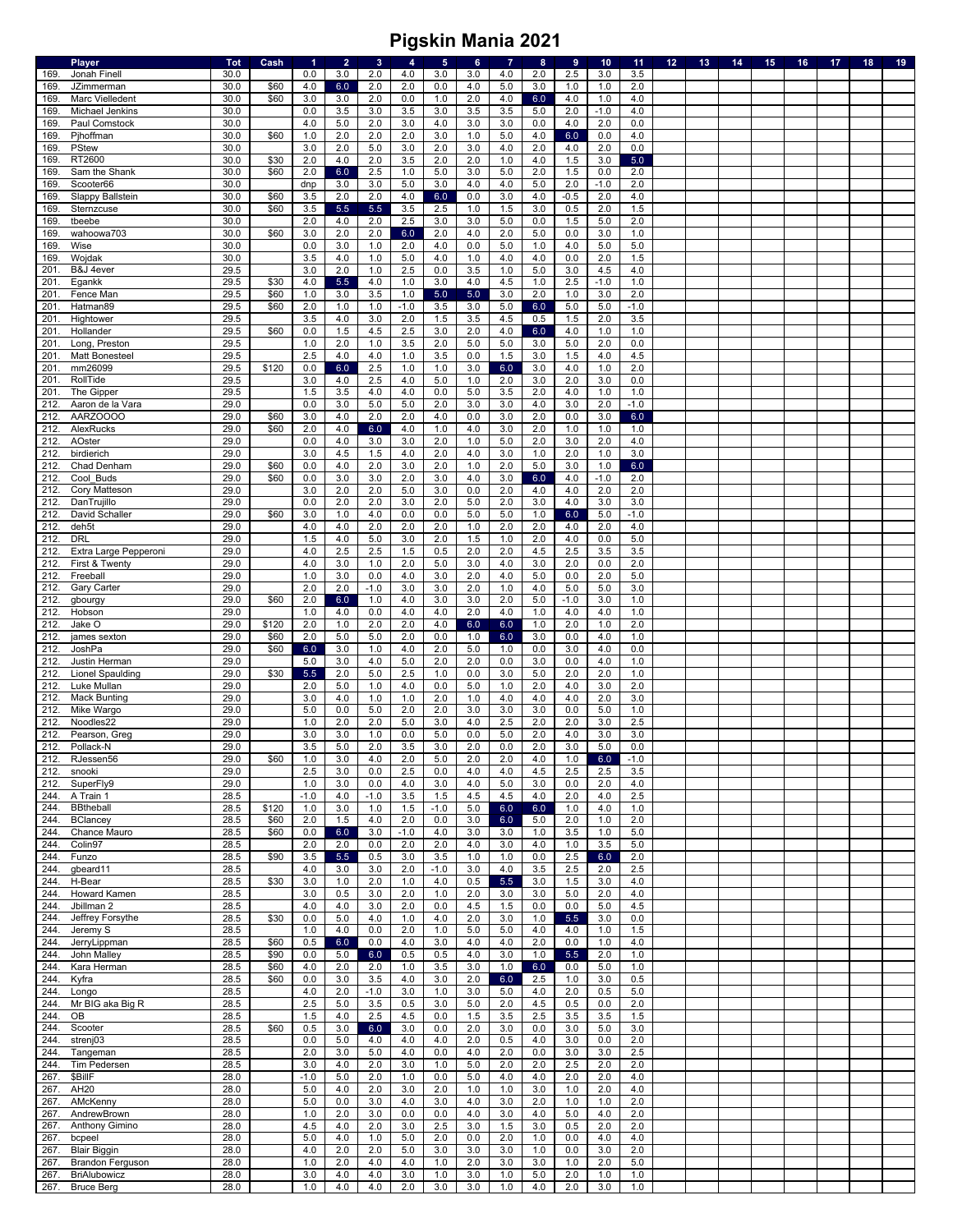|              | <b>Player</b>                     | <b>Tot</b>   | Cash  | -1         | $\overline{2}$ | 3          | 4          | $\sqrt{5}$ | 6          | $\overline{7}$ | 8          | 9          | 10         | 11            | 12 <sub>1</sub> | 13 | 14 | 15 <sub>1</sub> | 16 | 17 | 18 | 19 |
|--------------|-----------------------------------|--------------|-------|------------|----------------|------------|------------|------------|------------|----------------|------------|------------|------------|---------------|-----------------|----|----|-----------------|----|----|----|----|
| 169.         | Jonah Finell                      | 30.0         |       | 0.0        | 3.0            | 2.0        | 4.0        | 3.0        | 3.0        | 4.0            | 2.0        | 2.5        | 3.0        | 3.5           |                 |    |    |                 |    |    |    |    |
| 169          | JZimmerman                        | 30.0         | \$60  | 4.0        | 6.0            | 2.0        | 2.0        | 0.0        | 4.0        | $5.0\,$        | 3.0        | 1.0        | 1.0        | 2.0           |                 |    |    |                 |    |    |    |    |
| 169          | Marc Vielledent                   | 30.0         | \$60  | 3.0        | 3.0            | 2.0        | 0.0        | 1.0        | 2.0        | 4.0            | 6.0        | 4.0        | 1.0        | 4.0           |                 |    |    |                 |    |    |    |    |
| 169          | Michael Jenkins                   | 30.0         |       | 0.0        | 3.5            | 3.0        | 3.5        | 3.0        | 3.5        | 3.5            | $5.0$      | 2.0        | $-1.0$     | 4.0           |                 |    |    |                 |    |    |    |    |
| 169<br>169   | Paul Comstock<br>Pjhoffman        | 30.0<br>30.0 | \$60  | 4.0<br>1.0 | $5.0$<br>2.0   | 2.0<br>2.0 | 3.0<br>2.0 | 4.0<br>3.0 | 3.0<br>1.0 | $3.0\,$<br>5.0 | 0.0<br>4.0 | 4.0<br>6.0 | 2.0<br>0.0 | 0.0<br>4.0    |                 |    |    |                 |    |    |    |    |
| 169          | <b>PStew</b>                      | 30.0         |       | 3.0        | 2.0            | 5.0        | 3.0        | 2.0        | 3.0        | 4.0            | 2.0        | 4.0        | 2.0        | 0.0           |                 |    |    |                 |    |    |    |    |
| 169          | RT2600                            | 30.0         | \$30  | 2.0        | 4.0            | 2.0        | 3.5        | 2.0        | 2.0        | $1.0$          | $4.0$      | 1.5        | 3.0        | 5.0           |                 |    |    |                 |    |    |    |    |
| 169          | Sam the Shank                     | 30.0         | \$60  | 2.0        | 6.0            | $2.5\,$    | 1.0        | $5.0\,$    | 3.0        | $5.0\,$        | 2.0        | 1.5        | 0.0        | 2.0           |                 |    |    |                 |    |    |    |    |
| 169          | Scooter66                         | 30.0         |       | dnp        | 3.0            | 3.0        | 5.0        | 3.0        | 4.0        | 4.0            | 5.0        | 2.0        | $-1.0$     | 2.0           |                 |    |    |                 |    |    |    |    |
| 169          | Slappy Ballstein                  | 30.0         | \$60  | 3.5        | 2.0            | 2.0        | 4.0        | 6.0        | 0.0        | 3.0            | 4.0        | $-0.5$     | 2.0        | 4.0           |                 |    |    |                 |    |    |    |    |
| 169          | Sternzcuse                        | 30.0         | \$60  | 3.5        | 5.5            | 5.5        | 3.5        | $2.5\,$    | 1.0        | 1.5            | 3.0        | 0.5        | 2.0        | 1.5           |                 |    |    |                 |    |    |    |    |
| 169          | tbeebe                            | 30.0         |       | 2.0        | 4.0            | 2.0        | 2.5        | 3.0        | 3.0        | $5.0\,$        | 0.0        | 1.5        | 5.0        | 2.0           |                 |    |    |                 |    |    |    |    |
| 169          | wahoowa703                        | 30.0         | \$60  | 3.0        | 2.0            | 2.0        | 6.0        | 2.0        | 4.0        | 2.0            | 5.0        | 0.0        | 3.0        | 1.0           |                 |    |    |                 |    |    |    |    |
| 169          | Wise                              | 30.0         |       | 0.0        | 3.0            | 1.0        | 2.0        | 4.0        | 0.0        | 5.0            | 1.0        | 4.0        | 5.0        | 5.0           |                 |    |    |                 |    |    |    |    |
| 169          | Wojdak                            | 30.0         |       | 3.5        | 4.0            | 1.0        | $5.0\,$    | 4.0        | 1.0        | 4.0            | 4.0        | 0.0        | 2.0        | 1.5           |                 |    |    |                 |    |    |    |    |
| 201          | B&J 4ever                         | 29.5         |       | 3.0        | 2.0            | 1.0        | 2.5        | 0.0        | 3.5        | 1.0            | $5.0$      | 3.0        | 4.5        | 4.0           |                 |    |    |                 |    |    |    |    |
| 201          | Egankk                            | 29.5         | \$30  | 4.0        | $5.5\,$        | 4.0        | 1.0        | 3.0        | 4.0        | 4.5            | 1.0        | 2.5        | $-1.0$     | 1.0           |                 |    |    |                 |    |    |    |    |
| 201          | Fence Man                         | 29.5         | \$60  | 1.0        | 3.0            | 3.5        | 1.0        | 5.0        | 5.0        | 3.0            | 2.0        | 1.0        | 3.0        | 2.0           |                 |    |    |                 |    |    |    |    |
| 201          | Hatman89                          | 29.5         | \$60  | 2.0        | 1.0            | $1.0$      | $-1.0$     | 3.5        | 3.0        | $5.0\,$        | 6.0        | 5.0        | 5.0        | $-1.0$        |                 |    |    |                 |    |    |    |    |
| 201          | Hightower                         | 29.5         | \$60  | 3.5<br>0.0 | 4.0            | 3.0        | 2.0<br>2.5 | 1.5<br>3.0 | 3.5        | 4.5            | 0.5        | 1.5        | 2.0<br>1.0 | 3.5<br>1.0    |                 |    |    |                 |    |    |    |    |
| 201<br>201   | Hollander<br>Long, Preston        | 29.5<br>29.5 |       | 1.0        | 1.5<br>2.0     | 4.5<br>1.0 | 3.5        | 2.0        | 2.0<br>5.0 | 4.0<br>$5.0\,$ | 6.0<br>3.0 | 4.0<br>5.0 | 2.0        | 0.0           |                 |    |    |                 |    |    |    |    |
| 201          | Matt Bonesteel                    | 29.5         |       | 2.5        | 4.0            | 4.0        | 1.0        | 3.5        | 0.0        | 1.5            | 3.0        | 1.5        | 4.0        | 4.5           |                 |    |    |                 |    |    |    |    |
| 201          | mm26099                           | 29.5         | \$120 | 0.0        | 6.0            | $2.5\,$    | $1.0$      | 1.0        | 3.0        | 6.0            | 3.0        | 4.0        | 1.0        | 2.0           |                 |    |    |                 |    |    |    |    |
| 201.         | RollTide                          | 29.5         |       | 3.0        | 4.0            | 2.5        | 4.0        | 5.0        | 1.0        | 2.0            | 3.0        | 2.0        | 3.0        | 0.0           |                 |    |    |                 |    |    |    |    |
| 201          | The Gipper                        | 29.5         |       | 1.5        | 3.5            | 4.0        | 4.0        | 0.0        | 5.0        | 3.5            | 2.0        | 4.0        | 1.0        | 1.0           |                 |    |    |                 |    |    |    |    |
| 212          | Aaron de la Vara                  | 29.0         |       | 0.0        | 3.0            | 5.0        | 5.0        | 2.0        | 3.0        | 3.0            | 4.0        | 3.0        | 2.0        | $-1.0$        |                 |    |    |                 |    |    |    |    |
| 212.         | AARZ0000                          | 29.0         | \$60  | 3.0        | 4.0            | 2.0        | 2.0        | 4.0        | 0.0        | 3.0            | 2.0        | 0.0        | 3.0        | 6.0           |                 |    |    |                 |    |    |    |    |
| 212.         | AlexRucks                         | 29.0         | \$60  | 2.0        | 4.0            | 6.0        | 4.0        | 1.0        | 4.0        | 3.0            | 2.0        | 1.0        | 1.0        | 1.0           |                 |    |    |                 |    |    |    |    |
| 212.         | AOster                            | 29.0         |       | 0.0        | 4.0            | 3.0        | 3.0        | 2.0        | 1.0        | 5.0            | 2.0        | 3.0        | 2.0        | 4.0           |                 |    |    |                 |    |    |    |    |
| 212          | birdierich                        | 29.0         |       | 3.0        | 4.5            | 1.5        | 4.0        | 2.0        | 4.0        | 3.0            | 1.0        | 2.0        | 1.0        | 3.0           |                 |    |    |                 |    |    |    |    |
| 212.         | Chad Denham                       | 29.0         | \$60  | 0.0        | 4.0            | 2.0        | 3.0        | 2.0        | 1.0        | 2.0            | $5.0$      | 3.0        | 1.0        | 6.0           |                 |    |    |                 |    |    |    |    |
| 212.         | Cool Buds                         | 29.0         | \$60  | 0.0        | 3.0            | 3.0        | 2.0        | 3.0        | 4.0        | 3.0            | $6.0\,$    | 4.0        | $-1.0$     | 2.0           |                 |    |    |                 |    |    |    |    |
| 212.         | Cory Matteson                     | 29.0         |       | 3.0        | 2.0            | 2.0        | 5.0        | 3.0        | 0.0        | 2.0            | 4.0        | 4.0        | 2.0        | 2.0           |                 |    |    |                 |    |    |    |    |
| 212.         | DanTrujillo                       | 29.0         | \$60  | 0.0        | 2.0            | 2.0        | 3.0        | 2.0        | 5.0        | 2.0            | 3.0        | 4.0        | 3.0        | 3.0           |                 |    |    |                 |    |    |    |    |
| 212.<br>212. | David Schaller<br>deh5t           | 29.0<br>29.0 |       | 3.0<br>4.0 | 1.0<br>4.0     | 4.0<br>2.0 | 0.0<br>2.0 | 0.0<br>2.0 | 5.0<br>1.0 | $5.0\,$<br>2.0 | 1.0<br>2.0 | 6.0<br>4.0 | 5.0<br>2.0 | $-1.0$<br>4.0 |                 |    |    |                 |    |    |    |    |
| 212.         | <b>DRL</b>                        | 29.0         |       | 1.5        | 4.0            | 5.0        | 3.0        | 2.0        | 1.5        | 1.0            | 2.0        | 4.0        | 0.0        | 5.0           |                 |    |    |                 |    |    |    |    |
| 212          | Extra Large Pepperoni             | 29.0         |       | 4.0        | 2.5            | 2.5        | 1.5        | 0.5        | 2.0        | 2.0            | 4.5        | 2.5        | 3.5        | 3.5           |                 |    |    |                 |    |    |    |    |
| 212.         | First & Twenty                    | 29.0         |       | 4.0        | 3.0            | 1.0        | 2.0        | 5.0        | 3.0        | 4.0            | 3.0        | 2.0        | 0.0        | 2.0           |                 |    |    |                 |    |    |    |    |
| 212.         | Freeball                          | 29.0         |       | 1.0        | 3.0            | 0.0        | 4.0        | 3.0        | 2.0        | 4.0            | $5.0$      | 0.0        | 2.0        | 5.0           |                 |    |    |                 |    |    |    |    |
| 212          | Gary Carter                       | 29.0         |       | 2.0        | 2.0            | $-1.0$     | 3.0        | 3.0        | 2.0        | 1.0            | 4.0        | 5.0        | 5.0        | 3.0           |                 |    |    |                 |    |    |    |    |
| 212          | gbourgy                           | 29.0         | \$60  | 2.0        | 6.0            | 1.0        | 4.0        | 3.0        | 3.0        | 2.0            | $5.0$      | $-1.0$     | 3.0        | $1.0$         |                 |    |    |                 |    |    |    |    |
| 212.         | Hobson                            | 29.0         |       | 1.0        | 4.0            | 0.0        | 4.0        | 4.0        | 2.0        | 4.0            | 1.0        | 4.0        | 4.0        | 1.0           |                 |    |    |                 |    |    |    |    |
| 212          | Jake O                            | 29.0         | \$120 | 2.0        | 1.0            | 2.0        | 2.0        | 4.0        | 6.0        | 6.0            | 1.0        | 2.0        | 1.0        | 2.0           |                 |    |    |                 |    |    |    |    |
| 212          | james sexton                      | 29.0         | \$60  | 2.0        | 5.0            | 5.0        | 2.0        | 0.0        | 1.0        | 6.0            | 3.0        | 0.0        | 4.0        | 1.0           |                 |    |    |                 |    |    |    |    |
| 212.         | JoshPa                            | 29.0         | \$60  | 6.0        | 3.0            | 1.0        | 4.0        | 2.0        | 5.0        | 1.0            | 0.0        | 3.0        | 4.0        | 0.0           |                 |    |    |                 |    |    |    |    |
| 212          | Justin Herman                     | 29.0         |       | 5.0        | 3.0            | 4.0        | 5.0        | 2.0        | 2.0        | 0.0            | 3.0        | 0.0        | 4.0        | 1.0           |                 |    |    |                 |    |    |    |    |
| 212.         | <b>Lionel Spaulding</b>           | 29.0         | \$30  | 5.5        | 2.0            | 5.0        | 2.5        | 1.0        | 0.0        | 3.0            | $5.0\,$    | 2.0        | 2.0        | 1.0           |                 |    |    |                 |    |    |    |    |
| 212.<br>212. | Luke Mullan                       | 29.0         |       | 2.0        | 5.0            | 1.0        | 4.0        | 0.0        | 5.0        | 1.0            | 2.0        | 4.0        | 3.0        | 2.0           |                 |    |    |                 |    |    |    |    |
| 212.         | <b>Mack Bunting</b><br>Mike Wargo | 29.0<br>29.0 |       | 3.0<br>5.0 | 4.0            | 1.0<br>5.0 | 1.0<br>2.0 | 2.0<br>2.0 | 1.0<br>3.0 | 4.0<br>3.0     | 4.0<br>3.0 | 4.0<br>0.0 | 2.0        | 3.0<br>1.0    |                 |    |    |                 |    |    |    |    |
| 212.         | Noodles22                         | 29.0         |       | 1.0        | 0.0<br>2.0     | 2.0        | 5.0        | 3.0        | 4.0        | $2.5\,$        | 2.0        | 2.0        | 5.0<br>3.0 | 2.5           |                 |    |    |                 |    |    |    |    |
| 212.         | Pearson, Greg                     | 29.0         |       | 3.0        | 3.0            | 1.0        | 0.0        | $5.0\,$    | 0.0        | $5.0\,$        | 2.0        | 4.0        | 3.0        | 3.0           |                 |    |    |                 |    |    |    |    |
| 212.         | Pollack-N                         | 29.0         |       | 3.5        | 5.0            | 2.0        | 3.5        | 3.0        | 2.0        | 0.0            | 2.0        | 3.0        | 5.0        | 0.0           |                 |    |    |                 |    |    |    |    |
| 212.         | RJessen56                         | 29.0         | \$60  | 1.0        | 3.0            | 4.0        | 2.0        | 5.0        | 2.0        | 2.0            | 4.0        | 1.0        | 6.0        | $-1.0$        |                 |    |    |                 |    |    |    |    |
| 212.         | snooki                            | 29.0         |       | 2.5        | 3.0            | 0.0        | 2.5        | 0.0        | 4.0        | 4.0            | 4.5        | 2.5        | 2.5        | 3.5           |                 |    |    |                 |    |    |    |    |
| 212.         | SuperFly9                         | 29.0         |       | 1.0        | 3.0            | 0.0        | 4.0        | 3.0        | 4.0        | $5.0\,$        | 3.0        | 0.0        | 2.0        | 4.0           |                 |    |    |                 |    |    |    |    |
| 244.         | A Train 1                         | 28.5         |       | $-1.0$     | 4.0            | $-1.0$     | $3.5\,$    | 1.5        | 4.5        | 4.5            | 4.0        | 2.0        | 4.0        | 2.5           |                 |    |    |                 |    |    |    |    |
| 244.         | <b>BBtheball</b>                  | 28.5         | \$120 | 1.0        | 3.0            | 1.0        | 1.5        | $-1.0$     | 5.0        | 6.0            | 6.0        | 1.0        | 4.0        | 1.0           |                 |    |    |                 |    |    |    |    |
| 244.         | <b>BClancey</b>                   | 28.5         | \$60  | 2.0        | 1.5            | 4.0        | 2.0        | 0.0        | 3.0        | 6.0            | 5.0        | 2.0        | 1.0        | 2.0           |                 |    |    |                 |    |    |    |    |
| 244.         | Chance Mauro                      | 28.5         | \$60  | 0.0        | 6.0            | 3.0        | $-1.0$     | 4.0        | 3.0        | 3.0            | 1.0        | 3.5        | 1.0        | $5.0\,$       |                 |    |    |                 |    |    |    |    |
| 244.<br>244  | Colin97<br>Funzo                  | 28.5<br>28.5 | \$90  | 2.0<br>3.5 | 2.0<br>5.5     | 0.0<br>0.5 | 2.0<br>3.0 | 2.0<br>3.5 | 4.0<br>1.0 | 3.0<br>1.0     | 4.0<br>0.0 | 1.0<br>2.5 | 3.5<br>6.0 | 5.0<br>2.0    |                 |    |    |                 |    |    |    |    |
| 244.         | gbeard11                          | 28.5         |       | 4.0        | 3.0            | 3.0        | 2.0        | $-1.0$     | 3.0        | 4.0            | $3.5\,$    | 2.5        | 2.0        | 2.5           |                 |    |    |                 |    |    |    |    |
| 244.         | H-Bear                            | 28.5         | \$30  | 3.0        | 1.0            | 2.0        | 1.0        | 4.0        | 0.5        | $5.5\,$        | 3.0        | 1.5        | 3.0        | 4.0           |                 |    |    |                 |    |    |    |    |
| 244.         | Howard Kamen                      | 28.5         |       | 3.0        | 0.5            | 3.0        | 2.0        | 1.0        | 2.0        | 3.0            | 3.0        | 5.0        | 2.0        | 4.0           |                 |    |    |                 |    |    |    |    |
| 244.         | Jbillman 2                        | 28.5         |       | 4.0        | 4.0            | 3.0        | 2.0        | 0.0        | 4.5        | 1.5            | 0.0        | 0.0        | 5.0        | 4.5           |                 |    |    |                 |    |    |    |    |
| 244.         | Jeffrey Forsythe                  | 28.5         | \$30  | 0.0        | 5.0            | 4.0        | 1.0        | 4.0        | 2.0        | 3.0            | 1.0        | 5.5        | 3.0        | 0.0           |                 |    |    |                 |    |    |    |    |
| 244.         | Jeremy S                          | 28.5         |       | 1.0        | 4.0            | 0.0        | 2.0        | 1.0        | 5.0        | $5.0\,$        | 4.0        | 4.0        | 1.0        | 1.5           |                 |    |    |                 |    |    |    |    |
| 244.         | JerryLippman                      | 28.5         | \$60  | 0.5        | 6.0            | 0.0        | 4.0        | 3.0        | 4.0        | 4.0            | 2.0        | 0.0        | 1.0        | 4.0           |                 |    |    |                 |    |    |    |    |
| 244.         | John Malley                       | 28.5         | \$90  | 0.0        | $5.0$          | 6.0        | 0.5        | 0.5        | 4.0        | 3.0            | 1.0        | 5.5        | 2.0        | 1.0           |                 |    |    |                 |    |    |    |    |
| 244.         | Kara Herman                       | 28.5         | \$60  | 4.0        | 2.0            | 2.0        | 1.0        | 3.5        | 3.0        | 1.0            | 6.0        | 0.0        | 5.0        | 1.0           |                 |    |    |                 |    |    |    |    |
| 244.         | Kyfra                             | 28.5         | \$60  | 0.0        | 3.0            | 3.5        | 4.0        | 3.0        | 2.0        | 6.0            | 2.5        | 1.0        | 3.0        | 0.5           |                 |    |    |                 |    |    |    |    |
| 244.         | Longo                             | 28.5         |       | 4.0        | 2.0            | $-1.0$     | 3.0        | 1.0        | 3.0        | 5.0            | 4.0        | 2.0        | 0.5        | 5.0           |                 |    |    |                 |    |    |    |    |
| 244.<br>244  | Mr BIG aka Big R<br>OB            | 28.5<br>28.5 |       | 2.5<br>1.5 | 5.0<br>4.0     | 3.5<br>2.5 | 0.5<br>4.5 | 3.0<br>0.0 | 5.0<br>1.5 | 2.0<br>3.5     | 4.5<br>2.5 | 0.5<br>3.5 | 0.0<br>3.5 | 2.0<br>1.5    |                 |    |    |                 |    |    |    |    |
| 244.         | Scooter                           | 28.5         | \$60  | 0.5        | 3.0            | 6.0        | $3.0\,$    | 0.0        | 2.0        | 3.0            | $0.0\,$    | 3.0        | 5.0        | 3.0           |                 |    |    |                 |    |    |    |    |
| 244.         | strenj03                          | 28.5         |       | 0.0        | 5.0            | 4.0        | 4.0        | 4.0        | 2.0        | 0.5            | 4.0        | 3.0        | 0.0        | 2.0           |                 |    |    |                 |    |    |    |    |
| 244.         | Tangeman                          | 28.5         |       | 2.0        | 3.0            | 5.0        | 4.0        | 0.0        | 4.0        | 2.0            | 0.0        | 3.0        | 3.0        | 2.5           |                 |    |    |                 |    |    |    |    |
| 244          | Tim Pedersen                      | 28.5         |       | 3.0        | 4.0            | 2.0        | 3.0        | 1.0        | 5.0        | 2.0            | 2.0        | 2.5        | 2.0        | 2.0           |                 |    |    |                 |    |    |    |    |
| 267.         | \$BillF                           | 28.0         |       | $-1.0$     | 5.0            | 2.0        | 1.0        | 0.0        | 5.0        | 4.0            | 4.0        | 2.0        | 2.0        | 4.0           |                 |    |    |                 |    |    |    |    |
| 267.         | AH20                              | 28.0         |       | 5.0        | 4.0            | 2.0        | 3.0        | 2.0        | 1.0        | 1.0            | 3.0        | 1.0        | 2.0        | 4.0           |                 |    |    |                 |    |    |    |    |
| 267.         | AMcKenny                          | 28.0         |       | 5.0        | 0.0            | 3.0        | 4.0        | 3.0        | 4.0        | 3.0            | 2.0        | 1.0        | 1.0        | 2.0           |                 |    |    |                 |    |    |    |    |
| 267          | AndrewBrown                       | 28.0         |       | 1.0        | 2.0            | 3.0        | 0.0        | 0.0        | 4.0        | 3.0            | 4.0        | 5.0        | 4.0        | 2.0           |                 |    |    |                 |    |    |    |    |
| 267.         | Anthony Gimino                    | 28.0         |       | 4.5        | 4.0            | 2.0        | 3.0        | 2.5        | 3.0        | 1.5            | 3.0        | 0.5        | 2.0        | 2.0           |                 |    |    |                 |    |    |    |    |
| 267.         | bcpeel                            | 28.0         |       | 5.0        | 4.0            | 1.0        | 5.0        | 2.0        | 0.0        | 2.0            | 1.0        | 0.0        | 4.0        | 4.0           |                 |    |    |                 |    |    |    |    |
| 267.         | <b>Blair Biggin</b>               | 28.0         |       | 4.0        | 2.0            | 2.0        | 5.0        | 3.0        | 3.0        | 3.0            | 1.0        | 0.0        | 3.0        | 2.0           |                 |    |    |                 |    |    |    |    |
| 267.         | <b>Brandon Ferguson</b>           | 28.0         |       | 1.0        | 2.0            | 4.0        | 4.0        | 1.0        | 2.0        | 3.0            | 3.0        | 1.0        | 2.0        | 5.0           |                 |    |    |                 |    |    |    |    |
| 267.         | BriAlubowicz                      | 28.0<br>28.0 |       | 3.0        | 4.0<br>4.0     | 4.0<br>4.0 | 3.0<br>2.0 | 1.0<br>3.0 | 3.0<br>3.0 | 1.0<br>1.0     | 5.0<br>4.0 | 2.0<br>2.0 | 1.0        | 1.0           |                 |    |    |                 |    |    |    |    |
| 267.         | <b>Bruce Berg</b>                 |              |       | 1.0        |                |            |            |            |            |                |            |            | 3.0        | 1.0           |                 |    |    |                 |    |    |    |    |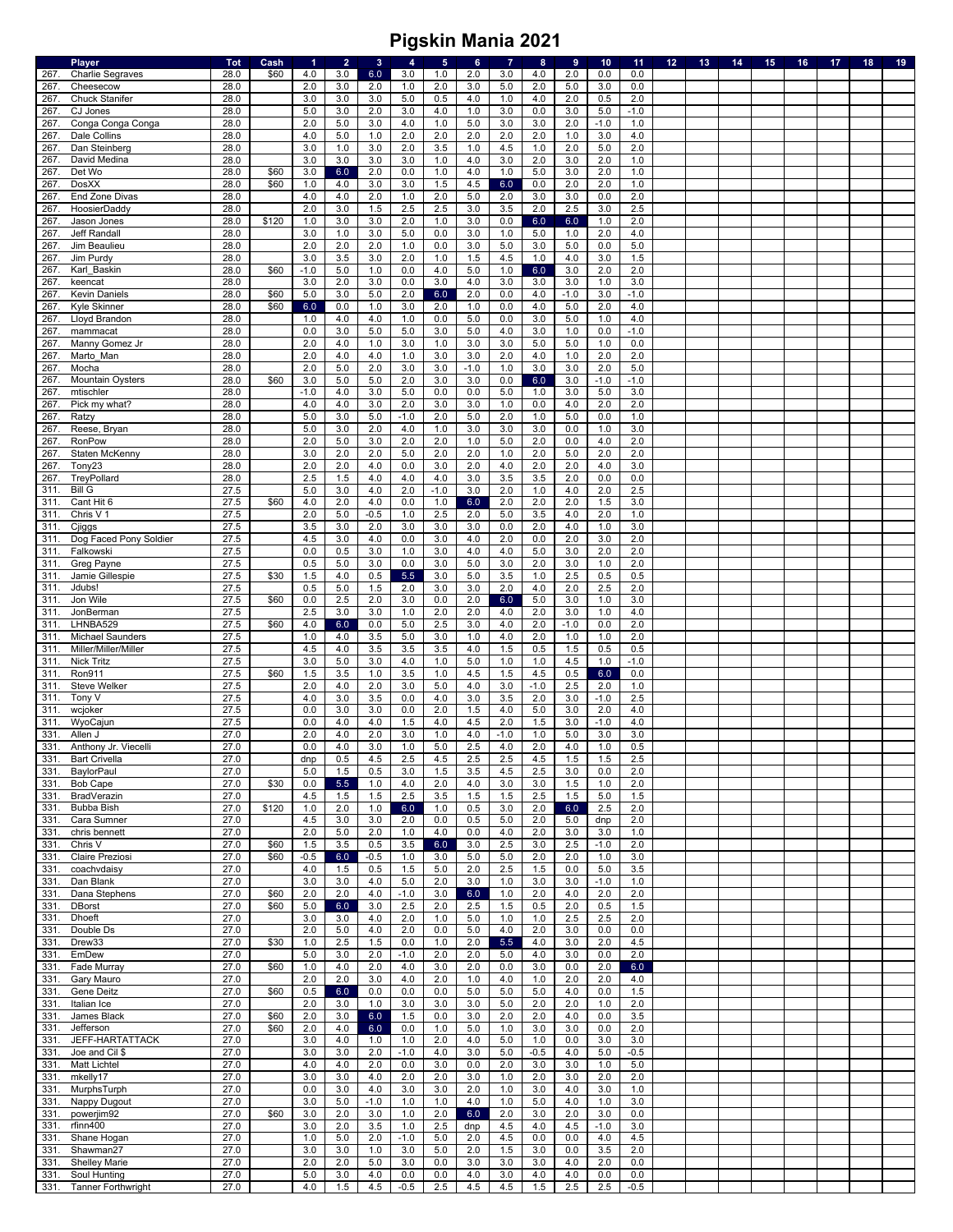|      | <b>Player</b>             | <b>Tot</b> | Cash  | $\blacktriangleleft$ | $\overline{2}$ | $\mathbf{3}$ | 4      | $\sqrt{5}$ | 6      | $\overline{7}$ | $\bf8$  | 9      | 10     | 11     | 12 | 13 | 14 | 15 | 16 | 17 | 18 | 19 |
|------|---------------------------|------------|-------|----------------------|----------------|--------------|--------|------------|--------|----------------|---------|--------|--------|--------|----|----|----|----|----|----|----|----|
| 267. | <b>Charlie Segraves</b>   | 28.0       | \$60  | 4.0                  | 3.0            | 6.0          | 3.0    | 1.0        | 2.0    | 3.0            | 4.0     | 2.0    | 0.0    | 0.0    |    |    |    |    |    |    |    |    |
| 267  | Cheesecow                 | 28.0       |       | 2.0                  | 3.0            | 2.0          | 1.0    | 2.0        | 3.0    | 5.0            | 2.0     | 5.0    | 3.0    | 0.0    |    |    |    |    |    |    |    |    |
| 267. | <b>Chuck Stanifer</b>     | 28.0       |       | 3.0                  | 3.0            | 3.0          | 5.0    | 0.5        | 4.0    | 1.0            | 4.0     | 2.0    | 0.5    | 2.0    |    |    |    |    |    |    |    |    |
| 267. | CJ Jones                  | 28.0       |       | 5.0                  | 3.0            | 2.0          | 3.0    | 4.0        | 1.0    | 3.0            | $0.0\,$ | 3.0    | 5.0    | $-1.0$ |    |    |    |    |    |    |    |    |
| 267. | Conga Conga Conga         | 28.0       |       | 2.0                  | 5.0            | 3.0          | 4.0    | 1.0        | $5.0$  | 3.0            | 3.0     | 2.0    | $-1.0$ | 1.0    |    |    |    |    |    |    |    |    |
| 267  | Dale Collins              | 28.0       |       | 4.0                  | 5.0            | 1.0          | 2.0    | 2.0        | 2.0    | 2.0            | 2.0     | 1.0    | 3.0    | 4.0    |    |    |    |    |    |    |    |    |
| 267  | Dan Steinberg             | 28.0       |       | 3.0                  | 1.0            | 3.0          | 2.0    | 3.5        | 1.0    | 4.5            | 1.0     | 2.0    | 5.0    | 2.0    |    |    |    |    |    |    |    |    |
| 267. | David Medina              | 28.0       |       | 3.0                  | 3.0            | 3.0          | 3.0    | 1.0        | 4.0    | 3.0            | 2.0     | 3.0    | 2.0    | 1.0    |    |    |    |    |    |    |    |    |
| 267. | Det Wo                    | 28.0       | \$60  | 3.0                  | 6.0            | 2.0          | 0.0    | 1.0        | 4.0    | 1.0            | 5.0     | 3.0    | 2.0    | 1.0    |    |    |    |    |    |    |    |    |
| 267  | <b>DosXX</b>              | 28.0       | \$60  | 1.0                  | 4.0            | 3.0          | 3.0    | 1.5        | 4.5    | 6.0            | 0.0     | 2.0    | 2.0    | 1.0    |    |    |    |    |    |    |    |    |
| 267. | End Zone Divas            | 28.0       |       | 4.0                  | 4.0            | $2.0\,$      | $1.0$  | 2.0        | $5.0$  | 2.0            | 3.0     | 3.0    | 0.0    | 2.0    |    |    |    |    |    |    |    |    |
| 267. |                           | 28.0       |       | 2.0                  | 3.0            | 1.5          | 2.5    | 2.5        | 3.0    | 3.5            | 2.0     | 2.5    | 3.0    | 2.5    |    |    |    |    |    |    |    |    |
|      | HoosierDaddy              |            |       |                      |                |              |        |            |        |                |         |        |        |        |    |    |    |    |    |    |    |    |
| 267  | Jason Jones               | 28.0       | \$120 | 1.0                  | 3.0            | 3.0          | 2.0    | 1.0        | 3.0    | 0.0            | 6.0     | 6.0    | 1.0    | 2.0    |    |    |    |    |    |    |    |    |
| 267  | Jeff Randall              | 28.0       |       | 3.0                  | 1.0            | 3.0          | 5.0    | 0.0        | 3.0    | 1.0            | $5.0$   | 1.0    | 2.0    | 4.0    |    |    |    |    |    |    |    |    |
| 267  | Jim Beaulieu              | 28.0       |       | 2.0                  | 2.0            | 2.0          | $1.0$  | 0.0        | 3.0    | 5.0            | 3.0     | 5.0    | 0.0    | 5.0    |    |    |    |    |    |    |    |    |
| 267. | Jim Purdy                 | 28.0       |       | 3.0                  | 3.5            | 3.0          | 2.0    | 1.0        | 1.5    | 4.5            | 1.0     | 4.0    | 3.0    | 1.5    |    |    |    |    |    |    |    |    |
| 267. | Karl Baskin               | 28.0       | \$60  | $-1.0$               | 5.0            | 1.0          | 0.0    | 4.0        | 5.0    | 1.0            | 6.0     | 3.0    | 2.0    | 2.0    |    |    |    |    |    |    |    |    |
| 267  | keencat                   | 28.0       |       | 3.0                  | 2.0            | 3.0          | 0.0    | 3.0        | 4.0    | 3.0            | 3.0     | 3.0    | 1.0    | 3.0    |    |    |    |    |    |    |    |    |
| 267  | <b>Kevin Daniels</b>      | 28.0       | \$60  | 5.0                  | 3.0            | $5.0$        | 2.0    | 6.0        | 2.0    | 0.0            | 4.0     | $-1.0$ | 3.0    | $-1.0$ |    |    |    |    |    |    |    |    |
| 267. | Kyle Skinner              | 28.0       | \$60  | 6.0                  | 0.0            | 1.0          | 3.0    | 2.0        | 1.0    | 0.0            | 4.0     | 5.0    | 2.0    | 4.0    |    |    |    |    |    |    |    |    |
| 267. | Lloyd Brandon             | 28.0       |       | 1.0                  | 4.0            | 4.0          | 1.0    | 0.0        | $5.0$  | 0.0            | 3.0     | 5.0    | 1.0    | 4.0    |    |    |    |    |    |    |    |    |
| 267. | mammacat                  | 28.0       |       | 0.0                  | 3.0            | $5.0$        | 5.0    | 3.0        | 5.0    | 4.0            | 3.0     | 1.0    | 0.0    | $-1.0$ |    |    |    |    |    |    |    |    |
| 267. | Manny Gomez Jr            | 28.0       |       | 2.0                  | 4.0            | 1.0          | 3.0    | 1.0        | 3.0    | 3.0            | $5.0$   | 5.0    | 1.0    | 0.0    |    |    |    |    |    |    |    |    |
| 267. | Marto Man                 | 28.0       |       | 2.0                  | 4.0            | 4.0          | $1.0$  | 3.0        | 3.0    | 2.0            | 4.0     | 1.0    | 2.0    | 2.0    |    |    |    |    |    |    |    |    |
| 267. | Mocha                     | 28.0       |       | 2.0                  | 5.0            | 2.0          | 3.0    | 3.0        | $-1.0$ | $1.0$          | 3.0     | 3.0    | 2.0    | 5.0    |    |    |    |    |    |    |    |    |
| 267. | <b>Mountain Oysters</b>   | 28.0       | \$60  | 3.0                  | 5.0            | 5.0          | 2.0    | 3.0        | 3.0    | 0.0            | 6.0     | 3.0    | $-1.0$ | $-1.0$ |    |    |    |    |    |    |    |    |
| 267  | mtischler                 | 28.0       |       | $-1.0$               | 4.0            | 3.0          | 5.0    | 0.0        | 0.0    | 5.0            | 1.0     | 3.0    | 5.0    | 3.0    |    |    |    |    |    |    |    |    |
| 267  | Pick my what?             | 28.0       |       | 4.0                  | 4.0            | 3.0          | 2.0    | 3.0        | 3.0    | 1.0            | 0.0     | 4.0    | 2.0    | 2.0    |    |    |    |    |    |    |    |    |
| 267. | Ratzy                     | 28.0       |       | 5.0                  | 3.0            | 5.0          | $-1.0$ | 2.0        | 5.0    | 2.0            | 1.0     | 5.0    | 0.0    | 1.0    |    |    |    |    |    |    |    |    |
| 267. | Reese, Bryan              | 28.0       |       | 5.0                  | 3.0            | 2.0          | 4.0    | 1.0        | 3.0    | 3.0            | 3.0     | 0.0    | 1.0    | 3.0    |    |    |    |    |    |    |    |    |
| 267  | RonPow                    | 28.0       |       | 2.0                  | 5.0            | 3.0          | 2.0    | 2.0        | 1.0    | 5.0            | 2.0     | 0.0    | 4.0    | 2.0    |    |    |    |    |    |    |    |    |
| 267. | Staten McKenny            | 28.0       |       | 3.0                  | 2.0            | 2.0          | 5.0    | 2.0        | 2.0    | 1.0            | 2.0     | 5.0    | 2.0    | 2.0    |    |    |    |    |    |    |    |    |
|      |                           | 28.0       |       | 2.0                  | 2.0            |              | 0.0    | 3.0        | 2.0    | 4.0            | 2.0     | 2.0    | 4.0    | 3.0    |    |    |    |    |    |    |    |    |
| 267. | Tony <sub>23</sub>        |            |       |                      |                | 4.0          |        |            |        |                |         |        |        |        |    |    |    |    |    |    |    |    |
| 267  | TreyPollard               | 28.0       |       | 2.5                  | 1.5            | 4.0          | 4.0    | 4.0        | 3.0    | 3.5            | 3.5     | 2.0    | 0.0    | 0.0    |    |    |    |    |    |    |    |    |
| 311  | <b>Bill G</b>             | 27.5       |       | 5.0                  | 3.0            | 4.0          | 2.0    | $-1.0$     | 3.0    | 2.0            | 1.0     | 4.0    | 2.0    | 2.5    |    |    |    |    |    |    |    |    |
| 311  | Cant Hit 6                | 27.5       | \$60  | 4.0                  | 2.0            | 4.0          | 0.0    | 1.0        | 6.0    | 2.0            | 2.0     | 2.0    | 1.5    | 3.0    |    |    |    |    |    |    |    |    |
| 311. | Chris V 1                 | 27.5       |       | 2.0                  | 5.0            | $-0.5$       | 1.0    | 2.5        | 2.0    | $5.0\,$        | 3.5     | 4.0    | 2.0    | 1.0    |    |    |    |    |    |    |    |    |
| 311. | Cjiggs                    | 27.5       |       | 3.5                  | 3.0            | 2.0          | 3.0    | 3.0        | 3.0    | 0.0            | 2.0     | 4.0    | 1.0    | 3.0    |    |    |    |    |    |    |    |    |
| 311  | Dog Faced Pony Soldier    | 27.5       |       | 4.5                  | 3.0            | 4.0          | 0.0    | 3.0        | 4.0    | 2.0            | 0.0     | 2.0    | 3.0    | 2.0    |    |    |    |    |    |    |    |    |
| 311. | Falkowski                 | 27.5       |       | 0.0                  | 0.5            | 3.0          | 1.0    | 3.0        | 4.0    | 4.0            | $5.0\,$ | 3.0    | 2.0    | 2.0    |    |    |    |    |    |    |    |    |
| 311. | Greg Payne                | 27.5       |       | 0.5                  | 5.0            | 3.0          | 0.0    | 3.0        | 5.0    | 3.0            | 2.0     | 3.0    | 1.0    | 2.0    |    |    |    |    |    |    |    |    |
| 311. | Jamie Gillespie           | 27.5       | \$30  | 1.5                  | 4.0            | 0.5          | 5.5    | 3.0        | $5.0$  | 3.5            | 1.0     | 2.5    | 0.5    | 0.5    |    |    |    |    |    |    |    |    |
| 311  | Jdubs!                    | 27.5       |       | 0.5                  | 5.0            | 1.5          | 2.0    | 3.0        | 3.0    | 2.0            | 4.0     | 2.0    | 2.5    | 2.0    |    |    |    |    |    |    |    |    |
| 311. | Jon Wile                  | 27.5       | \$60  | 0.0                  | 2.5            | 2.0          | 3.0    | 0.0        | 2.0    | 6.0            | $5.0$   | 3.0    | 1.0    | 3.0    |    |    |    |    |    |    |    |    |
| 311  | JonBerman                 | 27.5       |       | 2.5                  | 3.0            | 3.0          | $1.0$  | 2.0        | 2.0    | 4.0            | 2.0     | 3.0    | 1.0    | 4.0    |    |    |    |    |    |    |    |    |
| 311. | LHNBA529                  | 27.5       | \$60  | 4.0                  | 6.0            | 0.0          | 5.0    | 2.5        | 3.0    | 4.0            | 2.0     | $-1.0$ | 0.0    | 2.0    |    |    |    |    |    |    |    |    |
| 311  | <b>Michael Saunders</b>   | 27.5       |       | 1.0                  | 4.0            | 3.5          | 5.0    | 3.0        | 1.0    | 4.0            | 2.0     | 1.0    | 1.0    | 2.0    |    |    |    |    |    |    |    |    |
| 311  | Miller/Miller/Miller      | 27.5       |       | 4.5                  | 4.0            | 3.5          | 3.5    | 3.5        | 4.0    | 1.5            | 0.5     | 1.5    | 0.5    | 0.5    |    |    |    |    |    |    |    |    |
| 311  | <b>Nick Tritz</b>         | 27.5       |       | 3.0                  | 5.0            | 3.0          | 4.0    | 1.0        | 5.0    | 1.0            | 1.0     | 4.5    | 1.0    | $-1.0$ |    |    |    |    |    |    |    |    |
| 311. | Ron911                    | 27.5       | \$60  | 1.5                  | 3.5            | 1.0          | 3.5    | 1.0        | 4.5    | 1.5            | 4.5     | 0.5    | 6.0    | 0.0    |    |    |    |    |    |    |    |    |
| 311. | Steve Welker              | 27.5       |       | 2.0                  | 4.0            | 2.0          | 3.0    | 5.0        | 4.0    | 3.0            | $-1.0$  | 2.5    | 2.0    | 1.0    |    |    |    |    |    |    |    |    |
| 311  | Tony V                    | 27.5       |       |                      |                |              |        |            |        |                |         |        |        | 2.5    |    |    |    |    |    |    |    |    |
|      |                           |            |       | 4.0                  | 3.0            | 3.5          | 0.0    | 4.0        | 3.0    | 3.5            | 2.0     | 3.0    | $-1.0$ |        |    |    |    |    |    |    |    |    |
| 311. | wcjoker                   | 27.5       |       | 0.0<br>0.0           | 3.0            | 3.0          | 0.0    | 2.0        | 1.5    | 4.0            | $5.0\,$ | 3.0    | 2.0    | 4.0    |    |    |    |    |    |    |    |    |
| 311. | WyoCajun                  | 27.5       |       |                      | 4.0            | 4.0          | 1.5    | 4.0        | 4.5    | 2.0            | 1.5     | 3.0    | $-1.0$ | 4.0    |    |    |    |    |    |    |    |    |
| 331. | Allen J                   | 27.0       |       | 2.0                  | 4.0            | 2.0          | 3.0    | 1.0        | 4.0    | $-1.0$         | 1.0     | 5.0    | 3.0    | 3.0    |    |    |    |    |    |    |    |    |
| 331. | Anthony Jr. Viecelli      | 27.0       |       | 0.0                  | 4.0            | 3.0          | 1.0    | 5.0        | 2.5    | 4.0            | 2.0     | 4.0    | 1.0    | 0.5    |    |    |    |    |    |    |    |    |
| 331. | <b>Bart Crivella</b>      | 27.0       |       | dnp                  | 0.5            | 4.5          | 2.5    | 4.5        | 2.5    | 2.5            | 4.5     | 1.5    | 1.5    | 2.5    |    |    |    |    |    |    |    |    |
| 331. | <b>BaylorPaul</b>         | 27.0       |       | 5.0                  | 1.5            | 0.5          | 3.0    | 1.5        | 3.5    | 4.5            | 2.5     | 3.0    | 0.0    | 2.0    |    |    |    |    |    |    |    |    |
| 331. | Bob Cape                  | 27.0       | \$30  | 0.0                  | 5.5            | 1.0          | 4.0    | 2.0        | 4.0    | 3.0            | 3.0     | 1.5    | 1.0    | 2.0    |    |    |    |    |    |    |    |    |
| 331. | BradVerazin               | 27.0       |       | 4.5                  | 1.5            | 1.5          | 2.5    | 3.5        | 1.5    | 1.5            | 2.5     | 1.5    | 5.0    | 1.5    |    |    |    |    |    |    |    |    |
| 331. | Bubba Bish                | 27.0       | \$120 | 1.0                  | 2.0            | 1.0          | 6.0    | 1.0        | 0.5    | 3.0            | 2.0     | 6.0    | 2.5    | 2.0    |    |    |    |    |    |    |    |    |
| 331. | Cara Sumner               | 27.0       |       | 4.5                  | 3.0            | 3.0          | 2.0    | 0.0        | 0.5    | $5.0\,$        | 2.0     | 5.0    | dnp    | 2.0    |    |    |    |    |    |    |    |    |
| 331. | chris bennett             | 27.0       |       | 2.0                  | 5.0            | 2.0          | 1.0    | 4.0        | 0.0    | 4.0            | 2.0     | 3.0    | 3.0    | 1.0    |    |    |    |    |    |    |    |    |
| 331. | Chris V                   | 27.0       | \$60  | 1.5                  | 3.5            | 0.5          | 3.5    | 6.0        | 3.0    | 2.5            | 3.0     | 2.5    | $-1.0$ | 2.0    |    |    |    |    |    |    |    |    |
| 331. | Claire Preziosi           | 27.0       | \$60  | $-0.5$               | 6.0            | $-0.5$       | 1.0    | 3.0        | 5.0    | $5.0\,$        | 2.0     | 2.0    | 1.0    | 3.0    |    |    |    |    |    |    |    |    |
| 331. | coachvdaisy               | 27.0       |       | 4.0                  | 1.5            | 0.5          | 1.5    | 5.0        | 2.0    | 2.5            | 1.5     | 0.0    | 5.0    | 3.5    |    |    |    |    |    |    |    |    |
| 331. | Dan Blank                 | 27.0       |       | 3.0                  | 3.0            | 4.0          | 5.0    | 2.0        | 3.0    | 1.0            | 3.0     | 3.0    | $-1.0$ | 1.0    |    |    |    |    |    |    |    |    |
| 331. | Dana Stephens             | 27.0       | \$60  | 2.0                  | 2.0            | 4.0          | $-1.0$ | 3.0        | 6.0    | 1.0            | 2.0     | 4.0    | 2.0    | 2.0    |    |    |    |    |    |    |    |    |
| 331. | <b>DBorst</b>             | 27.0       | \$60  | 5.0                  | 6.0            | 3.0          | 2.5    | 2.0        | 2.5    | 1.5            | 0.5     | 2.0    | 0.5    | 1.5    |    |    |    |    |    |    |    |    |
| 331. | <b>Dhoeft</b>             | 27.0       |       | 3.0                  | 3.0            | 4.0          | 2.0    | 1.0        | 5.0    | 1.0            | 1.0     | 2.5    | 2.5    | 2.0    |    |    |    |    |    |    |    |    |
| 331. | Double Ds                 | 27.0       |       | 2.0                  | 5.0            | 4.0          | 2.0    | 0.0        | 5.0    | 4.0            | 2.0     | 3.0    | 0.0    | 0.0    |    |    |    |    |    |    |    |    |
| 331. | Drew33                    | 27.0       | \$30  | 1.0                  | 2.5            | 1.5          | 0.0    | 1.0        | 2.0    | 5.5            | 4.0     | 3.0    | 2.0    | 4.5    |    |    |    |    |    |    |    |    |
| 331. | EmDew                     | 27.0       |       | 5.0                  | 3.0            | 2.0          | $-1.0$ | 2.0        | 2.0    | 5.0            | 4.0     | 3.0    | 0.0    | 2.0    |    |    |    |    |    |    |    |    |
| 331. | Fade Murray               | 27.0       | \$60  | 1.0                  | 4.0            | 2.0          | 4.0    | 3.0        | 2.0    | 0.0            | 3.0     | 0.0    | 2.0    | 6.0    |    |    |    |    |    |    |    |    |
| 331. | Gary Mauro                | 27.0       |       | 2.0                  | 2.0            | 3.0          | 4.0    | 2.0        | 1.0    | 4.0            | 1.0     | 2.0    | 2.0    | 4.0    |    |    |    |    |    |    |    |    |
| 331. | Gene Deitz                | 27.0       | \$60  | 0.5                  | 6.0            | 0.0          | 0.0    | 0.0        | $5.0$  | 5.0            | $5.0$   | 4.0    | 0.0    | 1.5    |    |    |    |    |    |    |    |    |
| 331. | Italian Ice               | 27.0       |       | 2.0                  | 3.0            | 1.0          | 3.0    | 3.0        | 3.0    | 5.0            | 2.0     | 2.0    | 1.0    | 2.0    |    |    |    |    |    |    |    |    |
| 331. | James Black               | 27.0       | \$60  | 2.0                  |                |              |        |            |        | 2.0            | 2.0     |        |        |        |    |    |    |    |    |    |    |    |
|      |                           |            | \$60  |                      | 3.0            | 6.0          | 1.5    | 0.0        | 3.0    |                |         | 4.0    | 0.0    | 3.5    |    |    |    |    |    |    |    |    |
| 331. | Jefferson                 | 27.0       |       | 2.0                  | 4.0            | 6.0          | 0.0    | 1.0        | 5.0    | 1.0            | 3.0     | 3.0    | 0.0    | 2.0    |    |    |    |    |    |    |    |    |
| 331. | JEFF-HARTATTACK           | 27.0       |       | 3.0                  | 4.0            | 1.0          | 1.0    | 2.0        | 4.0    | 5.0            | 1.0     | 0.0    | 3.0    | 3.0    |    |    |    |    |    |    |    |    |
| 331. | Joe and Cil \$            | 27.0       |       | 3.0                  | 3.0            | 2.0          | $-1.0$ | 4.0        | 3.0    | 5.0            | $-0.5$  | 4.0    | 5.0    | $-0.5$ |    |    |    |    |    |    |    |    |
| 331. | Matt Lichtel              | 27.0       |       | 4.0                  | 4.0            | 2.0          | 0.0    | 3.0        | 0.0    | 2.0            | 3.0     | 3.0    | 1.0    | 5.0    |    |    |    |    |    |    |    |    |
| 331. | mkelly17                  | 27.0       |       | 3.0                  | 3.0            | 4.0          | 2.0    | 2.0        | 3.0    | 1.0            | 2.0     | 3.0    | 2.0    | 2.0    |    |    |    |    |    |    |    |    |
| 331. | MurphsTurph               | 27.0       |       | 0.0                  | 3.0            | 4.0          | 3.0    | 3.0        | 2.0    | 1.0            | 3.0     | 4.0    | 3.0    | 1.0    |    |    |    |    |    |    |    |    |
| 331. | Nappy Dugout              | 27.0       |       | 3.0                  | 5.0            | $-1.0$       | 1.0    | 1.0        | 4.0    | 1.0            | 5.0     | 4.0    | 1.0    | 3.0    |    |    |    |    |    |    |    |    |
| 331. | powerjim92                | 27.0       | \$60  | 3.0                  | 2.0            | 3.0          | 1.0    | 2.0        | 6.0    | 2.0            | 3.0     | 2.0    | 3.0    | 0.0    |    |    |    |    |    |    |    |    |
| 331. | rfinn400                  | 27.0       |       | 3.0                  | 2.0            | 3.5          | 1.0    | 2.5        | dnp    | 4.5            | 4.0     | 4.5    | $-1.0$ | 3.0    |    |    |    |    |    |    |    |    |
| 331. | Shane Hogan               | 27.0       |       | 1.0                  | 5.0            | 2.0          | $-1.0$ | 5.0        | 2.0    | 4.5            | 0.0     | 0.0    | 4.0    | 4.5    |    |    |    |    |    |    |    |    |
| 331. | Shawman27                 | 27.0       |       | 3.0                  | 3.0            | 1.0          | 3.0    | 5.0        | 2.0    | 1.5            | 3.0     | 0.0    | 3.5    | 2.0    |    |    |    |    |    |    |    |    |
| 331. | <b>Shelley Marie</b>      | 27.0       |       | 2.0                  | 2.0            | 5.0          | 3.0    | 0.0        | 3.0    | 3.0            | 3.0     | 4.0    | 2.0    | 0.0    |    |    |    |    |    |    |    |    |
| 331. | Soul Hunting              | 27.0       |       | 5.0                  | 3.0            | 4.0          | 0.0    | 0.0        | 4.0    | 3.0            | 4.0     | 4.0    | 0.0    | 0.0    |    |    |    |    |    |    |    |    |
| 331. | <b>Tanner Forthwright</b> | 27.0       |       | 4.0                  | 1.5            | 4.5          | $-0.5$ | 2.5        | 4.5    | 4.5            | 1.5     | 2.5    | 2.5    | $-0.5$ |    |    |    |    |    |    |    |    |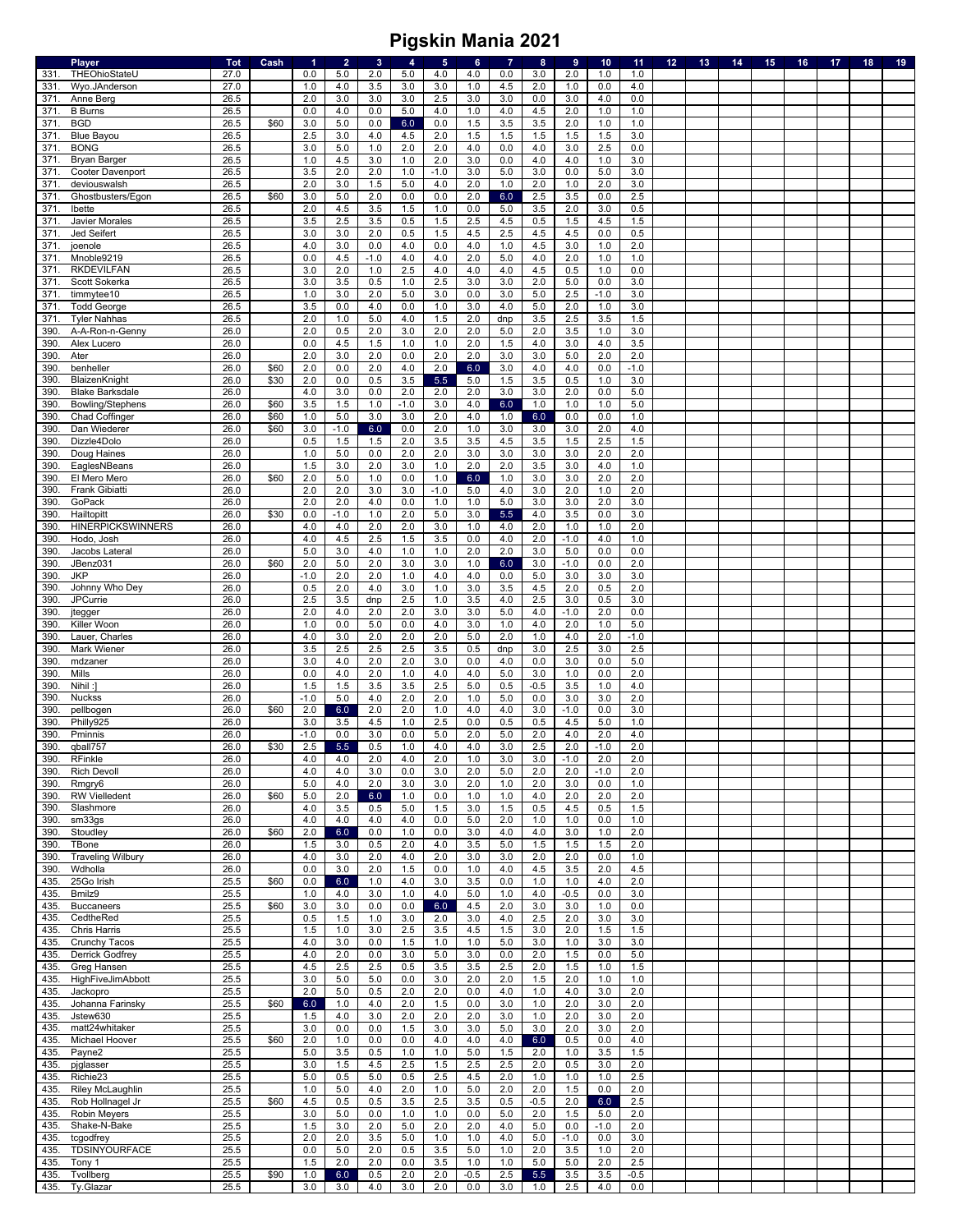|              | Player                           | <b>Tot</b>   | Cash | $\blacktriangleleft$ | $\overline{2}$ | $\mathbf{3}$ | $\overline{4}$ | $5\phantom{.0}$ | $6\phantom{a}$ | $\overline{7}$ | 8              | $\overline{9}$ | 10         | 11         | 12 <sub>2</sub> | 13 | 14 | 15 | 16 | 17 | 18 | 19 |
|--------------|----------------------------------|--------------|------|----------------------|----------------|--------------|----------------|-----------------|----------------|----------------|----------------|----------------|------------|------------|-----------------|----|----|----|----|----|----|----|
| 331.         | THEOhioStateU                    | 27.0         |      | 0.0                  | $5.0\,$        | 2.0          | $5.0\,$        | 4.0             | 4.0            | 0.0            | 3.0            | 2.0            | 1.0        | 1.0        |                 |    |    |    |    |    |    |    |
| 331          | Wyo.JAnderson                    | 27.0         |      | 1.0                  | 4.0            | 3.5          | 3.0            | 3.0             | 1.0            | 4.5            | 2.0            | 1.0            | 0.0        | 4.0        |                 |    |    |    |    |    |    |    |
| 371.         | Anne Berg                        | 26.5         |      | 2.0                  | 3.0            | 3.0          | 3.0            | 2.5             | 3.0            | 3.0            | 0.0            | 3.0            | 4.0        | 0.0        |                 |    |    |    |    |    |    |    |
| 371          | <b>B</b> Burns                   | 26.5         |      | 0.0                  | 4.0            | 0.0          | 5.0            | 4.0             | 1.0            | 4.0            | 4.5            | 2.0            | 1.0        | 1.0        |                 |    |    |    |    |    |    |    |
| 371          | <b>BGD</b>                       | 26.5         | \$60 | 3.0                  | 5.0            | 0.0          | 6.0            | 0.0             | 1.5            | 3.5            | 3.5            | 2.0            | 1.0        | 1.0        |                 |    |    |    |    |    |    |    |
| 371          | <b>Blue Bayou</b>                | 26.5         |      | 2.5                  | 3.0            | 4.0          | 4.5            | 2.0             | 1.5            | 1.5            | 1.5            | 1.5            | 1.5        | 3.0        |                 |    |    |    |    |    |    |    |
| 371.         | <b>BONG</b>                      | 26.5         |      | 3.0                  | 5.0            | 1.0          | 2.0            | 2.0             | 4.0            | 0.0            | 4.0            | 3.0            | 2.5        | 0.0        |                 |    |    |    |    |    |    |    |
| 371          | <b>Bryan Barger</b>              | 26.5         |      | 1.0                  | 4.5            | 3.0          | $1.0$          | 2.0             | 3.0            | 0.0            | 4.0            | 4.0            | 1.0        | 3.0        |                 |    |    |    |    |    |    |    |
| 371.<br>371. | Cooter Davenport<br>deviouswalsh | 26.5<br>26.5 |      | 3.5<br>2.0           | 2.0<br>3.0     | 2.0<br>1.5   | $1.0$<br>5.0   | $-1.0$<br>4.0   | 3.0<br>2.0     | 5.0<br>$1.0$   | 3.0<br>2.0     | 0.0<br>1.0     | 5.0<br>2.0 | 3.0<br>3.0 |                 |    |    |    |    |    |    |    |
| 371.         | Ghostbusters/Egon                | 26.5         | \$60 | 3.0                  | 5.0            | 2.0          | 0.0            | 0.0             | 2.0            | $6.0\,$        | 2.5            | 3.5            | 0.0        | 2.5        |                 |    |    |    |    |    |    |    |
| 371          | Ibette                           | 26.5         |      | 2.0                  | 4.5            | 3.5          | 1.5            | 1.0             | 0.0            | 5.0            | 3.5            | 2.0            | 3.0        | 0.5        |                 |    |    |    |    |    |    |    |
| 371          | Javier Morales                   | 26.5         |      | 3.5                  | 2.5            | 3.5          | 0.5            | 1.5             | 2.5            | 4.5            | 0.5            | 1.5            | 4.5        | 1.5        |                 |    |    |    |    |    |    |    |
| 371          | Jed Seifert                      | 26.5         |      | 3.0                  | 3.0            | 2.0          | 0.5            | 1.5             | 4.5            | 2.5            | 4.5            | 4.5            | 0.0        | 0.5        |                 |    |    |    |    |    |    |    |
| 371.         | joenole                          | 26.5         |      | 4.0                  | 3.0            | 0.0          | 4.0            | 0.0             | 4.0            | 1.0            | 4.5            | 3.0            | 1.0        | 2.0        |                 |    |    |    |    |    |    |    |
| 371          | Mnoble9219                       | 26.5         |      | 0.0                  | 4.5            | $-1.0$       | 4.0            | 4.0             | 2.0            | 5.0            | 4.0            | 2.0            | 1.0        | 1.0        |                 |    |    |    |    |    |    |    |
| 371          | <b>RKDEVILFAN</b>                | 26.5         |      | 3.0                  | 2.0            | $1.0$        | 2.5            | $4.0$           | 4.0            | 4.0            | 4.5            | 0.5            | 1.0        | 0.0        |                 |    |    |    |    |    |    |    |
| 371          | Scott Sokerka                    | 26.5         |      | 3.0                  | 3.5            | 0.5          | 1.0            | 2.5             | 3.0            | 3.0            | 2.0            | $5.0\,$        | 0.0        | 3.0        |                 |    |    |    |    |    |    |    |
| 371.         | timmytee10                       | 26.5         |      | 1.0                  | 3.0            | 2.0          | 5.0            | 3.0             | 0.0            | 3.0            | 5.0            | 2.5            | $-1.0$     | 3.0        |                 |    |    |    |    |    |    |    |
| 371          | <b>Todd George</b>               | 26.5         |      | 3.5                  | 0.0            | 4.0          | 0.0            | 1.0             | 3.0            | 4.0            | $5.0$          | 2.0            | 1.0        | 3.0        |                 |    |    |    |    |    |    |    |
| 371          | <b>Tyler Nahhas</b>              | 26.5         |      | 2.0                  | 1.0            | 5.0          | 4.0            | 1.5             | 2.0            | dnp            | 3.5            | 2.5            | 3.5        | 1.5        |                 |    |    |    |    |    |    |    |
| 390.         | A-A-Ron-n-Genny                  | 26.0         |      | 2.0                  | 0.5            | 2.0          | 3.0            | 2.0             | 2.0            | 5.0            | 2.0            | 3.5            | 1.0        | 3.0        |                 |    |    |    |    |    |    |    |
| 390.         | Alex Lucero                      | 26.0         |      | 0.0                  | 4.5            | 1.5          | 1.0            | 1.0             | 2.0            | 1.5            | 4.0            | 3.0            | 4.0        | 3.5        |                 |    |    |    |    |    |    |    |
| 390          | Ater                             | 26.0         |      | 2.0                  | 3.0            | 2.0          | 0.0            | 2.0             | 2.0            | 3.0            | 3.0            | 5.0            | 2.0        | 2.0        |                 |    |    |    |    |    |    |    |
| 390          | benheller                        | 26.0         | \$60 | 2.0                  | 0.0            | 2.0          | 4.0            | 2.0             | 6.0            | 3.0            | 4.0            | 4.0            | 0.0        | $-1.0$     |                 |    |    |    |    |    |    |    |
| 390          | BlaizenKnight                    | 26.0         | \$30 | 2.0                  | 0.0            | 0.5          | 3.5            | $5.5\,$         | 5.0            | 1.5            | 3.5            | 0.5            | 1.0        | 3.0        |                 |    |    |    |    |    |    |    |
| 390.         | <b>Blake Barksdale</b>           | 26.0         |      | 4.0                  | 3.0            | 0.0          | 2.0            | 2.0             | 2.0            | 3.0            | 3.0            | 2.0            | 0.0        | 5.0        |                 |    |    |    |    |    |    |    |
| 390.         | Bowling/Stephens                 | 26.0         | \$60 | 3.5                  | 1.5            | 1.0          | $-1.0$         | 3.0             | 4.0            | 6.0            | 1.0            | 1.0            | 1.0        | 5.0        |                 |    |    |    |    |    |    |    |
| 390          | <b>Chad Coffinger</b>            | 26.0         | \$60 | 1.0                  | 5.0            | 3.0          | 3.0            | 2.0             | 4.0            | $1.0$          | 6.0            | 0.0            | 0.0        | 1.0        |                 |    |    |    |    |    |    |    |
| 390.         | Dan Wiederer                     | 26.0         | \$60 | 3.0                  | $-1.0$         | 6.0          | 0.0            | 2.0             | 1.0            | 3.0            | 3.0            | 3.0            | 2.0        | 4.0        |                 |    |    |    |    |    |    |    |
| 390.         | Dizzle4Dolo                      | 26.0         |      | 0.5                  | 1.5            | 1.5          | 2.0            | 3.5             | 3.5            | 4.5            | 3.5            | 1.5            | 2.5        | 1.5        |                 |    |    |    |    |    |    |    |
| 390.         | Doug Haines                      | 26.0         |      | 1.0                  | 5.0            | 0.0          | 2.0            | 2.0             | 3.0            | 3.0            | 3.0            | 3.0            | 2.0        | 2.0        |                 |    |    |    |    |    |    |    |
| 390.         | EaglesNBeans                     | 26.0         |      | 1.5                  | 3.0            | 2.0          | 3.0            | 1.0             | 2.0            | 2.0            | 3.5            | 3.0            | 4.0        | 1.0        |                 |    |    |    |    |    |    |    |
| 390          | El Mero Mero                     | 26.0         | \$60 | 2.0                  | 5.0            | 1.0          | 0.0            | 1.0             | 6.0            | 1.0            | 3.0            | 3.0            | 2.0        | 2.0        |                 |    |    |    |    |    |    |    |
| 390.         | <b>Frank Gibiatti</b>            | 26.0         |      | 2.0                  | 2.0            | 3.0          | 3.0            | $-1.0$          | 5.0            | 4.0            | 3.0            | 2.0            | 1.0        | 2.0        |                 |    |    |    |    |    |    |    |
| 390.         | GoPack                           | 26.0         |      | 2.0                  | 2.0            | 4.0          | 0.0            | 1.0             | 1.0            | 5.0            | 3.0            | 3.0            | 2.0        | 3.0        |                 |    |    |    |    |    |    |    |
| 390          | Hailtopitt                       | 26.0         | \$30 | 0.0                  | $-1.0$         | 1.0          | 2.0            | 5.0             | 3.0            | 5.5            | 4.0            | 3.5            | 0.0        | 3.0        |                 |    |    |    |    |    |    |    |
| 390          | <b>HINERPICKSWINNERS</b>         | 26.0         |      | 4.0                  | 4.0            | 2.0          | 2.0            | 3.0             | 1.0            | 4.0            | 2.0            | 1.0            | 1.0        | 2.0        |                 |    |    |    |    |    |    |    |
| 390.         | Hodo, Josh                       | 26.0<br>26.0 |      | 4.0<br>5.0           | 4.5<br>3.0     | 2.5<br>4.0   | 1.5<br>1.0     | 3.5<br>1.0      | 0.0            | 4.0<br>2.0     | 2.0<br>3.0     | $-1.0$<br>5.0  | 4.0        | 1.0<br>0.0 |                 |    |    |    |    |    |    |    |
| 390.<br>390  | Jacobs Lateral<br>JBenz031       | 26.0         | \$60 | 2.0                  | 5.0            | 2.0          | 3.0            | 3.0             | 2.0<br>1.0     | 6.0            | 3.0            | $-1.0$         | 0.0<br>0.0 | 2.0        |                 |    |    |    |    |    |    |    |
| 390          | <b>JKP</b>                       | 26.0         |      | $-1.0$               | 2.0            | 2.0          | 1.0            | 4.0             | 4.0            | 0.0            | 5.0            | 3.0            | 3.0        | 3.0        |                 |    |    |    |    |    |    |    |
| 390          | Johnny Who Dey                   | 26.0         |      | 0.5                  | 2.0            | 4.0          | 3.0            | 1.0             | 3.0            | 3.5            | 4.5            | 2.0            | 0.5        | 2.0        |                 |    |    |    |    |    |    |    |
| 390          | <b>JPCurrie</b>                  | 26.0         |      | 2.5                  | 3.5            | dnp          | 2.5            | 1.0             | 3.5            | 4.0            | 2.5            | 3.0            | 0.5        | 3.0        |                 |    |    |    |    |    |    |    |
| 390          | jtegger                          | 26.0         |      | 2.0                  | 4.0            | 2.0          | 2.0            | 3.0             | 3.0            | 5.0            | 4.0            | $-1.0$         | 2.0        | 0.0        |                 |    |    |    |    |    |    |    |
| 390          | Killer Woon                      | 26.0         |      | 1.0                  | 0.0            | $5.0\,$      | 0.0            | 4.0             | 3.0            | 1.0            | 4.0            | 2.0            | 1.0        | 5.0        |                 |    |    |    |    |    |    |    |
| 390          | Lauer, Charles                   | 26.0         |      | 4.0                  | 3.0            | 2.0          | 2.0            | 2.0             | 5.0            | 2.0            | 1.0            | 4.0            | 2.0        | $-1.0$     |                 |    |    |    |    |    |    |    |
| 390.         | Mark Wiener                      | 26.0         |      | 3.5                  | 2.5            | 2.5          | 2.5            | 3.5             | 0.5            | dnp            | 3.0            | 2.5            | 3.0        | 2.5        |                 |    |    |    |    |    |    |    |
| 390          | mdzaner                          | 26.0         |      | 3.0                  | 4.0            | 2.0          | 2.0            | 3.0             | 0.0            | 4.0            | $0.0\,$        | 3.0            | 0.0        | 5.0        |                 |    |    |    |    |    |    |    |
| 390          | Mills                            | 26.0         |      | 0.0                  | 4.0            | 2.0          | 1.0            | 4.0             | 4.0            | 5.0            | 3.0            | 1.0            | 0.0        | 2.0        |                 |    |    |    |    |    |    |    |
| 390          | Nihil:                           | 26.0         |      | 1.5                  | 1.5            | 3.5          | 3.5            | 2.5             | 5.0            | 0.5            | $-0.5$         | 3.5            | 1.0        | 4.0        |                 |    |    |    |    |    |    |    |
| 390.         | <b>Nuckss</b>                    | 26.0         |      | $-1.0$               | 5.0            | 4.0          | 2.0            | 2.0             | 1.0            | 5.0            | 0.0            | 3.0            | 3.0        | 2.0        |                 |    |    |    |    |    |    |    |
| 390          | pellbogen                        | 26.0         | \$60 | 2.0                  | 6.0            | 2.0          | 2.0            | 1.0             | 4.0            | 4.0            | 3.0            | $-1.0$         | 0.0        | 3.0        |                 |    |    |    |    |    |    |    |
| 390          | Philly925                        | 26.0         |      | 3.0                  | 3.5            | 4.5          | 1.0            | 2.5             | 0.0            | 0.5            | 0.5            | 4.5            | 5.0        | 1.0        |                 |    |    |    |    |    |    |    |
| 390          | Pminnis                          | 26.0         |      | $-1.0$               | 0.0            | 3.0          | 0.0            | $5.0$           | 2.0            | 5.0            | 2.0            | 4.0            | 2.0        | 4.0        |                 |    |    |    |    |    |    |    |
| 390.         | qball757                         | 26.0         | \$30 | 2.5                  | 5.5            | 0.5          | 1.0            | 4.0             | 4.0            | 3.0            | 2.5            | 2.0            | $-1.0$     | 2.0        |                 |    |    |    |    |    |    |    |
| 390.         | RFinkle                          | 26.0         |      | 4.0                  | 4.0            | 2.0          | 4.0            | 2.0             | 1.0            | 3.0            | 3.0            | $-1.0$         | 2.0        | 2.0        |                 |    |    |    |    |    |    |    |
| 390.         | <b>Rich Devoll</b>               | 26.0         |      | 4.0                  | 4.0            | 3.0          | 0.0            | 3.0             | 2.0            | 5.0            | 2.0            | 2.0            | $-1.0$     | 2.0        |                 |    |    |    |    |    |    |    |
| 390.         | Rmgry6                           | 26.0         |      | 5.0                  | 4.0            | 2.0          | 3.0            | 3.0             | 2.0            | 1.0            | 2.0            | 3.0            | 0.0        | 1.0        |                 |    |    |    |    |    |    |    |
| 390.         | <b>RW Vielledent</b>             | 26.0         | \$60 | 5.0                  | 2.0            | 6.0          | 1.0            | 0.0             | 1.0            | 1.0            | 4.0            | 2.0            | 2.0        | 2.0        |                 |    |    |    |    |    |    |    |
| 390.         | Slashmore                        | 26.0         |      | 4.0                  | 3.5            | 0.5          | 5.0            | 1.5             | 3.0            | 1.5            | 0.5            | 4.5            | 0.5        | 1.5        |                 |    |    |    |    |    |    |    |
| 390.         | sm33gs                           | 26.0         |      | 4.0                  | 4.0            | 4.0          | 4.0            | 0.0             | 5.0            | 2.0            | 1.0            | 1.0            | 0.0        | 1.0        |                 |    |    |    |    |    |    |    |
| 390.         | Stoudley<br>TBone                | 26.0<br>26.0 | \$60 | 2.0<br>1.5           | 6.0            | 0.0<br>0.5   | 1.0<br>2.0     | 0.0<br>4.0      | 3.0<br>3.5     | 4.0<br>$5.0\,$ | 4.0<br>1.5     | 3.0<br>1.5     | 1.0<br>1.5 | 2.0<br>2.0 |                 |    |    |    |    |    |    |    |
| 390.<br>390. | <b>Traveling Wilbury</b>         | 26.0         |      | 4.0                  | 3.0<br>3.0     | 2.0          | 4.0            | 2.0             | 3.0            | 3.0            | 2.0            | 2.0            | 0.0        | 1.0        |                 |    |    |    |    |    |    |    |
| 390.         | Wdholla                          | 26.0         |      | 0.0                  | 3.0            | 2.0          | 1.5            | 0.0             | 1.0            | 4.0            | 4.5            | 3.5            | 2.0        | 4.5        |                 |    |    |    |    |    |    |    |
| 435.         | 25Go Irish                       | 25.5         | \$60 | 0.0                  | 6.0            | 1.0          | 4.0            | 3.0             | 3.5            | 0.0            | $1.0$          | 1.0            | 4.0        | 2.0        |                 |    |    |    |    |    |    |    |
| 435.         | Bmilz9                           | 25.5         |      | 1.0                  | 4.0            | 3.0          | 1.0            | 4.0             | 5.0            | 1.0            | 4.0            | $-0.5$         | 0.0        | 3.0        |                 |    |    |    |    |    |    |    |
| 435.         | <b>Buccaneers</b>                | 25.5         | \$60 | 3.0                  | 3.0            | 0.0          | 0.0            | 6.0             | 4.5            | 2.0            | 3.0            | 3.0            | 1.0        | 0.0        |                 |    |    |    |    |    |    |    |
| 435.         | CedtheRed                        | 25.5         |      | 0.5                  | 1.5            | 1.0          | 3.0            | 2.0             | 3.0            | 4.0            | 2.5            | 2.0            | 3.0        | 3.0        |                 |    |    |    |    |    |    |    |
| 435.         | <b>Chris Harris</b>              | 25.5         |      | 1.5                  | 1.0            | 3.0          | 2.5            | 3.5             | 4.5            | 1.5            | 3.0            | 2.0            | 1.5        | 1.5        |                 |    |    |    |    |    |    |    |
| 435.         | <b>Crunchy Tacos</b>             | 25.5         |      | 4.0                  | 3.0            | 0.0          | 1.5            | 1.0             | 1.0            | $5.0\,$        | 3.0            | 1.0            | 3.0        | 3.0        |                 |    |    |    |    |    |    |    |
| 435.         | Derrick Godfrey                  | 25.5         |      | 4.0                  | 2.0            | 0.0          | 3.0            | 5.0             | 3.0            | 0.0            | 2.0            | 1.5            | 0.0        | 5.0        |                 |    |    |    |    |    |    |    |
| 435.         | Greg Hansen                      | 25.5         |      | 4.5                  | 2.5            | 2.5          | 0.5            | 3.5             | 3.5            | 2.5            | 2.0            | 1.5            | 1.0        | 1.5        |                 |    |    |    |    |    |    |    |
| 435.         | HighFiveJimAbbott                | 25.5         |      | 3.0                  | 5.0            | 5.0          | 0.0            | 3.0             | 2.0            | 2.0            | 1.5            | 2.0            | 1.0        | 1.0        |                 |    |    |    |    |    |    |    |
| 435.         | Jackopro                         | 25.5         |      | 2.0                  | 5.0            | 0.5          | 2.0            | 2.0             | 0.0            | 4.0            | 1.0            | 4.0            | 3.0        | 2.0        |                 |    |    |    |    |    |    |    |
| 435.         | Johanna Farinsky                 | 25.5         | \$60 | 6.0                  | 1.0            | 4.0          | 2.0            | 1.5             | 0.0            | 3.0            | 1.0            | 2.0            | 3.0        | 2.0        |                 |    |    |    |    |    |    |    |
| 435.         | Jstew630                         | 25.5         |      | 1.5                  | 4.0            | 3.0          | 2.0            | 2.0             | 2.0            | 3.0            | 1.0            | 2.0            | 3.0        | 2.0        |                 |    |    |    |    |    |    |    |
| 435.         | matt24whitaker                   | 25.5         |      | 3.0                  | 0.0            | 0.0          | 1.5            | 3.0             | 3.0            | 5.0            | 3.0            | 2.0            | 3.0        | 2.0        |                 |    |    |    |    |    |    |    |
| 435.         | Michael Hoover                   | 25.5         | \$60 | 2.0                  | 1.0            | 0.0          | 0.0            | 4.0             | 4.0            | 4.0            | 6.0            | 0.5            | 0.0        | 4.0        |                 |    |    |    |    |    |    |    |
| 435.         | Payne2                           | 25.5         |      | 5.0                  | 3.5            | 0.5          | 1.0            | 1.0             | 5.0            | 1.5            | 2.0            | 1.0            | 3.5        | 1.5        |                 |    |    |    |    |    |    |    |
| 435.         | pjglasser                        | 25.5         |      | 3.0                  | 1.5            | 4.5          | 2.5            | 1.5             | 2.5            | 2.5            | 2.0            | 0.5            | 3.0        | 2.0        |                 |    |    |    |    |    |    |    |
| 435.         | Richie <sub>23</sub>             | 25.5         |      | 5.0                  | 0.5            | 5.0          | 0.5            | 2.5             | 4.5            | 2.0            | 1.0            | 1.0            | 1.0        | 2.5        |                 |    |    |    |    |    |    |    |
| 435.         | <b>Riley McLaughlin</b>          | 25.5         |      | 1.0                  | 5.0            | 4.0          | 2.0            | 1.0             | 5.0            | 2.0            | 2.0            | 1.5            | 0.0        | 2.0        |                 |    |    |    |    |    |    |    |
| 435.         | Rob Hollnagel Jr                 | 25.5         | \$60 | 4.5                  | 0.5            | 0.5          | 3.5            | 2.5             | 3.5            | 0.5            | $-0.5$         | 2.0            | 6.0        | 2.5        |                 |    |    |    |    |    |    |    |
| 435.         | <b>Robin Meyers</b>              | 25.5         |      | 3.0                  | 5.0            | 0.0          | 1.0            | 1.0             | 0.0            | 5.0            | 2.0            | 1.5            | 5.0        | 2.0        |                 |    |    |    |    |    |    |    |
| 435.         | Shake-N-Bake                     | 25.5         |      | 1.5                  | 3.0            | 2.0          | 5.0            | 2.0             | 2.0            | 4.0            | 5.0            | 0.0            | $-1.0$     | 2.0        |                 |    |    |    |    |    |    |    |
| 435.         | tcgodfrey<br>TDSINYOURFACE       | 25.5<br>25.5 |      | 2.0<br>0.0           | 2.0<br>5.0     | 3.5<br>2.0   | 5.0<br>0.5     | 1.0<br>3.5      | 1.0<br>5.0     | 4.0<br>1.0     | $5.0\,$<br>2.0 | $-1.0$<br>3.5  | 0.0<br>1.0 | 3.0<br>2.0 |                 |    |    |    |    |    |    |    |
| 435.<br>435. | Tony 1                           | 25.5         |      | 1.5                  | 2.0            | 2.0          | 0.0            | 3.5             | 1.0            | 1.0            | 5.0            | 5.0            | 2.0        | 2.5        |                 |    |    |    |    |    |    |    |
| 435.         | Tvollberg                        | 25.5         | \$90 | 1.0                  | 6.0            | 0.5          | 2.0            | 2.0             | $-0.5$         | 2.5            | 5.5            | 3.5            | 3.5        | $-0.5$     |                 |    |    |    |    |    |    |    |
| 435.         | Ty.Glazar                        | 25.5         |      | 3.0                  | 3.0            | 4.0          | 3.0            | 2.0             | 0.0            | 3.0            | 1.0            | 2.5            | 4.0        | 0.0        |                 |    |    |    |    |    |    |    |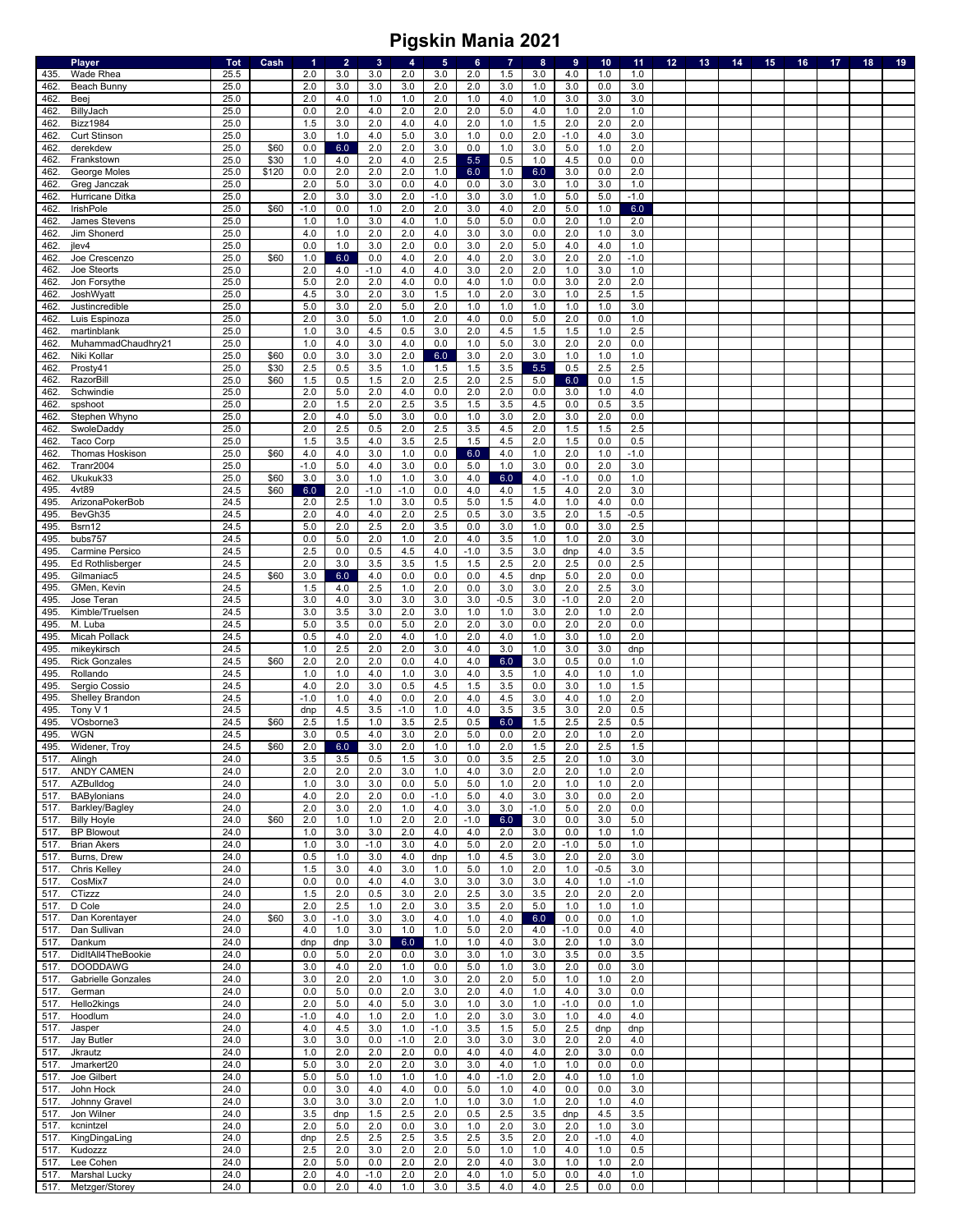|      | Player                  | <b>Tot</b> | Cash  | $\blacktriangleleft$ | $\overline{2}$ | $\mathbf{3}$ | 4      | $5\phantom{.0}$ | 6          | 7       | $\bf8$  | 9      | 10 <sub>1</sub> | 11         | 12 | 13 | 14 | 15 | 16 | 17 | 18 | 19 |
|------|-------------------------|------------|-------|----------------------|----------------|--------------|--------|-----------------|------------|---------|---------|--------|-----------------|------------|----|----|----|----|----|----|----|----|
| 435. | Wade Rhea               | 25.5       |       | 2.0                  | 3.0            | 3.0          | 2.0    | 3.0             | 2.0        | 1.5     | 3.0     | 4.0    | 1.0             | 1.0        |    |    |    |    |    |    |    |    |
| 462  | Beach Bunny             | 25.0       |       | 2.0                  | 3.0            | 3.0          | 3.0    | 2.0             | 2.0        | 3.0     | 1.0     | 3.0    | 0.0             | 3.0        |    |    |    |    |    |    |    |    |
| 462. | Beej                    | 25.0       |       | 2.0                  | 4.0            | 1.0          | 1.0    | 2.0             | 1.0        | 4.0     | 1.0     | 3.0    | 3.0             | 3.0        |    |    |    |    |    |    |    |    |
| 462. | BillyJach               | 25.0       |       | 0.0                  | 2.0            | 4.0          | 2.0    | 2.0             | 2.0        | 5.0     | 4.0     | 1.0    | 2.0             | 1.0        |    |    |    |    |    |    |    |    |
| 462  | <b>Bizz1984</b>         | 25.0       |       | 1.5                  | 3.0            | 2.0          | 4.0    | 4.0             | 2.0        | 1.0     | 1.5     | 2.0    | 2.0             | 2.0        |    |    |    |    |    |    |    |    |
| 462  | <b>Curt Stinson</b>     | 25.0       |       | 3.0                  | 1.0            | 4.0          | 5.0    | 3.0             | 1.0        | 0.0     | 2.0     | $-1.0$ | 4.0             | 3.0        |    |    |    |    |    |    |    |    |
| 462  | derekdew                | 25.0       | \$60  | 0.0                  | 6.0            | 2.0          | 2.0    | 3.0             | 0.0        | 1.0     | 3.0     | 5.0    | 1.0             | 2.0        |    |    |    |    |    |    |    |    |
| 462  | Frankstown              | 25.0       | \$30  | 1.0                  | 4.0            | 2.0          | 4.0    | 2.5             | 5.5        | 0.5     | 1.0     | 4.5    | 0.0             | 0.0        |    |    |    |    |    |    |    |    |
| 462  | George Moles            | 25.0       | \$120 | 0.0                  | 2.0            | 2.0          | 2.0    | 1.0             | 6.0        | 1.0     | 6.0     | 3.0    | 0.0             | 2.0        |    |    |    |    |    |    |    |    |
| 462  | Greg Janczak            | 25.0       |       | 2.0                  | 5.0            | 3.0          | 0.0    | 4.0             | 0.0        | 3.0     | 3.0     | 1.0    | 3.0             | 1.0        |    |    |    |    |    |    |    |    |
|      |                         |            |       |                      |                |              |        |                 |            |         |         |        |                 | $-1.0$     |    |    |    |    |    |    |    |    |
| 462. | Hurricane Ditka         | 25.0       |       | 2.0                  | 3.0            | $3.0\,$      | 2.0    | $-1.0$          | 3.0        | 3.0     | 1.0     | $5.0$  | 5.0             |            |    |    |    |    |    |    |    |    |
| 462  | <b>IrishPole</b>        | 25.0       | \$60  | $-1.0$               | 0.0            | 1.0          | 2.0    | 2.0             | 3.0        | 4.0     | 2.0     | 5.0    | 1.0             | 6.0        |    |    |    |    |    |    |    |    |
| 462  | James Stevens           | 25.0       |       | 1.0                  | 1.0            | 3.0          | 4.0    | 1.0             | 5.0        | $5.0\,$ | 0.0     | 2.0    | 1.0             | 2.0        |    |    |    |    |    |    |    |    |
| 462  | Jim Shonerd             | 25.0       |       | 4.0                  | 1.0            | 2.0          | 2.0    | 4.0             | 3.0        | 3.0     | 0.0     | 2.0    | 1.0             | 3.0        |    |    |    |    |    |    |    |    |
| 462  | jlev4                   | 25.0       |       | 0.0                  | 1.0            | 3.0          | 2.0    | 0.0             | 3.0        | 2.0     | 5.0     | 4.0    | 4.0             | 1.0        |    |    |    |    |    |    |    |    |
| 462  | Joe Crescenzo           | 25.0       | \$60  | 1.0                  | 6.0            | 0.0          | 4.0    | 2.0             | 4.0        | 2.0     | 3.0     | 2.0    | 2.0             | $-1.0$     |    |    |    |    |    |    |    |    |
| 462  | Joe Steorts             | 25.0       |       | 2.0                  | 4.0            | $-1.0$       | 4.0    | 4.0             | 3.0        | 2.0     | 2.0     | 1.0    | 3.0             | 1.0        |    |    |    |    |    |    |    |    |
| 462  | Jon Forsythe            | 25.0       |       | 5.0                  | 2.0            | 2.0          | 4.0    | 0.0             | 4.0        | 1.0     | 0.0     | 3.0    | 2.0             | 2.0        |    |    |    |    |    |    |    |    |
| 462. | JoshWyatt               | 25.0       |       | 4.5                  | 3.0            | 2.0          | 3.0    | 1.5             | 1.0        | 2.0     | 3.0     | 1.0    | 2.5             | 1.5        |    |    |    |    |    |    |    |    |
| 462  | Justincredible          | 25.0       |       | 5.0                  | 3.0            | 2.0          | 5.0    | 2.0             | 1.0        | 1.0     | 1.0     | 1.0    | 1.0             | 3.0        |    |    |    |    |    |    |    |    |
| 462  | Luis Espinoza           | 25.0       |       | 2.0                  | 3.0            | 5.0          | 1.0    | 2.0             | 4.0        | 0.0     | 5.0     | 2.0    | 0.0             | 1.0        |    |    |    |    |    |    |    |    |
| 462. | martinblank             | 25.0       |       | 1.0                  | 3.0            | 4.5          | 0.5    | 3.0             | 2.0        | 4.5     | 1.5     | 1.5    | 1.0             | 2.5        |    |    |    |    |    |    |    |    |
| 462  | MuhammadChaudhry21      | 25.0       |       | 1.0                  | 4.0            | 3.0          | 4.0    | 0.0             | 1.0        | 5.0     | 3.0     | 2.0    | 2.0             | 0.0        |    |    |    |    |    |    |    |    |
| 462  | Niki Kollar             | 25.0       | \$60  | 0.0                  | 3.0            | 3.0          | 2.0    | 6.0             | 3.0        | 2.0     | 3.0     | 1.0    | 1.0             | 1.0        |    |    |    |    |    |    |    |    |
| 462. | Prosty41                | 25.0       | \$30  | 2.5                  | 0.5            | 3.5          | 1.0    | 1.5             | 1.5        | 3.5     | 5.5     | 0.5    | 2.5             | 2.5        |    |    |    |    |    |    |    |    |
| 462  | RazorBill               | 25.0       | \$60  | 1.5                  | 0.5            | 1.5          | 2.0    | 2.5             | 2.0        | 2.5     | 5.0     | 6.0    | 0.0             | 1.5        |    |    |    |    |    |    |    |    |
| 462  | Schwindie               | 25.0       |       | 2.0                  |                |              |        |                 |            |         | 0.0     |        |                 |            |    |    |    |    |    |    |    |    |
| 462  | spshoot                 | 25.0       |       | 2.0                  | 5.0            | 2.0<br>2.0   | 4.0    | 0.0             | 2.0        | 2.0     |         | 3.0    | 1.0<br>0.5      | 4.0<br>3.5 |    |    |    |    |    |    |    |    |
|      |                         |            |       |                      | 1.5            |              | 2.5    | 3.5             | 1.5<br>1.0 | 3.5     | 4.5     | 0.0    |                 | 0.0        |    |    |    |    |    |    |    |    |
| 462  | Stephen Whyno           | 25.0       |       | 2.0                  | 4.0            | 5.0          | 3.0    | 0.0             |            | 3.0     | 2.0     | 3.0    | 2.0             |            |    |    |    |    |    |    |    |    |
| 462. | SwoleDaddy              | 25.0       |       | 2.0                  | 2.5            | 0.5          | 2.0    | 2.5             | 3.5        | 4.5     | 2.0     | 1.5    | 1.5             | 2.5        |    |    |    |    |    |    |    |    |
| 462  | Taco Corp               | 25.0       |       | 1.5                  | 3.5            | 4.0          | 3.5    | 2.5             | 1.5        | 4.5     | 2.0     | 1.5    | 0.0             | 0.5        |    |    |    |    |    |    |    |    |
| 462  | Thomas Hoskison         | 25.0       | \$60  | 4.0                  | 4.0            | 3.0          | 1.0    | 0.0             | 6.0        | 4.0     | 1.0     | 2.0    | 1.0             | $-1.0$     |    |    |    |    |    |    |    |    |
| 462  | Tranr2004               | 25.0       |       | $-1.0$               | 5.0            | 4.0          | 3.0    | 0.0             | 5.0        | 1.0     | 3.0     | 0.0    | 2.0             | 3.0        |    |    |    |    |    |    |    |    |
| 462  | Ukukuk33                | 25.0       | \$60  | 3.0                  | 3.0            | 1.0          | 1.0    | 3.0             | 4.0        | 6.0     | 4.0     | $-1.0$ | 0.0             | 1.0        |    |    |    |    |    |    |    |    |
| 495  | 4vt89                   | 24.5       | \$60  | 6.0                  | 2.0            | $-1.0$       | $-1.0$ | 0.0             | 4.0        | 4.0     | 1.5     | 4.0    | 2.0             | 3.0        |    |    |    |    |    |    |    |    |
| 495  | ArizonaPokerBob         | 24.5       |       | 2.0                  | 2.5            | 1.0          | 3.0    | 0.5             | 5.0        | 1.5     | 4.0     | 1.0    | 4.0             | 0.0        |    |    |    |    |    |    |    |    |
| 495  | BevGh35                 | 24.5       |       | 2.0                  | 4.0            | 4.0          | 2.0    | 2.5             | 0.5        | 3.0     | 3.5     | 2.0    | 1.5             | $-0.5$     |    |    |    |    |    |    |    |    |
| 495. | Bsrn12                  | 24.5       |       | 5.0                  | 2.0            | 2.5          | 2.0    | 3.5             | 0.0        | 3.0     | 1.0     | 0.0    | 3.0             | 2.5        |    |    |    |    |    |    |    |    |
| 495  | bubs757                 | 24.5       |       | 0.0                  | 5.0            | 2.0          | 1.0    | 2.0             | 4.0        | 3.5     | 1.0     | 1.0    | 2.0             | 3.0        |    |    |    |    |    |    |    |    |
| 495  | Carmine Persico         | 24.5       |       | 2.5                  | 0.0            | 0.5          | 4.5    | 4.0             | $-1.0$     | 3.5     | 3.0     | dnp    | 4.0             | 3.5        |    |    |    |    |    |    |    |    |
| 495. | <b>Ed Rothlisberger</b> | 24.5       |       | 2.0                  | 3.0            | 3.5          | 3.5    | 1.5             | 1.5        | 2.5     | 2.0     | 2.5    | 0.0             | 2.5        |    |    |    |    |    |    |    |    |
| 495. | Gilmaniac5              | 24.5       | \$60  | 3.0                  | 6.0            | 4.0          | 0.0    | 0.0             | 0.0        | 4.5     | dnp     | 5.0    | 2.0             | 0.0        |    |    |    |    |    |    |    |    |
|      |                         |            |       |                      |                | 2.5          |        |                 |            |         |         |        |                 |            |    |    |    |    |    |    |    |    |
| 495  | GMen, Kevin             | 24.5       |       | 1.5                  | 4.0            |              | 1.0    | 2.0             | 0.0        | 3.0     | 3.0     | 2.0    | 2.5             | 3.0        |    |    |    |    |    |    |    |    |
| 495  | Jose Teran              | 24.5       |       | 3.0                  | 4.0            | 3.0          | 3.0    | 3.0             | 3.0        | $-0.5$  | 3.0     | $-1.0$ | 2.0             | 2.0        |    |    |    |    |    |    |    |    |
| 495. | Kimble/Truelsen         | 24.5       |       | 3.0                  | 3.5            | 3.0          | 2.0    | 3.0             | 1.0        | 1.0     | 3.0     | 2.0    | 1.0             | 2.0        |    |    |    |    |    |    |    |    |
| 495. | M. Luba                 | 24.5       |       | 5.0                  | 3.5            | 0.0          | 5.0    | 2.0             | 2.0        | 3.0     | 0.0     | 2.0    | 2.0             | 0.0        |    |    |    |    |    |    |    |    |
| 495  | Micah Pollack           | 24.5       |       | 0.5                  | 4.0            | 2.0          | 4.0    | 1.0             | 2.0        | 4.0     | 1.0     | 3.0    | 1.0             | 2.0        |    |    |    |    |    |    |    |    |
| 495. | mikeykirsch             | 24.5       |       | 1.0                  | 2.5            | 2.0          | 2.0    | 3.0             | 4.0        | 3.0     | 1.0     | 3.0    | 3.0             | dnp        |    |    |    |    |    |    |    |    |
| 495. | <b>Rick Gonzales</b>    | 24.5       | \$60  | 2.0                  | 2.0            | 2.0          | 0.0    | 4.0             | 4.0        | 6.0     | 3.0     | 0.5    | 0.0             | 1.0        |    |    |    |    |    |    |    |    |
| 495. | Rollando                | 24.5       |       | 1.0                  | 1.0            | 4.0          | 1.0    | 3.0             | 4.0        | 3.5     | 1.0     | 4.0    | 1.0             | 1.0        |    |    |    |    |    |    |    |    |
| 495  | Sergio Cossio           | 24.5       |       | 4.0                  | 2.0            | 3.0          | 0.5    | 4.5             | 1.5        | 3.5     | 0.0     | 3.0    | 1.0             | 1.5        |    |    |    |    |    |    |    |    |
| 495  | Shelley Brandon         | 24.5       |       | $-1.0$               | 1.0            | 4.0          | 0.0    | 2.0             | 4.0        | 4.5     | 3.0     | 4.0    | 1.0             | 2.0        |    |    |    |    |    |    |    |    |
| 495. | Tony V 1                | 24.5       |       | dnp                  | 4.5            | 3.5          | $-1.0$ | 1.0             | 4.0        | 3.5     | 3.5     | 3.0    | 2.0             | 0.5        |    |    |    |    |    |    |    |    |
| 495  | VOsborne3               | 24.5       | \$60  | 2.5                  | 1.5            | 1.0          | 3.5    | 2.5             | 0.5        | 6.0     | 1.5     | 2.5    | 2.5             | 0.5        |    |    |    |    |    |    |    |    |
| 495. | <b>WGN</b>              | 24.5       |       | 3.0                  | 0.5            | 4.0          | 3.0    | 2.0             | 5.0        | 0.0     | 2.0     | 2.0    | 1.0             | 2.0        |    |    |    |    |    |    |    |    |
| 495. | Widener, Troy           | 24.5       | \$60  | 2.0                  | 6.0            | 3.0          | 2.0    | 1.0             | 1.0        | 2.0     | 1.5     | 2.0    | 2.5             | 1.5        |    |    |    |    |    |    |    |    |
| 517. | Alingh                  | 24.0       |       | 3.5                  | 3.5            | 0.5          | 1.5    | 3.0             | 0.0        | 3.5     | 2.5     | 2.0    | 1.0             | 3.0        |    |    |    |    |    |    |    |    |
| 517. | ANDY CAMEN              | 24.0       |       | 2.0                  | 2.0            | 2.0          | 3.0    | 1.0             | 4.0        | 3.0     | 2.0     | 2.0    | 1.0             | 2.0        |    |    |    |    |    |    |    |    |
| 517. | AZBulldog               | 24.0       |       | 1.0                  | 3.0            | 3.0          | 0.0    | 5.0             | 5.0        | 1.0     | 2.0     | 1.0    | 1.0             | 2.0        |    |    |    |    |    |    |    |    |
| 517. | BABylonians             | 24.0       |       | 4.0                  | 2.0            | 2.0          | 0.0    | $-1.0$          | 5.0        | 4.0     | 3.0     | 3.0    | 0.0             | 2.0        |    |    |    |    |    |    |    |    |
| 517. | Barkley/Bagley          | 24.0       |       | 2.0                  | 3.0            | 2.0          | 1.0    | 4.0             | 3.0        | $3.0\,$ | $-1.0$  | 5.0    | 2.0             | 0.0        |    |    |    |    |    |    |    |    |
|      |                         | 24.0       | \$60  |                      |                |              | 2.0    | 2.0             | $-1.0$     |         |         |        |                 | 5.0        |    |    |    |    |    |    |    |    |
| 517. | <b>Billy Hoyle</b>      |            |       | 2.0                  | 1.0            | 1.0          |        |                 |            | 6.0     | 3.0     | 0.0    | 3.0             |            |    |    |    |    |    |    |    |    |
| 517. | <b>BP Blowout</b>       | 24.0       |       | 1.0                  | 3.0            | 3.0          | 2.0    | 4.0             | 4.0        | 2.0     | 3.0     | 0.0    | 1.0             | 1.0        |    |    |    |    |    |    |    |    |
| 517. | <b>Brian Akers</b>      | 24.0       |       | 1.0                  | 3.0            | $-1.0$       | 3.0    | 4.0             | 5.0        | 2.0     | 2.0     | $-1.0$ | 5.0             | 1.0        |    |    |    |    |    |    |    |    |
| 517. | Burns, Drew             | 24.0       |       | 0.5                  | 1.0            | $3.0\,$      | 4.0    | dnp             | 1.0        | 4.5     | 3.0     | 2.0    | 2.0             | 3.0        |    |    |    |    |    |    |    |    |
| 517. | <b>Chris Kelley</b>     | 24.0       |       | 1.5                  | 3.0            | 4.0          | 3.0    | 1.0             | 5.0        | 1.0     | 2.0     | 1.0    | $-0.5$          | 3.0        |    |    |    |    |    |    |    |    |
| 517. | CosMix7                 | 24.0       |       | 0.0                  | 0.0            | 4.0          | 4.0    | 3.0             | 3.0        | 3.0     | 3.0     | 4.0    | 1.0             | $-1.0$     |    |    |    |    |    |    |    |    |
| 517. | CTizzz                  | 24.0       |       | 1.5                  | 2.0            | 0.5          | 3.0    | 2.0             | 2.5        | 3.0     | 3.5     | 2.0    | 2.0             | 2.0        |    |    |    |    |    |    |    |    |
| 517. | D Cole                  | 24.0       |       | 2.0                  | 2.5            | 1.0          | 2.0    | 3.0             | 3.5        | 2.0     | $5.0\,$ | 1.0    | 1.0             | 1.0        |    |    |    |    |    |    |    |    |
| 517. | Dan Korentayer          | 24.0       | \$60  | 3.0                  | $-1.0$         | 3.0          | 3.0    | 4.0             | 1.0        | 4.0     | 6.0     | 0.0    | 0.0             | 1.0        |    |    |    |    |    |    |    |    |
| 517. | Dan Sullivan            | 24.0       |       | 4.0                  | 1.0            | 3.0          | 1.0    | 1.0             | 5.0        | 2.0     | 4.0     | $-1.0$ | 0.0             | 4.0        |    |    |    |    |    |    |    |    |
| 517. | Dankum                  | 24.0       |       | dnp                  | dnp            | 3.0          | 6.0    | 1.0             | 1.0        | 4.0     | 3.0     | 2.0    | 1.0             | 3.0        |    |    |    |    |    |    |    |    |
| 517. | DidItAll4TheBookie      | 24.0       |       | 0.0                  | 5.0            | 2.0          | 0.0    | 3.0             | 3.0        | 1.0     | 3.0     | 3.5    | 0.0             | 3.5        |    |    |    |    |    |    |    |    |
| 517. | <b>DOODDAWG</b>         | 24.0       |       | 3.0                  | 4.0            | 2.0          | 1.0    | 0.0             | 5.0        | 1.0     | 3.0     | 2.0    | 0.0             | 3.0        |    |    |    |    |    |    |    |    |
| 517. | Gabrielle Gonzales      | 24.0       |       | 3.0                  | 2.0            | 2.0          | 1.0    | 3.0             | 2.0        | 2.0     | 5.0     | 1.0    | 1.0             | 2.0        |    |    |    |    |    |    |    |    |
| 517. | German                  | 24.0       |       | 0.0                  | $5.0\,$        | 0.0          | 2.0    | 3.0             | 2.0        | 4.0     | 1.0     | 4.0    | 3.0             | 0.0        |    |    |    |    |    |    |    |    |
| 517. | Hello2kings             | 24.0       |       | 2.0                  | 5.0            | 4.0          | 5.0    | 3.0             | 1.0        | 3.0     | 1.0     | $-1.0$ | 0.0             | 1.0        |    |    |    |    |    |    |    |    |
| 517. | Hoodlum                 | 24.0       |       | $-1.0$               | 4.0            | 1.0          | 2.0    | 1.0             | 2.0        | 3.0     | 3.0     | 1.0    | 4.0             | 4.0        |    |    |    |    |    |    |    |    |
| 517. | Jasper                  | 24.0       |       | 4.0                  | 4.5            | 3.0          | 1.0    | $-1.0$          | 3.5        | 1.5     | $5.0\,$ | 2.5    | dnp             | dnp        |    |    |    |    |    |    |    |    |
|      |                         |            |       | 3.0                  |                |              |        |                 |            |         |         |        |                 |            |    |    |    |    |    |    |    |    |
| 517. | Jay Butler              | 24.0       |       |                      | 3.0            | 0.0          | $-1.0$ | 2.0             | 3.0        | 3.0     | 3.0     | 2.0    | 2.0             | 4.0        |    |    |    |    |    |    |    |    |
| 517. | Jkrautz                 | 24.0       |       | 1.0                  | 2.0            | 2.0          | 2.0    | 0.0             | 4.0        | 4.0     | 4.0     | 2.0    | 3.0             | 0.0        |    |    |    |    |    |    |    |    |
| 517. | Jmarkert20              | 24.0       |       | 5.0                  | 3.0            | 2.0          | 2.0    | 3.0             | 3.0        | $4.0\,$ | 1.0     | 1.0    | 0.0             | 0.0        |    |    |    |    |    |    |    |    |
| 517. | Joe Gilbert             | 24.0       |       | 5.0                  | 5.0            | 1.0          | 1.0    | 1.0             | 4.0        | $-1.0$  | 2.0     | 4.0    | 1.0             | 1.0        |    |    |    |    |    |    |    |    |
| 517. | John Hock               | 24.0       |       | 0.0                  | 3.0            | 4.0          | 4.0    | 0.0             | 5.0        | 1.0     | 4.0     | 0.0    | 0.0             | 3.0        |    |    |    |    |    |    |    |    |
| 517. | Johnny Gravel           | 24.0       |       | 3.0                  | 3.0            | 3.0          | 2.0    | 1.0             | 1.0        | 3.0     | 1.0     | 2.0    | 1.0             | 4.0        |    |    |    |    |    |    |    |    |
| 517. | Jon Wilner              | 24.0       |       | 3.5                  | dnp            | 1.5          | 2.5    | 2.0             | 0.5        | 2.5     | 3.5     | dnp    | 4.5             | 3.5        |    |    |    |    |    |    |    |    |
| 517. | kcnintzel               | 24.0       |       | 2.0                  | 5.0            | 2.0          | 0.0    | 3.0             | 1.0        | 2.0     | 3.0     | 2.0    | 1.0             | 3.0        |    |    |    |    |    |    |    |    |
| 517. | KingDingaLing           | 24.0       |       | dnp                  | 2.5            | 2.5          | 2.5    | 3.5             | 2.5        | 3.5     | 2.0     | 2.0    | $-1.0$          | 4.0        |    |    |    |    |    |    |    |    |
| 517. | Kudozzz                 | 24.0       |       | 2.5                  | 2.0            | 3.0          | 2.0    | 2.0             | 5.0        | 1.0     | 1.0     | 4.0    | 1.0             | 0.5        |    |    |    |    |    |    |    |    |
| 517. | Lee Cohen               | 24.0       |       | 2.0                  | 5.0            | 0.0          | 2.0    | 2.0             | 2.0        | 4.0     | 3.0     | 1.0    | 1.0             | 2.0        |    |    |    |    |    |    |    |    |
| 517. | Marshal Lucky           | 24.0       |       | 2.0                  | 4.0            | $-1.0$       | 2.0    | 2.0             | 4.0        | 1.0     | 5.0     | 0.0    | 4.0             | 1.0        |    |    |    |    |    |    |    |    |
| 517. | Metzger/Storey          | 24.0       |       | 0.0                  | 2.0            | 4.0          | 1.0    | 3.0             | 3.5        | 4.0     | 4.0     | 2.5    | 0.0             | 0.0        |    |    |    |    |    |    |    |    |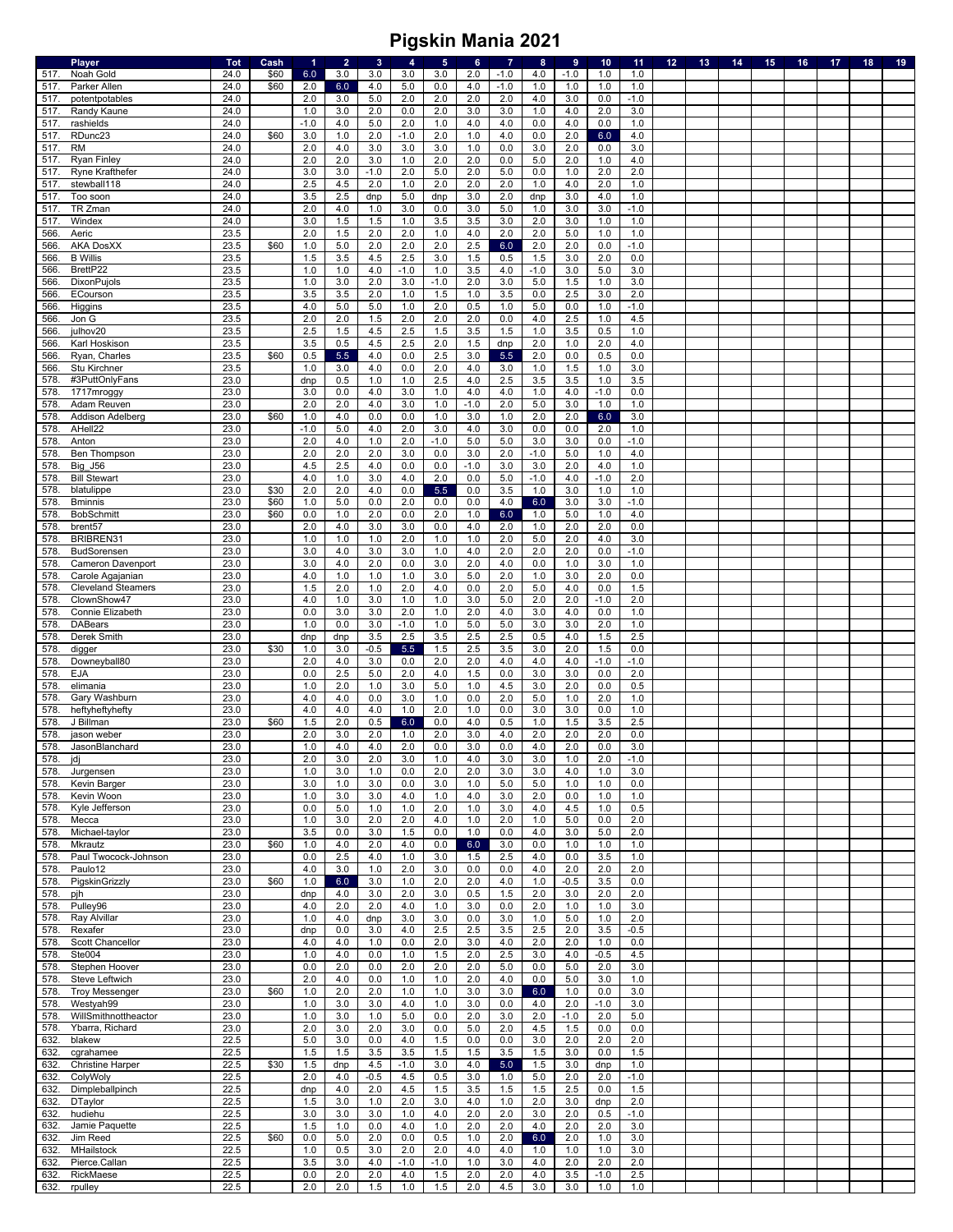|              | Player                                   | <b>Tot</b>   | Cash | 1          | $\overline{2}$ | 3 <sup>2</sup> | $\overline{4}$ | $5\phantom{.0}$ | $6\phantom{a}$ | $\overline{7}$ | $\bf{8}$       | $\overline{9}$ | 10         | 11            | 12 <sub>2</sub> | 13 <sub>1</sub> | 14 | 15 | 16 | 17 | 18 | 19 |
|--------------|------------------------------------------|--------------|------|------------|----------------|----------------|----------------|-----------------|----------------|----------------|----------------|----------------|------------|---------------|-----------------|-----------------|----|----|----|----|----|----|
| 517.         | Noah Gold                                | 24.0         | \$60 | 6.0        | 3.0            | 3.0            | 3.0            | 3.0             | 2.0            | $-1.0$         | 4.0            | $-1.0$         | 1.0        | 1.0           |                 |                 |    |    |    |    |    |    |
| 517.         | Parker Allen                             | 24.0         | \$60 | 2.0        | 6.0            | 4.0            | 5.0            | 0.0             | 4.0            | $-1.0$         | 1.0            | 1.0            | 1.0        | 1.0           |                 |                 |    |    |    |    |    |    |
| 517.         | potentpotables                           | 24.0         |      | 2.0        | 3.0            | 5.0            | 2.0            | 2.0             | 2.0            | 2.0            | 4.0            | 3.0            | 0.0        | $-1.0$        |                 |                 |    |    |    |    |    |    |
| 517          | Randy Kaune                              | 24.0         |      | 1.0        | 3.0            | 2.0            | 0.0            | 2.0             | 3.0            | 3.0            | 1.0            | 4.0            | 2.0        | 3.0           |                 |                 |    |    |    |    |    |    |
| 517          | rashields                                | 24.0         |      | $-1.0$     | 4.0            | 5.0            | 2.0            | $1.0$           | 4.0            | 4.0            | 0.0            | 4.0            | 0.0        | 1.0           |                 |                 |    |    |    |    |    |    |
| 517.         | RDunc23                                  | 24.0         | \$60 | 3.0        | 1.0            | 2.0            | $-1.0$         | 2.0             | 1.0            | 4.0            | 0.0            | 2.0            | 6.0        | 4.0           |                 |                 |    |    |    |    |    |    |
| 517.<br>517  | <b>RM</b><br><b>Ryan Finley</b>          | 24.0<br>24.0 |      | 2.0<br>2.0 | 4.0<br>2.0     | 3.0<br>3.0     | 3.0<br>1.0     | 3.0<br>2.0      | 1.0<br>2.0     | 0.0<br>0.0     | 3.0<br>5.0     | 2.0<br>2.0     | 0.0<br>1.0 | 3.0<br>4.0    |                 |                 |    |    |    |    |    |    |
| 517.         | Ryne Krafthefer                          | 24.0         |      | 3.0        | 3.0            | $-1.0$         | 2.0            | 5.0             | 2.0            | $5.0\,$        | 0.0            | 1.0            | 2.0        | 2.0           |                 |                 |    |    |    |    |    |    |
| 517.         | stewball118                              | 24.0         |      | 2.5        | 4.5            | 2.0            | 1.0            | 2.0             | 2.0            | 2.0            | 1.0            | 4.0            | 2.0        | 1.0           |                 |                 |    |    |    |    |    |    |
| 517.         | Too soon                                 | 24.0         |      | 3.5        | 2.5            | dnp            | 5.0            | dnp             | 3.0            | 2.0            | dnp            | 3.0            | 4.0        | 1.0           |                 |                 |    |    |    |    |    |    |
| 517          | TR Zman                                  | 24.0         |      | 2.0        | 4.0            | 1.0            | 3.0            | 0.0             | 3.0            | 5.0            | 1.0            | 3.0            | 3.0        | $-1.0$        |                 |                 |    |    |    |    |    |    |
| 517          | Windex                                   | 24.0         |      | 3.0        | 1.5            | 1.5            | 1.0            | 3.5             | 3.5            | 3.0            | 2.0            | 3.0            | 1.0        | 1.0           |                 |                 |    |    |    |    |    |    |
| 566          | Aeric                                    | 23.5         |      | 2.0        | 1.5            | 2.0            | 2.0            | 1.0             | 4.0            | 2.0            | 2.0            | 5.0            | 1.0        | 1.0           |                 |                 |    |    |    |    |    |    |
| 566          | <b>AKA DosXX</b>                         | 23.5         | \$60 | 1.0        | 5.0            | 2.0            | 2.0            | 2.0             | 2.5            | 6.0            | 2.0            | 2.0            | 0.0        | $-1.0$        |                 |                 |    |    |    |    |    |    |
| 566          | <b>B</b> Willis                          | 23.5         |      | 1.5        | 3.5            | 4.5            | 2.5            | 3.0             | 1.5            | 0.5            | 1.5            | 3.0            | 2.0        | 0.0           |                 |                 |    |    |    |    |    |    |
| 566          | BrettP22                                 | 23.5         |      | 1.0        | 1.0            | 4.0            | $-1.0$         | 1.0             | 3.5            | 4.0            | $-1.0$         | 3.0            | 5.0        | 3.0           |                 |                 |    |    |    |    |    |    |
| 566          | <b>DixonPujols</b>                       | 23.5         |      | 1.0        | 3.0            | 2.0            | 3.0            | $-1.0$          | 2.0            | 3.0            | $5.0$          | 1.5            | 1.0        | 3.0           |                 |                 |    |    |    |    |    |    |
| 566          | ECourson                                 | 23.5         |      | 3.5        | 3.5            | 2.0            | 1.0            | 1.5             | 1.0            | 3.5            | 0.0            | 2.5            | 3.0        | 2.0           |                 |                 |    |    |    |    |    |    |
| 566          | Higgins                                  | 23.5         |      | 4.0        | 5.0            | 5.0            | 1.0            | 2.0             | 0.5            | 1.0            | 5.0            | 0.0            | 1.0        | $-1.0$        |                 |                 |    |    |    |    |    |    |
| 566          | Jon G                                    | 23.5         |      | 2.0        | 2.0            | 1.5            | 2.0            | 2.0             | 2.0            | 0.0            | 4.0            | 2.5            | 1.0        | 4.5           |                 |                 |    |    |    |    |    |    |
| 566          | julhov20                                 | 23.5         |      | 2.5        | 1.5            | 4.5            | 2.5            | 1.5             | 3.5            | 1.5            | 1.0            | 3.5            | 0.5        | 1.0           |                 |                 |    |    |    |    |    |    |
| 566          | Karl Hoskison                            | 23.5<br>23.5 | \$60 | 3.5        | 0.5<br>5.5     | 4.5<br>4.0     | 2.5<br>0.0     | 2.0<br>2.5      | 1.5<br>3.0     | dnp<br>$5.5\,$ | 2.0<br>2.0     | 1.0<br>0.0     | 2.0<br>0.5 | 4.0<br>0.0    |                 |                 |    |    |    |    |    |    |
| 566<br>566   | Ryan, Charles<br>Stu Kirchner            | 23.5         |      | 0.5<br>1.0 | 3.0            | 4.0            | 0.0            | 2.0             | 4.0            | 3.0            | 1.0            | 1.5            | 1.0        | 3.0           |                 |                 |    |    |    |    |    |    |
| 578          | #3PuttOnlyFans                           | 23.0         |      | dnp        | 0.5            | 1.0            | 1.0            | 2.5             | 4.0            | 2.5            | 3.5            | 3.5            | 1.0        | 3.5           |                 |                 |    |    |    |    |    |    |
| 578          | 1717mroggy                               | 23.0         |      | 3.0        | 0.0            | 4.0            | 3.0            | 1.0             | 4.0            | 4.0            | 1.0            | 4.0            | $-1.0$     | 0.0           |                 |                 |    |    |    |    |    |    |
| 578          | Adam Reuven                              | 23.0         |      | 2.0        | 2.0            | 4.0            | 3.0            | 1.0             | $-1.0$         | 2.0            | 5.0            | 3.0            | 1.0        | 1.0           |                 |                 |    |    |    |    |    |    |
| 578          | Addison Adelberg                         | 23.0         | \$60 | 1.0        | 4.0            | 0.0            | 0.0            | 1.0             | 3.0            | 1.0            | 2.0            | 2.0            | 6.0        | 3.0           |                 |                 |    |    |    |    |    |    |
| 578.         | AHell22                                  | 23.0         |      | $-1.0$     | 5.0            | 4.0            | 2.0            | 3.0             | 4.0            | 3.0            | $0.0\,$        | 0.0            | 2.0        | 1.0           |                 |                 |    |    |    |    |    |    |
| 578          | Anton                                    | 23.0         |      | 2.0        | 4.0            | 1.0            | 2.0            | $-1.0$          | 5.0            | $5.0\,$        | 3.0            | 3.0            | 0.0        | $-1.0$        |                 |                 |    |    |    |    |    |    |
| 578          | <b>Ben Thompson</b>                      | 23.0         |      | 2.0        | 2.0            | 2.0            | 3.0            | 0.0             | 3.0            | 2.0            | $-1.0$         | 5.0            | 1.0        | 4.0           |                 |                 |    |    |    |    |    |    |
| 578          | Big J56                                  | 23.0         |      | 4.5        | 2.5            | 4.0            | 0.0            | 0.0             | $-1.0$         | 3.0            | 3.0            | 2.0            | 4.0        | 1.0           |                 |                 |    |    |    |    |    |    |
| 578          | <b>Bill Stewart</b>                      | 23.0         |      | 4.0        | 1.0            | 3.0            | 4.0            | 2.0             | 0.0            | $5.0\,$        | $-1.0$         | 4.0            | $-1.0$     | 2.0           |                 |                 |    |    |    |    |    |    |
| 578          | blatulippe                               | 23.0         | \$30 | 2.0        | 2.0            | 4.0            | 0.0            | 5.5             | 0.0            | 3.5            | 1.0            | 3.0            | 1.0        | 1.0           |                 |                 |    |    |    |    |    |    |
| 578          | <b>Bminnis</b>                           | 23.0         | \$60 | 1.0        | 5.0            | 0.0            | 2.0            | 0.0             | 0.0            | 4.0            | 6.0            | 3.0            | 3.0        | $-1.0$        |                 |                 |    |    |    |    |    |    |
| 578          | <b>BobSchmitt</b>                        | 23.0         | \$60 | 0.0        | 1.0            | 2.0            | 0.0            | 2.0             | 1.0            | 6.0            | 1.0            | 5.0            | 1.0        | 4.0           |                 |                 |    |    |    |    |    |    |
| 578          | brent <sub>57</sub>                      | 23.0         |      | 2.0        | 4.0            | 3.0            | 3.0            | 0.0             | 4.0            | 2.0            | 1.0            | 2.0            | 2.0        | 0.0           |                 |                 |    |    |    |    |    |    |
| 578.         | BRIBREN31                                | 23.0         |      | 1.0        | 1.0            | 1.0            | 2.0            | 1.0             | 1.0            | 2.0            | $5.0$          | 2.0            | 4.0        | 3.0           |                 |                 |    |    |    |    |    |    |
| 578.         | <b>BudSorensen</b>                       | 23.0         |      | 3.0        | 4.0            | 3.0            | 3.0            | 1.0             | 4.0            | 2.0            | 2.0            | 2.0            | 0.0        | $-1.0$        |                 |                 |    |    |    |    |    |    |
| 578          | Cameron Davenport                        | 23.0         |      | 3.0<br>4.0 | 4.0            | 2.0            | 0.0            | 3.0             | 2.0            | 4.0            | $0.0\,$        | 1.0            | 3.0        | 1.0           |                 |                 |    |    |    |    |    |    |
| 578.<br>578  | Carole Agajanian                         | 23.0<br>23.0 |      | 1.5        | 1.0<br>2.0     | 1.0<br>$1.0$   | 1.0<br>2.0     | 3.0<br>4.0      | 5.0<br>0.0     | 2.0<br>2.0     | 1.0<br>$5.0\,$ | 3.0<br>4.0     | 2.0<br>0.0 | 0.0<br>1.5    |                 |                 |    |    |    |    |    |    |
| 578          | <b>Cleveland Steamers</b><br>ClownShow47 | 23.0         |      | 4.0        | 1.0            | 3.0            | 1.0            | 1.0             | 3.0            | $5.0\,$        | 2.0            | 2.0            | $-1.0$     | 2.0           |                 |                 |    |    |    |    |    |    |
| 578          | Connie Elizabeth                         | 23.0         |      | 0.0        | 3.0            | 3.0            | 2.0            | 1.0             | 2.0            | 4.0            | 3.0            | 4.0            | 0.0        | 1.0           |                 |                 |    |    |    |    |    |    |
| 578.         | <b>DABears</b>                           | 23.0         |      | 1.0        | 0.0            | 3.0            | $-1.0$         | 1.0             | 5.0            | 5.0            | 3.0            | 3.0            | 2.0        | 1.0           |                 |                 |    |    |    |    |    |    |
| 578          | Derek Smith                              | 23.0         |      | dnp        | dnp            | 3.5            | 2.5            | 3.5             | 2.5            | 2.5            | 0.5            | 4.0            | 1.5        | 2.5           |                 |                 |    |    |    |    |    |    |
| 578          | digger                                   | 23.0         | \$30 | 1.0        | 3.0            | $-0.5$         | $5.5$          | 1.5             | 2.5            | 3.5            | 3.0            | 2.0            | 1.5        | 0.0           |                 |                 |    |    |    |    |    |    |
| 578          | Downeyball80                             | 23.0         |      | 2.0        | 4.0            | 3.0            | 0.0            | 2.0             | 2.0            | 4.0            | 4.0            | 4.0            | $-1.0$     | $-1.0$        |                 |                 |    |    |    |    |    |    |
| 578          | <b>EJA</b>                               | 23.0         |      | 0.0        | 2.5            | 5.0            | 2.0            | 4.0             | 1.5            | 0.0            | 3.0            | 3.0            | 0.0        | 2.0           |                 |                 |    |    |    |    |    |    |
| 578          | elimania                                 | 23.0         |      | 1.0        | 2.0            | $1.0$          | 3.0            | 5.0             | 1.0            | 4.5            | 3.0            | 2.0            | 0.0        | 0.5           |                 |                 |    |    |    |    |    |    |
| 578.         | Gary Washburn                            | 23.0         |      | 4.0        | 4.0            | 0.0            | 3.0            | 1.0             | 0.0            | 2.0            | 5.0            | 1.0            | 2.0        | 1.0           |                 |                 |    |    |    |    |    |    |
| 578.         | heftyheftyhefty                          | 23.0         |      | 4.0        | 4.0            | 4.0            | 1.0            | 2.0             | 1.0            | 0.0            | 3.0            | 3.0            | 0.0        | 1.0           |                 |                 |    |    |    |    |    |    |
| 578          | J Billman                                | 23.0         | \$60 | 1.5        | 2.0            | 0.5            | 6.0            | 0.0             | 4.0            | 0.5            | 1.0            | 1.5            | 3.5        | 2.5           |                 |                 |    |    |    |    |    |    |
| 578.         | jason weber                              | 23.0         |      | 2.0<br>1.0 | 3.0            | 2.0<br>4.0     | 1.0            | 2.0             | 3.0            | 4.0            | 2.0            | 2.0            | 2.0        | 0.0           |                 |                 |    |    |    |    |    |    |
| 578.         | JasonBlanchard                           | 23.0         |      |            | 4.0            |                | 2.0            | 0.0             | 3.0            | 0.0            | 4.0            | 2.0            | 0.0        | 3.0           |                 |                 |    |    |    |    |    |    |
| 578.<br>578. | jdj<br>Jurgensen                         | 23.0<br>23.0 |      | 2.0<br>1.0 | 3.0<br>3.0     | 2.0<br>1.0     | 3.0<br>0.0     | 1.0<br>2.0      | 4.0<br>2.0     | 3.0<br>3.0     | 3.0<br>3.0     | 1.0<br>4.0     | 2.0<br>1.0 | $-1.0$<br>3.0 |                 |                 |    |    |    |    |    |    |
| 578.         | Kevin Barger                             | 23.0         |      | 3.0        | 1.0            | 3.0            | $0.0\,$        | 3.0             | 1.0            | $5.0\,$        | $5.0\,$        | 1.0            | 1.0        | 0.0           |                 |                 |    |    |    |    |    |    |
| 578.         | Kevin Woon                               | 23.0         |      | 1.0        | 3.0            | 3.0            | 4.0            | 1.0             | 4.0            | 3.0            | 2.0            | 0.0            | 1.0        | 1.0           |                 |                 |    |    |    |    |    |    |
| 578.         | Kyle Jefferson                           | 23.0         |      | 0.0        | 5.0            | 1.0            | $1.0$          | 2.0             | 1.0            | 3.0            | 4.0            | 4.5            | 1.0        | 0.5           |                 |                 |    |    |    |    |    |    |
| 578.         | Mecca                                    | 23.0         |      | 1.0        | 3.0            | 2.0            | 2.0            | 4.0             | 1.0            | 2.0            | 1.0            | 5.0            | 0.0        | 2.0           |                 |                 |    |    |    |    |    |    |
| 578.         | Michael-taylor                           | 23.0         |      | 3.5        | 0.0            | 3.0            | 1.5            | 0.0             | 1.0            | 0.0            | 4.0            | 3.0            | 5.0        | 2.0           |                 |                 |    |    |    |    |    |    |
| 578.         | Mkrautz                                  | 23.0         | \$60 | 1.0        | 4.0            | 2.0            | 4.0            | 0.0             | 6.0            | 3.0            | $0.0\,$        | 1.0            | 1.0        | 1.0           |                 |                 |    |    |    |    |    |    |
| 578.         | Paul Twocock-Johnson                     | 23.0         |      | 0.0        | 2.5            | 4.0            | 1.0            | 3.0             | 1.5            | 2.5            | 4.0            | 0.0            | 3.5        | 1.0           |                 |                 |    |    |    |    |    |    |
| 578.         | Paulo12                                  | 23.0         |      | 4.0        | 3.0            | 1.0            | 2.0            | 3.0             | 0.0            | 0.0            | 4.0            | 2.0            | 2.0        | 2.0           |                 |                 |    |    |    |    |    |    |
| 578.         | PigskinGrizzly                           | 23.0         | \$60 | 1.0        | 6.0            | $3.0\,$        | 1.0            | 2.0             | 2.0            | 4.0            | $1.0$          | $-0.5$         | 3.5        | 0.0           |                 |                 |    |    |    |    |    |    |
| 578.         | pjh                                      | 23.0         |      | dnp        | 4.0            | 3.0            | 2.0            | 3.0             | 0.5            | 1.5            | 2.0            | 3.0            | 2.0        | 2.0           |                 |                 |    |    |    |    |    |    |
| 578.         | Pulley96                                 | 23.0         |      | 4.0        | 2.0            | 2.0            | 4.0            | 1.0             | 3.0            | 0.0            | 2.0            | 1.0            | 1.0        | 3.0           |                 |                 |    |    |    |    |    |    |
| 578.<br>578. | Ray Alvillar<br>Rexafer                  | 23.0<br>23.0 |      | 1.0<br>dnp | 4.0<br>0.0     | dnp<br>3.0     | 3.0<br>4.0     | 3.0<br>2.5      | 0.0<br>2.5     | 3.0<br>3.5     | 1.0<br>$2.5\,$ | 5.0<br>2.0     | 1.0<br>3.5 | 2.0<br>$-0.5$ |                 |                 |    |    |    |    |    |    |
| 578.         | Scott Chancellor                         | 23.0         |      | 4.0        | 4.0            | 1.0            | 0.0            | 2.0             | 3.0            | 4.0            | 2.0            | 2.0            | 1.0        | 0.0           |                 |                 |    |    |    |    |    |    |
| 578.         | Ste004                                   | 23.0         |      | 1.0        | 4.0            | 0.0            | 1.0            | 1.5             | 2.0            | 2.5            | 3.0            | 4.0            | $-0.5$     | 4.5           |                 |                 |    |    |    |    |    |    |
| 578.         | Stephen Hoover                           | 23.0         |      | 0.0        | 2.0            | 0.0            | 2.0            | 2.0             | 2.0            | $5.0\,$        | 0.0            | 5.0            | 2.0        | 3.0           |                 |                 |    |    |    |    |    |    |
| 578.         | Steve Leftwich                           | 23.0         |      | 2.0        | 4.0            | 0.0            | 1.0            | 1.0             | 2.0            | 4.0            | 0.0            | 5.0            | 3.0        | 1.0           |                 |                 |    |    |    |    |    |    |
| 578.         | <b>Troy Messenger</b>                    | 23.0         | \$60 | 1.0        | 2.0            | 2.0            | $1.0$          | 1.0             | 3.0            | 3.0            | 6.0            | 1.0            | 0.0        | 3.0           |                 |                 |    |    |    |    |    |    |
| 578.         | Westyah99                                | 23.0         |      | 1.0        | 3.0            | 3.0            | 4.0            | 1.0             | 3.0            | 0.0            | 4.0            | 2.0            | $-1.0$     | 3.0           |                 |                 |    |    |    |    |    |    |
| 578.         | WillSmithnottheactor                     | 23.0         |      | 1.0        | 3.0            | 1.0            | 5.0            | 0.0             | 2.0            | 3.0            | 2.0            | $-1.0$         | 2.0        | 5.0           |                 |                 |    |    |    |    |    |    |
| 578.         | Ybarra, Richard                          | 23.0         |      | 2.0        | 3.0            | 2.0            | 3.0            | 0.0             | 5.0            | 2.0            | 4.5            | 1.5            | 0.0        | 0.0           |                 |                 |    |    |    |    |    |    |
| 632.         | blakew                                   | 22.5         |      | 5.0        | 3.0            | 0.0            | 4.0            | 1.5             | 0.0            | 0.0            | 3.0            | 2.0            | 2.0        | 2.0           |                 |                 |    |    |    |    |    |    |
| 632.         | cgrahamee                                | 22.5         |      | 1.5        | 1.5            | $3.5\,$        | 3.5            | 1.5             | 1.5            | 3.5            | 1.5            | 3.0            | 0.0        | 1.5           |                 |                 |    |    |    |    |    |    |
| 632.         | <b>Christine Harper</b>                  | 22.5         | \$30 | 1.5        | dnp            | 4.5            | $-1.0$         | 3.0             | 4.0            | $5.0\,$        | 1.5            | 3.0            | dnp        | 1.0           |                 |                 |    |    |    |    |    |    |
| 632.         | ColyWoly                                 | 22.5         |      | 2.0        | 4.0            | $-0.5$         | 4.5            | 0.5             | 3.0            | 1.0            | 5.0            | 2.0            | 2.0        | $-1.0$        |                 |                 |    |    |    |    |    |    |
| 632.         | Dimpleballpinch                          | 22.5         |      | dnp        | 4.0            | 2.0            | 4.5            | 1.5             | 3.5            | 1.5            | 1.5            | 2.5            | 0.0        | 1.5           |                 |                 |    |    |    |    |    |    |
| 632.<br>632. | <b>DTaylor</b><br>hudiehu                | 22.5<br>22.5 |      | 1.5<br>3.0 | 3.0<br>3.0     | $1.0$<br>3.0   | 2.0<br>1.0     | $3.0\,$<br>4.0  | 4.0<br>2.0     | 1.0<br>2.0     | 2.0<br>3.0     | 3.0<br>2.0     | dnp<br>0.5 | 2.0<br>$-1.0$ |                 |                 |    |    |    |    |    |    |
| 632.         | Jamie Paquette                           | 22.5         |      | 1.5        | 1.0            | 0.0            | 4.0            | 1.0             | 2.0            | 2.0            | 4.0            | 2.0            | 2.0        | 3.0           |                 |                 |    |    |    |    |    |    |
| 632.         | Jim Reed                                 | 22.5         | \$60 | 0.0        | 5.0            | 2.0            | $0.0\,$        | 0.5             | 1.0            | 2.0            | 6.0            | 2.0            | 1.0        | 3.0           |                 |                 |    |    |    |    |    |    |
| 632.         | MHailstock                               | 22.5         |      | 1.0        | 0.5            | 3.0            | 2.0            | 2.0             | 4.0            | 4.0            | 1.0            | 1.0            | 1.0        | 3.0           |                 |                 |    |    |    |    |    |    |
| 632.         | Pierce.Callan                            | 22.5         |      | 3.5        | 3.0            | 4.0            | $-1.0$         | $-1.0$          | 1.0            | 3.0            | 4.0            | 2.0            | 2.0        | 2.0           |                 |                 |    |    |    |    |    |    |
| 632.         | RickMaese                                | 22.5         |      | 0.0        | 2.0            | 2.0            | 4.0            | 1.5             | 2.0            | 2.0            | 4.0            | 3.5            | $-1.0$     | 2.5           |                 |                 |    |    |    |    |    |    |
| 632.         | rpulley                                  | 22.5         |      | 2.0        | 2.0            | 1.5            | 1.0            | 1.5             | 2.0            | 4.5            | 3.0            | 3.0            | 1.0        | 1.0           |                 |                 |    |    |    |    |    |    |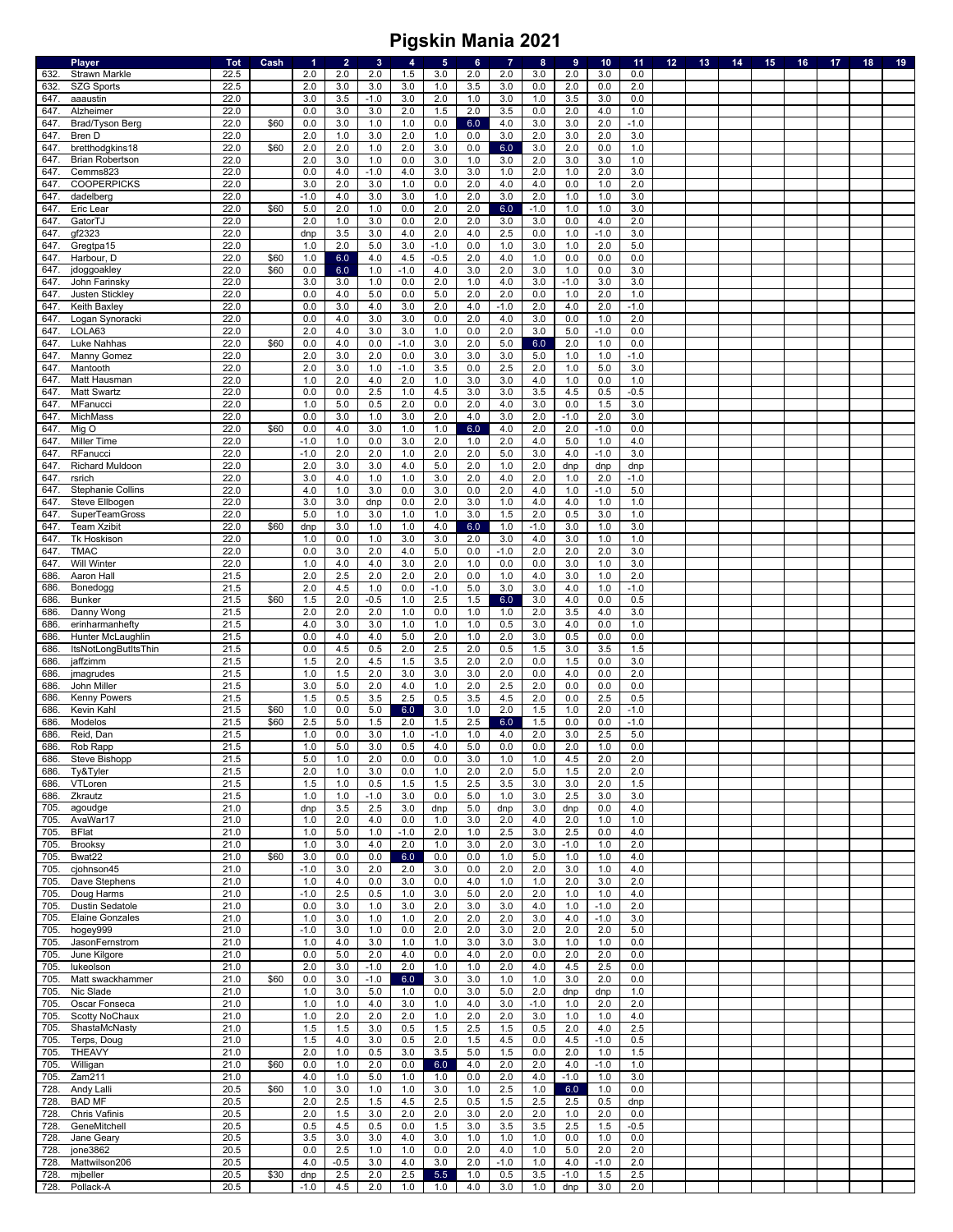|              | <b>Player</b>                      | <b>Tot</b>   | Cash | 1          | $\overline{2}$ | $\mathbf{3}$ | 4          | $\sqrt{5}$ | 6          | $\overline{7}$ | 8             | 9             | 10         | 11         | 12 | 13 | 14 | 15 | 16 | 17 | 18 | 19 |
|--------------|------------------------------------|--------------|------|------------|----------------|--------------|------------|------------|------------|----------------|---------------|---------------|------------|------------|----|----|----|----|----|----|----|----|
| 632.         | <b>Strawn Markle</b>               | 22.5         |      | 2.0        | 2.0            | 2.0          | 1.5        | 3.0        | 2.0        | 2.0            | 3.0           | 2.0           | 3.0        | 0.0        |    |    |    |    |    |    |    |    |
| 632          | <b>SZG Sports</b>                  | 22.5         |      | 2.0        | 3.0            | 3.0          | 3.0        | 1.0        | 3.5        | 3.0            | 0.0           | 2.0           | 0.0        | 2.0        |    |    |    |    |    |    |    |    |
| 647.         | aaaustin                           | 22.0         |      | 3.0        | 3.5            | $-1.0$       | 3.0        | 2.0        | 1.0        | 3.0            | 1.0           | 3.5           | 3.0        | 0.0        |    |    |    |    |    |    |    |    |
| 647.         | Alzheimer                          | 22.0         |      | 0.0        | 3.0            | 3.0          | 2.0        | 1.5        | 2.0        | 3.5            | 0.0           | 2.0           | 4.0        | 1.0        |    |    |    |    |    |    |    |    |
| 647.         | Brad/Tyson Berg                    | 22.0         | \$60 | 0.0        | 3.0            | 1.0          | 1.0        | 0.0        | 6.0        | 4.0            | 3.0           | 3.0           | 2.0        | $-1.0$     |    |    |    |    |    |    |    |    |
| 647          | Bren D                             | 22.0         | \$60 | 2.0        | 1.0<br>2.0     | 3.0          | 2.0        | 1.0        | 0.0        | 3.0            | 2.0           | 3.0<br>2.0    | 2.0        | 3.0        |    |    |    |    |    |    |    |    |
| 647          | bretthodgkins18                    | 22.0<br>22.0 |      | 2.0<br>2.0 | 3.0            | 1.0<br>1.0   | 2.0<br>0.0 | 3.0<br>3.0 | 0.0<br>1.0 | 6.0            | 3.0<br>2.0    | 3.0           | 0.0<br>3.0 | 1.0<br>1.0 |    |    |    |    |    |    |    |    |
| 647.<br>647  | <b>Brian Robertson</b><br>Cemms823 | 22.0         |      | 0.0        | 4.0            | $-1.0$       | 4.0        | 3.0        | 3.0        | 3.0<br>1.0     | 2.0           | 1.0           | 2.0        | 3.0        |    |    |    |    |    |    |    |    |
| 647          | <b>COOPERPICKS</b>                 | 22.0         |      | 3.0        | 2.0            | 3.0          | 1.0        | 0.0        | 2.0        | 4.0            | 4.0           | 0.0           | 1.0        | 2.0        |    |    |    |    |    |    |    |    |
| 647.         | dadelberg                          | 22.0         |      | $-1.0$     | 4.0            | 3.0          | 3.0        | 1.0        | 2.0        | $3.0\,$        | 2.0           | 1.0           | 1.0        | 3.0        |    |    |    |    |    |    |    |    |
| 647          | Eric Lear                          | 22.0         | \$60 | 5.0        | 2.0            | 1.0          | 0.0        | 2.0        | 2.0        | $6.0\,$        | $-1.0$        | 1.0           | 1.0        | 3.0        |    |    |    |    |    |    |    |    |
| 647          | GatorTJ                            | 22.0         |      | 2.0        | 1.0            | 3.0          | 0.0        | 2.0        | 2.0        | 3.0            | 3.0           | 0.0           | 4.0        | 2.0        |    |    |    |    |    |    |    |    |
| 647          | gf2323                             | 22.0         |      | dnp        | 3.5            | 3.0          | 4.0        | 2.0        | 4.0        | 2.5            | 0.0           | 1.0           | $-1.0$     | 3.0        |    |    |    |    |    |    |    |    |
| 647          | Gregtpa15                          | 22.0         |      | 1.0        | 2.0            | 5.0          | 3.0        | $-1.0$     | 0.0        | 1.0            | 3.0           | 1.0           | 2.0        | 5.0        |    |    |    |    |    |    |    |    |
| 647.         | Harbour, D                         | 22.0         | \$60 | 1.0        | 6.0            | 4.0          | 4.5        | $-0.5$     | 2.0        | 4.0            | 1.0           | 0.0           | 0.0        | 0.0        |    |    |    |    |    |    |    |    |
| 647.         | jdoggoakley                        | 22.0         | \$60 | 0.0        | 6.0            | 1.0          | $-1.0$     | 4.0        | 3.0        | 2.0            | 3.0           | 1.0           | 0.0        | 3.0        |    |    |    |    |    |    |    |    |
| 647          | John Farinsky                      | 22.0         |      | 3.0        | 3.0            | 1.0          | 0.0        | 2.0        | 1.0        | 4.0            | 3.0           | $-1.0$        | 3.0        | 3.0        |    |    |    |    |    |    |    |    |
| 647          | Justen Stickley                    | 22.0         |      | 0.0        | 4.0            | 5.0          | 0.0        | 5.0        | 2.0        | 2.0            | 0.0           | 1.0           | 2.0        | 1.0        |    |    |    |    |    |    |    |    |
| 647          | Keith Baxley                       | 22.0         |      | 0.0        | 3.0            | 4.0          | 3.0        | 2.0        | 4.0        | $-1.0$         | 2.0           | 4.0           | 2.0        | $-1.0$     |    |    |    |    |    |    |    |    |
| 647.         | Logan Synoracki                    | 22.0         |      | 0.0        | 4.0            | 3.0          | 3.0        | 0.0        | 2.0        | 4.0            | 3.0           | 0.0           | 1.0        | 2.0        |    |    |    |    |    |    |    |    |
| 647          | LOLA63                             | 22.0         |      | 2.0        | 4.0            | 3.0          | 3.0        | 1.0        | 0.0        | 2.0            | 3.0           | 5.0           | $-1.0$     | 0.0        |    |    |    |    |    |    |    |    |
| 647          | Luke Nahhas                        | 22.0         | \$60 | 0.0        | 4.0            | 0.0          | $-1.0$     | 3.0        | 2.0        | $5.0\,$        | 6.0           | 2.0           | 1.0        | 0.0        |    |    |    |    |    |    |    |    |
| 647          | Manny Gomez                        | 22.0         |      | 2.0        | 3.0            | 2.0          | 0.0        | 3.0        | 3.0        | $3.0\,$        | 5.0           | 1.0           | 1.0        | $-1.0$     |    |    |    |    |    |    |    |    |
| 647.         | Mantooth                           | 22.0         |      | 2.0        | 3.0            | 1.0          | $-1.0$     | 3.5        | 0.0        | 2.5            | 2.0           | 1.0           | 5.0        | 3.0        |    |    |    |    |    |    |    |    |
| 647.         | Matt Hausman                       | 22.0         |      | 1.0        | 2.0            | 4.0          | 2.0        | 1.0        | 3.0        | 3.0            | 4.0           | 1.0           | 0.0        | $1.0$      |    |    |    |    |    |    |    |    |
| 647          | <b>Matt Swartz</b>                 | 22.0         |      | 0.0        | 0.0            | 2.5          | 1.0        | 4.5        | 3.0        | 3.0            | 3.5           | 4.5           | 0.5        | $-0.5$     |    |    |    |    |    |    |    |    |
| 647          | MFanucci                           | 22.0         |      | 1.0        | 5.0            | 0.5          | 2.0        | 0.0        | 2.0        | 4.0            | 3.0           | 0.0           | 1.5        | 3.0        |    |    |    |    |    |    |    |    |
| 647          | MichMass                           | 22.0         |      | 0.0        | 3.0            | 1.0          | 3.0        | 2.0        | 4.0        | 3.0            | 2.0           | $-1.0$        | 2.0        | 3.0        |    |    |    |    |    |    |    |    |
| 647.         | Mig O                              | 22.0         | \$60 | 0.0        | 4.0            | 3.0          | 1.0        | 1.0        | 6.0        | 4.0            | 2.0           | 2.0           | $-1.0$     | 0.0        |    |    |    |    |    |    |    |    |
| 647          | Miller Time                        | 22.0         |      | $-1.0$     | 1.0            | 0.0          | 3.0        | 2.0        | 1.0        | 2.0            | 4.0           | 5.0           | 1.0        | 4.0        |    |    |    |    |    |    |    |    |
| 647.         | RFanucci                           | 22.0         |      | $-1.0$     | 2.0            | 2.0          | $1.0$      | 2.0        | 2.0        | $5.0\,$        | 3.0           | 4.0           | $-1.0$     | 3.0        |    |    |    |    |    |    |    |    |
| 647.         | <b>Richard Muldoon</b>             | 22.0         |      | 2.0        | 3.0            | 3.0          | 4.0        | 5.0        | 2.0        | 1.0            | 2.0           | dnp           | dnp        | dnp        |    |    |    |    |    |    |    |    |
| 647          | rsrich                             | 22.0         |      | 3.0        | 4.0            | 1.0          | 1.0        | 3.0        | 2.0        | 4.0            | 2.0           | 1.0           | 2.0        | $-1.0$     |    |    |    |    |    |    |    |    |
| 647          | Stephanie Collins                  | 22.0         |      | 4.0        | 1.0            | 3.0          | 0.0        | 3.0        | 0.0        | 2.0            | 4.0           | 1.0           | $-1.0$     | 5.0        |    |    |    |    |    |    |    |    |
| 647          | Steve Ellbogen                     | 22.0         |      | 3.0        | 3.0            | dnp          | 0.0        | 2.0        | 3.0        | 1.0            | 4.0           | 4.0           | 1.0        | 1.0        |    |    |    |    |    |    |    |    |
| 647.         | SuperTeamGross                     | 22.0         |      | 5.0        | 1.0            | 3.0          | 1.0        | 1.0        | 3.0        | 1.5            | 2.0           | 0.5           | 3.0        | 1.0        |    |    |    |    |    |    |    |    |
| 647          | <b>Team Xzibit</b>                 | 22.0<br>22.0 | \$60 | dnp<br>1.0 | 3.0<br>0.0     | 1.0<br>1.0   | 1.0<br>3.0 | 4.0        | 6.0<br>2.0 | 1.0<br>3.0     | $-1.0$<br>4.0 | 3.0           | 1.0        | 3.0        |    |    |    |    |    |    |    |    |
| 647<br>647   | Tk Hoskison<br><b>TMAC</b>         | 22.0         |      | 0.0        | 3.0            | 2.0          | 4.0        | 3.0        | 0.0        | $-1.0$         | 2.0           | 3.0<br>2.0    | 1.0<br>2.0 | 1.0<br>3.0 |    |    |    |    |    |    |    |    |
| 647          | <b>Will Winter</b>                 | 22.0         |      | 1.0        | 4.0            | 4.0          | 3.0        | 5.0<br>2.0 | 1.0        | 0.0            | 0.0           | 3.0           | 1.0        | 3.0        |    |    |    |    |    |    |    |    |
| 686          | Aaron Hall                         | 21.5         |      | 2.0        | 2.5            | 2.0          | 2.0        | 2.0        | 0.0        | 1.0            | 4.0           | 3.0           | 1.0        | 2.0        |    |    |    |    |    |    |    |    |
| 686          | Bonedogg                           | 21.5         |      | 2.0        | 4.5            | $1.0$        | 0.0        | $-1.0$     | 5.0        | 3.0            | 3.0           | 4.0           | 1.0        | $-1.0$     |    |    |    |    |    |    |    |    |
| 686          | Bunker                             | 21.5         | \$60 | 1.5        | 2.0            | $-0.5$       | 1.0        | 2.5        | 1.5        | 6.0            | 3.0           | 4.0           | 0.0        | 0.5        |    |    |    |    |    |    |    |    |
| 686          | Danny Wong                         | 21.5         |      | 2.0        | 2.0            | 2.0          | $1.0$      | 0.0        | 1.0        | 1.0            | 2.0           | 3.5           | 4.0        | 3.0        |    |    |    |    |    |    |    |    |
| 686          | erinharmanhefty                    | 21.5         |      | 4.0        | 3.0            | 3.0          | 1.0        | 1.0        | 1.0        | 0.5            | 3.0           | 4.0           | 0.0        | 1.0        |    |    |    |    |    |    |    |    |
| 686          | Hunter McLaughlin                  | 21.5         |      | 0.0        | 4.0            | 4.0          | 5.0        | 2.0        | 1.0        | 2.0            | 3.0           | 0.5           | 0.0        | 0.0        |    |    |    |    |    |    |    |    |
| 686          | ItsNotLongButItsThin               | 21.5         |      | 0.0        | 4.5            | 0.5          | 2.0        | 2.5        | 2.0        | 0.5            | 1.5           | 3.0           | 3.5        | 1.5        |    |    |    |    |    |    |    |    |
| 686          | jaffzimm                           | 21.5         |      | 1.5        | 2.0            | 4.5          | 1.5        | 3.5        | 2.0        | 2.0            | 0.0           | 1.5           | 0.0        | 3.0        |    |    |    |    |    |    |    |    |
| 686.         | jmagrudes                          | 21.5         |      | 1.0        | 1.5            | 2.0          | 3.0        | 3.0        | 3.0        | 2.0            | 0.0           | 4.0           | 0.0        | 2.0        |    |    |    |    |    |    |    |    |
| 686          | John Miller                        | 21.5         |      | 3.0        | 5.0            | 2.0          | 4.0        | 1.0        | 2.0        | 2.5            | 2.0           | 0.0           | 0.0        | 0.0        |    |    |    |    |    |    |    |    |
| 686          | <b>Kenny Powers</b>                | 21.5         |      | 1.5        | 0.5            | 3.5          | 2.5        | 0.5        | 3.5        | 4.5            | 2.0           | 0.0           | 2.5        | 0.5        |    |    |    |    |    |    |    |    |
| 686          | Kevin Kahl                         | 21.5         | \$60 | 1.0        | 0.0            | $5.0\,$      | 6.0        | 3.0        | 1.0        | 2.0            | 1.5           | 1.0           | 2.0        | $-1.0$     |    |    |    |    |    |    |    |    |
| 686          | Modelos                            | 21.5         | \$60 | 2.5        | 5.0            | 1.5          | 2.0        | 1.5        | 2.5        | 6.0            | 1.5           | 0.0           | 0.0        | $-1.0$     |    |    |    |    |    |    |    |    |
| 686          | Reid, Dan                          | 21.5         |      | 1.0        | 0.0            | 3.0          | $1.0$      | $-1.0$     | 1.0        | 4.0            | 2.0           | 3.0           | 2.5        | 5.0        |    |    |    |    |    |    |    |    |
| 686.         | Rob Rapp                           | 21.5         |      | 1.0        | 5.0            | 3.0          | 0.5        | 4.0        | 5.0        | 0.0            | 0.0           | 2.0           | 1.0        | 0.0        |    |    |    |    |    |    |    |    |
| 686.         | Steve Bishopp                      | 21.5         |      | 5.0        | 1.0            | 2.0          | 0.0        | 0.0        | 3.0        | 1.0            | 1.0           | 4.5           | 2.0        | 2.0        |    |    |    |    |    |    |    |    |
| 686.         | Ty&Tyler                           | 21.5         |      | 2.0        | 1.0            | 3.0          | 0.0        | 1.0        | 2.0        | 2.0            | 5.0           | 1.5           | 2.0        | 2.0        |    |    |    |    |    |    |    |    |
| 686.         | VTLoren                            | 21.5         |      | 1.5        | 1.0            | 0.5          | 1.5        | 1.5        | 2.5        | 3.5            | 3.0           | 3.0           | 2.0        | 1.5        |    |    |    |    |    |    |    |    |
| 686.         | Zkrautz                            | 21.5         |      | 1.0        | 1.0            | $-1.0$       | 3.0        | 0.0        | 5.0        | 1.0            | 3.0           | 2.5           | 3.0        | 3.0        |    |    |    |    |    |    |    |    |
| 705.         | agoudge                            | 21.0         |      | dnp        | 3.5            | 2.5          | 3.0        | dnp        | 5.0        | dnp            | 3.0           | dnp           | 0.0        | 4.0        |    |    |    |    |    |    |    |    |
| 705.         | AvaWar17                           | 21.0         |      | 1.0        | 2.0            | 4.0          | 0.0        | 1.0        | 3.0        | 2.0            | 4.0           | 2.0           | 1.0        | 1.0        |    |    |    |    |    |    |    |    |
| 705.         | <b>BFlat</b>                       | 21.0         |      | 1.0        | 5.0            | 1.0<br>4.0   | $-1.0$     | 2.0        | 1.0        | 2.5            | 3.0           | 2.5           | 0.0        | 4.0        |    |    |    |    |    |    |    |    |
| 705.<br>705. | <b>Brooksy</b><br>Bwat22           | 21.0<br>21.0 | \$60 | 1.0<br>3.0 | 3.0<br>0.0     | 0.0          | 2.0<br>6.0 | 1.0<br>0.0 | 3.0<br>0.0 | 2.0<br>1.0     | 3.0<br>$5.0$  | $-1.0$<br>1.0 | 1.0<br>1.0 | 2.0<br>4.0 |    |    |    |    |    |    |    |    |
| 705.         | cjohnson45                         | 21.0         |      | $-1.0$     | 3.0            | 2.0          | 2.0        | 3.0        | 0.0        | 2.0            | 2.0           | 3.0           | 1.0        | 4.0        |    |    |    |    |    |    |    |    |
| 705.         | Dave Stephens                      | 21.0         |      | 1.0        | 4.0            | 0.0          | 3.0        | 0.0        | 4.0        | 1.0            | 1.0           | 2.0           | 3.0        | 2.0        |    |    |    |    |    |    |    |    |
| 705.         | Doug Harms                         | 21.0         |      | $-1.0$     | 2.5            | 0.5          | 1.0        | 3.0        | 5.0        | 2.0            | 2.0           | 1.0           | 1.0        | 4.0        |    |    |    |    |    |    |    |    |
| 705.         | <b>Dustin Sedatole</b>             | 21.0         |      | 0.0        | 3.0            | 1.0          | 3.0        | 2.0        | 3.0        | 3.0            | 4.0           | 1.0           | $-1.0$     | 2.0        |    |    |    |    |    |    |    |    |
| 705.         | <b>Elaine Gonzales</b>             | 21.0         |      | 1.0        | 3.0            | 1.0          | 1.0        | 2.0        | 2.0        | 2.0            | 3.0           | 4.0           | $-1.0$     | 3.0        |    |    |    |    |    |    |    |    |
| 705.         | hogey999                           | 21.0         |      | $-1.0$     | 3.0            | 1.0          | 0.0        | 2.0        | 2.0        | 3.0            | 2.0           | 2.0           | 2.0        | 5.0        |    |    |    |    |    |    |    |    |
| 705.         | JasonFernstrom                     | 21.0         |      | 1.0        | 4.0            | 3.0          | 1.0        | 1.0        | 3.0        | 3.0            | 3.0           | 1.0           | 1.0        | 0.0        |    |    |    |    |    |    |    |    |
| 705.         | June Kilgore                       | 21.0         |      | 0.0        | 5.0            | 2.0          | 4.0        | 0.0        | 4.0        | 2.0            | 0.0           | 2.0           | 2.0        | 0.0        |    |    |    |    |    |    |    |    |
| 705.         | lukeolson                          | 21.0         |      | 2.0        | 3.0            | $-1.0$       | 2.0        | 1.0        | 1.0        | 2.0            | 4.0           | 4.5           | 2.5        | 0.0        |    |    |    |    |    |    |    |    |
| 705.         | Matt swackhammer                   | 21.0         | \$60 | 0.0        | 3.0            | $-1.0$       | 6.0        | 3.0        | 3.0        | 1.0            | 1.0           | 3.0           | 2.0        | 0.0        |    |    |    |    |    |    |    |    |
| 705.         | Nic Slade                          | 21.0         |      | 1.0        | 3.0            | 5.0          | 1.0        | 0.0        | 3.0        | 5.0            | 2.0           | dnp           | dnp        | 1.0        |    |    |    |    |    |    |    |    |
| 705.         | Oscar Fonseca                      | 21.0         |      | 1.0        | 1.0            | 4.0          | 3.0        | 1.0        | 4.0        | 3.0            | $-1.0$        | 1.0           | 2.0        | 2.0        |    |    |    |    |    |    |    |    |
| 705.         | Scotty NoChaux                     | 21.0         |      | 1.0        | 2.0            | 2.0          | 2.0        | 1.0        | 2.0        | 2.0            | 3.0           | 1.0           | 1.0        | 4.0        |    |    |    |    |    |    |    |    |
| 705.         | ShastaMcNasty                      | 21.0         |      | 1.5        | 1.5            | 3.0          | 0.5        | 1.5        | 2.5        | 1.5            | 0.5           | 2.0           | 4.0        | 2.5        |    |    |    |    |    |    |    |    |
| 705.         | Terps, Doug                        | 21.0         |      | 1.5        | 4.0            | 3.0          | 0.5        | 2.0        | 1.5        | 4.5            | 0.0           | 4.5           | $-1.0$     | 0.5        |    |    |    |    |    |    |    |    |
| 705.         | THEAVY                             | 21.0         |      | 2.0        | 1.0            | 0.5          | 3.0        | 3.5        | 5.0        | 1.5            | 0.0           | 2.0           | 1.0        | 1.5        |    |    |    |    |    |    |    |    |
| 705.         | Willigan                           | 21.0         | \$60 | 0.0        | 1.0            | 2.0          | 0.0        | 6.0        | 4.0        | 2.0            | 2.0           | 4.0           | $-1.0$     | 1.0        |    |    |    |    |    |    |    |    |
| 705.         | Zam211                             | 21.0         |      | 4.0        | 1.0            | 5.0          | 1.0        | 1.0        | 0.0        | 2.0            | 4.0           | $-1.0$        | 1.0        | 3.0        |    |    |    |    |    |    |    |    |
| 728.         | Andy Lalli                         | 20.5         | \$60 | 1.0        | 3.0            | 1.0          | 1.0        | 3.0        | 1.0        | 2.5            | 1.0           | 6.0           | 1.0        | 0.0        |    |    |    |    |    |    |    |    |
| 728.         | <b>BAD MF</b>                      | 20.5         |      | 2.0        | 2.5            | 1.5          | 4.5        | 2.5        | 0.5        | 1.5            | 2.5           | 2.5           | 0.5        | dnp        |    |    |    |    |    |    |    |    |
| 728.         | <b>Chris Vafinis</b>               | 20.5         |      | 2.0        | 1.5            | 3.0          | 2.0        | 2.0        | 3.0        | 2.0            | 2.0           | 1.0           | 2.0        | 0.0        |    |    |    |    |    |    |    |    |
| 728.         | GeneMitchell                       | 20.5         |      | 0.5        | 4.5            | 0.5          | 0.0        | 1.5        | 3.0        | 3.5            | 3.5           | 2.5           | 1.5        | $-0.5$     |    |    |    |    |    |    |    |    |
| 728.         | Jane Geary                         | 20.5         |      | 3.5        | 3.0            | 3.0          | 4.0        | 3.0        | 1.0        | 1.0            | 1.0           | 0.0           | 1.0        | 0.0        |    |    |    |    |    |    |    |    |
| 728.         | jone3862                           | 20.5         |      | 0.0        | 2.5            | 1.0          | 1.0        | 0.0        | 2.0        | 4.0            | 1.0           | 5.0           | 2.0        | 2.0        |    |    |    |    |    |    |    |    |
| 728.         | Mattwilson206                      | 20.5         |      | 4.0        | $-0.5$         | 3.0          | 4.0        | 3.0        | 2.0        | $-1.0$         | 1.0           | 4.0           | $-1.0$     | 2.0        |    |    |    |    |    |    |    |    |
| 728.         | mibeller                           | 20.5         | \$30 | dnp        | 2.5            | 2.0          | 2.5        | 5.5        | 1.0        | 0.5            | 3.5           | $-1.0$        | 1.5        | 2.5        |    |    |    |    |    |    |    |    |
| 728.         | Pollack-A                          | 20.5         |      | $-1.0$     | 4.5            | 2.0          | 1.0        | 1.0        | 4.0        | 3.0            | 1.0           | dnp           | 3.0        | 2.0        |    |    |    |    |    |    |    |    |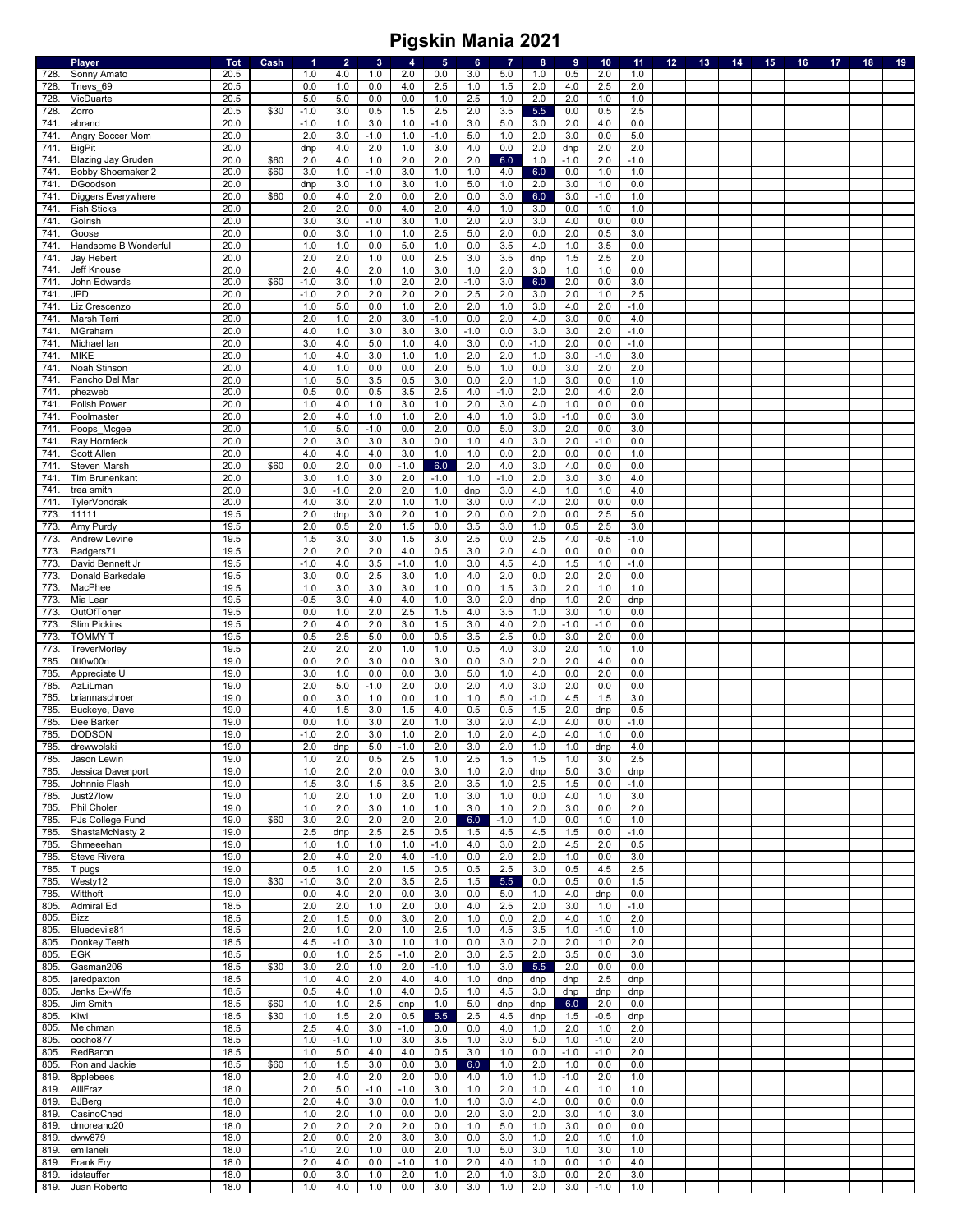|      | <b>Player</b>             | Tot  | Cash | $\blacktriangleleft$ | $\overline{2}$ | $\mathbf{3}$ | $\overline{\mathbf{4}}$ | $\sqrt{5}$ | 6      | $\overline{7}$ | 8       | 9       | 10     | 11     | 12 <sub>1</sub> | 13 <sup>°</sup> | 14 | 15 <sub>1</sub> | 16 | 17 | 18 | 19 |
|------|---------------------------|------|------|----------------------|----------------|--------------|-------------------------|------------|--------|----------------|---------|---------|--------|--------|-----------------|-----------------|----|-----------------|----|----|----|----|
| 728. | Sonny Amato               | 20.5 |      | 1.0                  | 4.0            | 1.0          | 2.0                     | 0.0        | 3.0    | 5.0            | 1.0     | 0.5     | 2.0    | 1.0    |                 |                 |    |                 |    |    |    |    |
| 728. | Tnevs 69                  | 20.5 |      | 0.0                  | 1.0            | 0.0          | 4.0                     | 2.5        | 1.0    | 1.5            | 2.0     | 4.0     | 2.5    | 2.0    |                 |                 |    |                 |    |    |    |    |
| 728. | VicDuarte                 | 20.5 |      | 5.0                  | 5.0            | 0.0          | 0.0                     | 1.0        | 2.5    | 1.0            | 2.0     | 2.0     | 1.0    | 1.0    |                 |                 |    |                 |    |    |    |    |
| 728. | Zorro                     | 20.5 | \$30 | $-1.0$               | 3.0            | 0.5          | 1.5                     | 2.5        | 2.0    | 3.5            | 5.5     | 0.0     | 0.5    | 2.5    |                 |                 |    |                 |    |    |    |    |
| 741  | abrand                    | 20.0 |      | $-1.0$               | 1.0            | 3.0          | $1.0$                   | $-1.0$     | 3.0    | $5.0\,$        | 3.0     | 2.0     | 4.0    | 0.0    |                 |                 |    |                 |    |    |    |    |
| 741  | Angry Soccer Mom          | 20.0 |      | 2.0                  | 3.0            | $-1.0$       | $1.0$                   | $-1.0$     | 5.0    | 1.0            | 2.0     | 3.0     | 0.0    | 5.0    |                 |                 |    |                 |    |    |    |    |
| 741. | <b>BigPit</b>             | 20.0 |      | dnp                  | 4.0            | 2.0          | $1.0$                   | 3.0        | 4.0    | $0.0\,$        | 2.0     | dnp     | 2.0    | 2.0    |                 |                 |    |                 |    |    |    |    |
| 741. | <b>Blazing Jay Gruden</b> | 20.0 | \$60 | 2.0                  | 4.0            | 1.0          | 2.0                     | 2.0        | 2.0    | $6.0\,$        | 1.0     | $-1.0$  | 2.0    | $-1.0$ |                 |                 |    |                 |    |    |    |    |
| 741  | Bobby Shoemaker 2         | 20.0 | \$60 | 3.0                  | 1.0            | $-1.0$       | 3.0                     | 1.0        | 1.0    | 4.0            | 6.0     | 0.0     | 1.0    | $1.0$  |                 |                 |    |                 |    |    |    |    |
| 741  | DGoodson                  | 20.0 |      | dnp                  | 3.0            | 1.0          | 3.0                     | 1.0        | 5.0    | 1.0            | 2.0     | 3.0     | 1.0    | 0.0    |                 |                 |    |                 |    |    |    |    |
| 741  |                           | 20.0 | \$60 | 0.0                  | 4.0            | 2.0          | 0.0                     | 2.0        | 0.0    | $3.0\,$        | $6.0\,$ | 3.0     | $-1.0$ | 1.0    |                 |                 |    |                 |    |    |    |    |
|      | Diggers Everywhere        |      |      |                      |                |              |                         |            |        |                |         |         |        |        |                 |                 |    |                 |    |    |    |    |
| 741  | <b>Fish Sticks</b>        | 20.0 |      | 2.0                  | 2.0            | 0.0          | 4.0                     | 2.0        | 4.0    | 1.0            | 3.0     | 0.0     | 1.0    | $1.0$  |                 |                 |    |                 |    |    |    |    |
| 741  | Golrish                   | 20.0 |      | 3.0                  | 3.0            | $-1.0$       | 3.0                     | 1.0        | 2.0    | 2.0            | 3.0     | 4.0     | 0.0    | 0.0    |                 |                 |    |                 |    |    |    |    |
| 741  | Goose                     | 20.0 |      | 0.0                  | 3.0            | $1.0$        | $1.0$                   | 2.5        | 5.0    | 2.0            | $0.0\,$ | 2.0     | 0.5    | 3.0    |                 |                 |    |                 |    |    |    |    |
| 741  | Handsome B Wonderful      | 20.0 |      | 1.0                  | 1.0            | 0.0          | $5.0\,$                 | $1.0$      | 0.0    | 3.5            | 4.0     | $1.0$   | 3.5    | 0.0    |                 |                 |    |                 |    |    |    |    |
| 741  | Jay Hebert                | 20.0 |      | 2.0                  | 2.0            | 1.0          | 0.0                     | 2.5        | 3.0    | 3.5            | dnp     | 1.5     | 2.5    | 2.0    |                 |                 |    |                 |    |    |    |    |
| 741  | Jeff Knouse               | 20.0 |      | 2.0                  | 4.0            | 2.0          | 1.0                     | 3.0        | 1.0    | 2.0            | 3.0     | 1.0     | 1.0    | 0.0    |                 |                 |    |                 |    |    |    |    |
| 741  | John Edwards              | 20.0 | \$60 | $-1.0$               | 3.0            | $1.0$        | 2.0                     | 2.0        | $-1.0$ | 3.0            | 6.0     | 2.0     | 0.0    | 3.0    |                 |                 |    |                 |    |    |    |    |
| 741  | <b>JPD</b>                | 20.0 |      | $-1.0$               | 2.0            | 2.0          | 2.0                     | 2.0        | 2.5    | 2.0            | 3.0     | 2.0     | 1.0    | 2.5    |                 |                 |    |                 |    |    |    |    |
| 741  | Liz Crescenzo             | 20.0 |      | 1.0                  | 5.0            | 0.0          | 1.0                     | 2.0        | 2.0    | 1.0            | 3.0     | 4.0     | 2.0    | $-1.0$ |                 |                 |    |                 |    |    |    |    |
| 741  | Marsh Terri               | 20.0 |      | 2.0                  | 1.0            | 2.0          | 3.0                     | $-1.0$     | 0.0    | 2.0            | 4.0     | 3.0     | 0.0    | 4.0    |                 |                 |    |                 |    |    |    |    |
| 741  | MGraham                   | 20.0 |      | 4.0                  | 1.0            | 3.0          | 3.0                     | 3.0        | $-1.0$ | 0.0            | 3.0     | 3.0     | 2.0    | $-1.0$ |                 |                 |    |                 |    |    |    |    |
| 741  | Michael lan               | 20.0 |      | 3.0                  | 4.0            | $5.0\,$      | 1.0                     | 4.0        | 3.0    | 0.0            | $-1.0$  | 2.0     | 0.0    | $-1.0$ |                 |                 |    |                 |    |    |    |    |
| 741  | <b>MIKE</b>               | 20.0 |      | 1.0                  | 4.0            | 3.0          | 1.0                     | 1.0        | 2.0    | 2.0            | 1.0     | 3.0     | $-1.0$ | 3.0    |                 |                 |    |                 |    |    |    |    |
| 741  | Noah Stinson              | 20.0 |      | 4.0                  | 1.0            | 0.0          | 0.0                     | 2.0        | 5.0    | 1.0            | 0.0     | 3.0     | 2.0    | 2.0    |                 |                 |    |                 |    |    |    |    |
| 741  | Pancho Del Mar            | 20.0 |      | 1.0                  | 5.0            | 3.5          | 0.5                     | 3.0        | 0.0    | 2.0            | 1.0     | 3.0     | 0.0    | 1.0    |                 |                 |    |                 |    |    |    |    |
| 741  | phezweb                   | 20.0 |      | 0.5                  | 0.0            | 0.5          | 3.5                     | 2.5        | 4.0    | $-1.0$         | 2.0     | 2.0     | 4.0    | 2.0    |                 |                 |    |                 |    |    |    |    |
| 741. | Polish Power              | 20.0 |      | 1.0                  | 4.0            | 1.0          | 3.0                     | 1.0        | 2.0    | 3.0            | 4.0     | 1.0     | 0.0    | 0.0    |                 |                 |    |                 |    |    |    |    |
| 741. | Poolmaster                | 20.0 |      | 2.0                  | 4.0            | 1.0          | 1.0                     | 2.0        | 4.0    | 1.0            | 3.0     | $-1.0$  | 0.0    | 3.0    |                 |                 |    |                 |    |    |    |    |
| 741  | Poops Mcgee               | 20.0 |      | 1.0                  | 5.0            | $-1.0$       | 0.0                     | 2.0        | 0.0    | $5.0\,$        | 3.0     | 2.0     | 0.0    | 3.0    |                 |                 |    |                 |    |    |    |    |
| 741  | Ray Hornfeck              | 20.0 |      | 2.0                  | 3.0            | 3.0          | 3.0                     | 0.0        | 1.0    | 4.0            | 3.0     | 2.0     | $-1.0$ | 0.0    |                 |                 |    |                 |    |    |    |    |
|      |                           | 20.0 |      | 4.0                  |                | 4.0          | 3.0                     |            | 1.0    | 0.0            | 2.0     |         | 0.0    |        |                 |                 |    |                 |    |    |    |    |
| 741  | Scott Allen               |      |      |                      | 4.0            |              |                         | $1.0$      |        |                |         | 0.0     |        | 1.0    |                 |                 |    |                 |    |    |    |    |
| 741  | Steven Marsh              | 20.0 | \$60 | 0.0                  | 2.0            | 0.0          | $-1.0$                  | 6.0        | 2.0    | 4.0            | 3.0     | 4.0     | 0.0    | 0.0    |                 |                 |    |                 |    |    |    |    |
| 741  | Tim Brunenkant            | 20.0 |      | 3.0                  | 1.0            | 3.0          | 2.0                     | $-1.0$     | 1.0    | $-1.0$         | 2.0     | 3.0     | 3.0    | 4.0    |                 |                 |    |                 |    |    |    |    |
| 741. | trea smith                | 20.0 |      | 3.0                  | $-1.0$         | 2.0          | 2.0                     | 1.0        | dnp    | $3.0\,$        | $4.0$   | 1.0     | 1.0    | 4.0    |                 |                 |    |                 |    |    |    |    |
| 741. | <b>TylerVondrak</b>       | 20.0 |      | 4.0                  | 3.0            | 2.0          | $1.0$                   | 1.0        | 3.0    | 0.0            | 4.0     | 2.0     | 0.0    | 0.0    |                 |                 |    |                 |    |    |    |    |
| 773. | 11111                     | 19.5 |      | 2.0                  | dnp            | 3.0          | 2.0                     | $1.0$      | 2.0    | 0.0            | 2.0     | 0.0     | 2.5    | 5.0    |                 |                 |    |                 |    |    |    |    |
| 773  | Amy Purdy                 | 19.5 |      | 2.0                  | 0.5            | 2.0          | 1.5                     | 0.0        | 3.5    | 3.0            | 1.0     | 0.5     | 2.5    | 3.0    |                 |                 |    |                 |    |    |    |    |
| 773. | Andrew Levine             | 19.5 |      | 1.5                  | 3.0            | 3.0          | 1.5                     | 3.0        | 2.5    | 0.0            | 2.5     | 4.0     | $-0.5$ | $-1.0$ |                 |                 |    |                 |    |    |    |    |
| 773. | Badgers71                 | 19.5 |      | 2.0                  | 2.0            | 2.0          | 4.0                     | 0.5        | 3.0    | 2.0            | $4.0$   | 0.0     | 0.0    | 0.0    |                 |                 |    |                 |    |    |    |    |
| 773. | David Bennett Jr          | 19.5 |      | $-1.0$               | 4.0            | 3.5          | $-1.0$                  | 1.0        | 3.0    | 4.5            | 4.0     | 1.5     | 1.0    | $-1.0$ |                 |                 |    |                 |    |    |    |    |
| 773  | Donald Barksdale          | 19.5 |      | 3.0                  | 0.0            | 2.5          | 3.0                     | 1.0        | 4.0    | 2.0            | 0.0     | 2.0     | 2.0    | 0.0    |                 |                 |    |                 |    |    |    |    |
| 773. | MacPhee                   | 19.5 |      | 1.0                  | 3.0            | 3.0          | 3.0                     | $1.0$      | 0.0    | 1.5            | 3.0     | 2.0     | 1.0    | 1.0    |                 |                 |    |                 |    |    |    |    |
| 773. | Mia Lear                  | 19.5 |      | $-0.5$               | 3.0            | 4.0          | 4.0                     | $1.0$      | 3.0    | 2.0            | dnp     | 1.0     | 2.0    | dnp    |                 |                 |    |                 |    |    |    |    |
| 773  | OutOfToner                | 19.5 |      | 0.0                  | 1.0            | 2.0          | 2.5                     | 1.5        | 4.0    | 3.5            | 1.0     | 3.0     | 1.0    | 0.0    |                 |                 |    |                 |    |    |    |    |
| 773  | <b>Slim Pickins</b>       | 19.5 |      | 2.0                  | 4.0            | 2.0          | 3.0                     | 1.5        | 3.0    | 4.0            | 2.0     | $-1.0$  | $-1.0$ | 0.0    |                 |                 |    |                 |    |    |    |    |
| 773. | <b>TOMMY T</b>            | 19.5 |      | 0.5                  | 2.5            | 5.0          | 0.0                     | 0.5        | 3.5    | 2.5            | $0.0\,$ | 3.0     | 2.0    | 0.0    |                 |                 |    |                 |    |    |    |    |
| 773. | TreverMorley              | 19.5 |      | 2.0                  | 2.0            | 2.0          | $1.0$                   | 1.0        | 0.5    | 4.0            | 3.0     | 2.0     | 1.0    | 1.0    |                 |                 |    |                 |    |    |    |    |
|      | 0tt0w00n                  |      |      | 0.0                  |                | 3.0          |                         |            |        |                | 2.0     |         |        | 0.0    |                 |                 |    |                 |    |    |    |    |
| 785. |                           | 19.0 |      |                      | 2.0            |              | 0.0                     | 3.0        | 0.0    | 3.0            |         | 2.0     | 4.0    |        |                 |                 |    |                 |    |    |    |    |
| 785. | Appreciate U              | 19.0 |      | 3.0                  | 1.0            | 0.0          | 0.0                     | 3.0        | 5.0    | 1.0            | 4.0     | 0.0     | 2.0    | 0.0    |                 |                 |    |                 |    |    |    |    |
| 785  | AzLiLman                  | 19.0 |      | 2.0                  | 5.0            | $-1.0$       | 2.0                     | 0.0        | 2.0    | 4.0            | 3.0     | 2.0     | 0.0    | 0.0    |                 |                 |    |                 |    |    |    |    |
| 785  | briannaschroer            | 19.0 |      | 0.0                  | 3.0            | $1.0$        | 0.0                     | 1.0        | 1.0    | $5.0\,$        | $-1.0$  | 4.5     | 1.5    | 3.0    |                 |                 |    |                 |    |    |    |    |
| 785. | Buckeye, Dave             | 19.0 |      | 4.0                  | 1.5            | 3.0          | 1.5                     | 4.0        | 0.5    | 0.5            | 1.5     | 2.0     | dnp    | 0.5    |                 |                 |    |                 |    |    |    |    |
| 785  | Dee Barker                | 19.0 |      | 0.0                  | 1.0            | 3.0          | 2.0                     | 1.0        | 3.0    | 2.0            | 4.0     | 4.0     | 0.0    | $-1.0$ |                 |                 |    |                 |    |    |    |    |
| 785  | <b>DODSON</b>             | 19.0 |      | $-1.0$               | 2.0            | 3.0          | 1.0                     | 2.0        | 1.0    | 2.0            | 4.0     | 4.0     | 1.0    | 0.0    |                 |                 |    |                 |    |    |    |    |
| 785. | drewwolski                | 19.0 |      | 2.0                  | dnp            | $5.0\,$      | $-1.0$                  | 2.0        | 3.0    | 2.0            | 1.0     | 1.0     | dnp    | 4.0    |                 |                 |    |                 |    |    |    |    |
| 785. | Jason Lewin               | 19.0 |      | 1.0                  | 2.0            | 0.5          | 2.5                     | 1.0        | 2.5    | 1.5            | 1.5     | 1.0     | 3.0    | 2.5    |                 |                 |    |                 |    |    |    |    |
| 785. | Jessica Davenport         | 19.0 |      | 1.0                  | 2.0            | 2.0          | 0.0                     | 3.0        | 1.0    | 2.0            | dnp     | 5.0     | 3.0    | dnp    |                 |                 |    |                 |    |    |    |    |
| 785. | Johnnie Flash             | 19.0 |      | 1.5                  | 3.0            | 1.5          | 3.5                     | 2.0        | 3.5    | 1.0            | 2.5     | 1.5     | 0.0    | $-1.0$ |                 |                 |    |                 |    |    |    |    |
| 785. | Just27low                 | 19.0 |      | 1.0                  | 2.0            | 1.0          | 2.0                     | 1.0        | 3.0    | 1.0            | 0.0     | 4.0     | 1.0    | 3.0    |                 |                 |    |                 |    |    |    |    |
| 785. | <b>Phil Choler</b>        | 19.0 |      | 1.0                  | 2.0            | 3.0          | 1.0                     | 1.0        | 3.0    | 1.0            | 2.0     | 3.0     | 0.0    | 2.0    |                 |                 |    |                 |    |    |    |    |
| 785. | PJs College Fund          | 19.0 | \$60 | 3.0                  | 2.0            | 2.0          | 2.0                     | 2.0        | 6.0    | $-1.0$         | 1.0     | 0.0     | 1.0    | 1.0    |                 |                 |    |                 |    |    |    |    |
| 785. | ShastaMcNasty 2           | 19.0 |      | 2.5                  | dnp            | 2.5          | 2.5                     | 0.5        | 1.5    | 4.5            | 4.5     | 1.5     | 0.0    | $-1.0$ |                 |                 |    |                 |    |    |    |    |
| 785. | Shmeeehan                 | 19.0 |      | 1.0                  | 1.0            | $1.0$        | 1.0                     | $-1.0$     | 4.0    | 3.0            | 2.0     | 4.5     | 2.0    | 0.5    |                 |                 |    |                 |    |    |    |    |
| 785. | Steve Rivera              | 19.0 |      | 2.0                  | 4.0            | 2.0          | 4.0                     | $-1.0$     | 0.0    | 2.0            | 2.0     | 1.0     | 0.0    | 3.0    |                 |                 |    |                 |    |    |    |    |
| 785. | T pugs                    | 19.0 |      | 0.5                  | 1.0            | 2.0          | 1.5                     | $0.5\,$    | 0.5    | $2.5\,$        | 3.0     | 0.5     | 4.5    | 2.5    |                 |                 |    |                 |    |    |    |    |
| 785. | Westy12                   | 19.0 | \$30 | $-1.0$               | 3.0            | 2.0          | 3.5                     | 2.5        | 1.5    | 5.5            | 0.0     | 0.5     | 0.0    | 1.5    |                 |                 |    |                 |    |    |    |    |
| 785. | Witthoft                  | 19.0 |      | 0.0                  | 4.0            | 2.0          | 0.0                     | 3.0        | 0.0    | $5.0\,$        | 1.0     | 4.0     | dnp    | 0.0    |                 |                 |    |                 |    |    |    |    |
| 805. | <b>Admiral Ed</b>         | 18.5 |      | 2.0                  | 2.0            | $1.0$        | 2.0                     | 0.0        | 4.0    | $2.5\,$        | 2.0     | 3.0     | 1.0    | $-1.0$ |                 |                 |    |                 |    |    |    |    |
| 805. | Bizz                      | 18.5 |      | 2.0                  | 1.5            | 0.0          | 3.0                     | 2.0        | 1.0    | 0.0            | 2.0     | 4.0     | 1.0    | 2.0    |                 |                 |    |                 |    |    |    |    |
| 805. | Bluedevils81              | 18.5 |      | 2.0                  | 1.0            | 2.0          | 1.0                     | 2.5        | 1.0    | 4.5            | 3.5     | 1.0     | $-1.0$ | 1.0    |                 |                 |    |                 |    |    |    |    |
| 805. | Donkey Teeth              | 18.5 |      | 4.5                  | $-1.0$         | 3.0          | 1.0                     | 1.0        | 0.0    | 3.0            | 2.0     | 2.0     | 1.0    | 2.0    |                 |                 |    |                 |    |    |    |    |
|      |                           |      |      |                      |                |              |                         |            |        |                |         |         |        |        |                 |                 |    |                 |    |    |    |    |
| 805. | EGK                       | 18.5 |      | 0.0                  | 1.0            | $2.5\,$      | $-1.0$                  | 2.0        | 3.0    | 2.5            | 2.0     | $3.5\,$ | 0.0    | 3.0    |                 |                 |    |                 |    |    |    |    |
| 805. | Gasman206                 | 18.5 | \$30 | 3.0                  | 2.0            | 1.0          | 2.0                     | $-1.0$     | 1.0    | 3.0            | 5.5     | 2.0     | 0.0    | 0.0    |                 |                 |    |                 |    |    |    |    |
| 805. | jaredpaxton               | 18.5 |      | 1.0                  | 4.0            | 2.0          | 4.0                     | 4.0        | 1.0    | dnp            | dnp     | dnp     | 2.5    | dnp    |                 |                 |    |                 |    |    |    |    |
| 805. | Jenks Ex-Wife             | 18.5 |      | 0.5                  | 4.0            | 1.0          | 4.0                     | 0.5        | 1.0    | 4.5            | 3.0     | dnp     | dnp    | dnp    |                 |                 |    |                 |    |    |    |    |
| 805. | Jim Smith                 | 18.5 | \$60 | 1.0                  | 1.0            | $2.5\,$      | dnp                     | 1.0        | 5.0    | dnp            | dnp     | 6.0     | 2.0    | 0.0    |                 |                 |    |                 |    |    |    |    |
| 805. | Kiwi                      | 18.5 | \$30 | 1.0                  | 1.5            | 2.0          | 0.5                     | 5.5        | 2.5    | 4.5            | dnp     | 1.5     | $-0.5$ | dnp    |                 |                 |    |                 |    |    |    |    |
| 805. | Melchman                  | 18.5 |      | 2.5                  | 4.0            | 3.0          | $-1.0$                  | 0.0        | 0.0    | 4.0            | 1.0     | 2.0     | 1.0    | 2.0    |                 |                 |    |                 |    |    |    |    |
| 805. | oocho877                  | 18.5 |      | 1.0                  | $-1.0$         | 1.0          | 3.0                     | 3.5        | 1.0    | 3.0            | 5.0     | 1.0     | $-1.0$ | 2.0    |                 |                 |    |                 |    |    |    |    |
| 805. | RedBaron                  | 18.5 |      | 1.0                  | 5.0            | 4.0          | 4.0                     | 0.5        | 3.0    | 1.0            | $0.0\,$ | $-1.0$  | $-1.0$ | 2.0    |                 |                 |    |                 |    |    |    |    |
| 805. | Ron and Jackie            | 18.5 | \$60 | 1.0                  | 1.5            | 3.0          | 0.0                     | 3.0        | 6.0    | 1.0            | 2.0     | 1.0     | 0.0    | 0.0    |                 |                 |    |                 |    |    |    |    |
| 819. | 8pplebees                 | 18.0 |      | 2.0                  | 4.0            | 2.0          | 2.0                     | 0.0        | 4.0    | 1.0            | 1.0     | $-1.0$  | 2.0    | 1.0    |                 |                 |    |                 |    |    |    |    |
| 819. | AlliFraz                  | 18.0 |      | 2.0                  | 5.0            | $-1.0$       | $-1.0$                  | 3.0        | 1.0    | 2.0            | 1.0     | 4.0     | 1.0    | 1.0    |                 |                 |    |                 |    |    |    |    |
| 819. | <b>BJBerg</b>             | 18.0 |      | 2.0                  | 4.0            | $3.0\,$      | 0.0                     | 1.0        | 1.0    | 3.0            | $4.0$   | 0.0     | 0.0    | 0.0    |                 |                 |    |                 |    |    |    |    |
| 819. | CasinoChad                | 18.0 |      | 1.0                  | 2.0            | 1.0          | 0.0                     | 0.0        | 2.0    | 3.0            | 2.0     | 3.0     | 1.0    | 3.0    |                 |                 |    |                 |    |    |    |    |
| 819. | dmoreano20                | 18.0 |      | 2.0                  | 2.0            | 2.0          | 2.0                     | 0.0        | 1.0    | 5.0            | 1.0     | 3.0     | 0.0    | 0.0    |                 |                 |    |                 |    |    |    |    |
| 819. | dww879                    | 18.0 |      | 2.0                  | 0.0            | 2.0          | 3.0                     | 3.0        | 0.0    | 3.0            | 1.0     | 2.0     | 1.0    | 1.0    |                 |                 |    |                 |    |    |    |    |
| 819. | emilaneli                 | 18.0 |      | $-1.0$               | 2.0            | 1.0          | 0.0                     | 2.0        | 1.0    | 5.0            | 3.0     | 1.0     | 3.0    | 1.0    |                 |                 |    |                 |    |    |    |    |
|      |                           |      |      |                      |                |              |                         |            |        |                |         |         |        |        |                 |                 |    |                 |    |    |    |    |
| 819. | Frank Fry                 | 18.0 |      | 2.0                  | 4.0            | 0.0          | $-1.0$                  | 1.0        | 2.0    | 4.0            | 1.0     | 0.0     | 1.0    | 4.0    |                 |                 |    |                 |    |    |    |    |
| 819. | idstauffer                | 18.0 |      | 0.0                  | 3.0            | 1.0          | 2.0                     | 1.0        | 2.0    | 1.0            | 3.0     | 0.0     | 2.0    | 3.0    |                 |                 |    |                 |    |    |    |    |
| 819. | Juan Roberto              | 18.0 |      | 1.0                  | 4.0            | 1.0          | 0.0                     | 3.0        | 3.0    | 1.0            | 2.0     | 3.0     | $-1.0$ | $1.0$  |                 |                 |    |                 |    |    |    |    |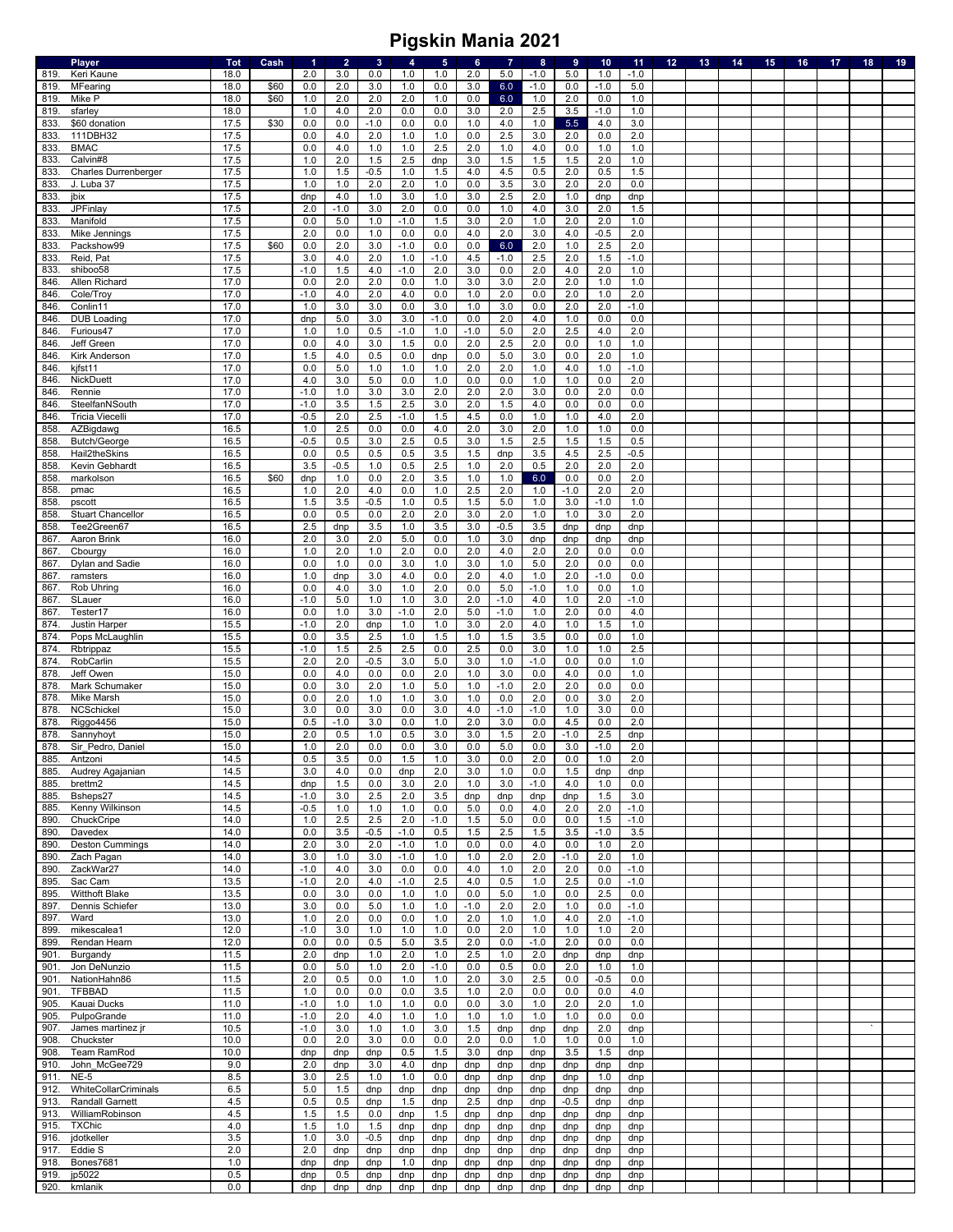|              | Player                                    | <b>Tot</b>   | Cash | $\blacktriangleleft$ | $\overline{2}$ | $\mathbf{3}$ | $\overline{4}$ | $5\phantom{.0}$ | $6\phantom{a}$ | $\overline{7}$ | $\bf 8$    | $\overline{9}$ | 10         | 11            | 12 <sub>2</sub> | 13 | 14 | 15 | 16 | 17 | 18 | 19 |
|--------------|-------------------------------------------|--------------|------|----------------------|----------------|--------------|----------------|-----------------|----------------|----------------|------------|----------------|------------|---------------|-----------------|----|----|----|----|----|----|----|
| 819.         | Keri Kaune                                | 18.0         |      | 2.0                  | 3.0            | 0.0          | 1.0            | 1.0             | 2.0            | 5.0            | $-1.0$     | 5.0            | 1.0        | $-1.0$        |                 |    |    |    |    |    |    |    |
| 819.         | MFearing                                  | 18.0         | \$60 | 0.0                  | 2.0            | 3.0          | 1.0            | 0.0             | 3.0            | 6.0            | $-1.0$     | 0.0            | $-1.0$     | 5.0           |                 |    |    |    |    |    |    |    |
| 819          | Mike P                                    | 18.0         | \$60 | 1.0                  | 2.0            | 2.0          | 2.0            | 1.0             | 0.0            | 6.0            | 1.0        | 2.0            | 0.0        | 1.0           |                 |    |    |    |    |    |    |    |
| 819          | sfarley                                   | 18.0         |      | 1.0                  | 4.0            | 2.0          | 0.0            | 0.0             | 3.0            | 2.0            | 2.5        | 3.5            | $-1.0$     | 1.0           |                 |    |    |    |    |    |    |    |
| 833          | \$60 donation                             | 17.5         | \$30 | 0.0                  | 0.0            | $-1.0$       | 0.0            | 0.0             | 1.0            | 4.0            | 1.0        | 5.5            | 4.0        | 3.0           |                 |    |    |    |    |    |    |    |
| 833          | 111DBH32                                  | 17.5         |      | 0.0                  | 4.0            | 2.0          | 1.0            | 1.0             | 0.0            | 2.5            | 3.0        | 2.0            | 0.0        | 2.0           |                 |    |    |    |    |    |    |    |
| 833.         | <b>BMAC</b><br>Calvin#8                   | 17.5<br>17.5 |      | 0.0<br>1.0           | 4.0<br>2.0     | 1.0<br>1.5   | 1.0<br>2.5     | 2.5             | 2.0<br>3.0     | 1.0<br>1.5     | 4.0<br>1.5 | 0.0            | 1.0<br>2.0 | 1.0           |                 |    |    |    |    |    |    |    |
| 833          |                                           |              |      |                      |                | $-0.5$       | $1.0$          | dnp             |                | 4.5            | 0.5        | 1.5<br>2.0     |            | 1.0           |                 |    |    |    |    |    |    |    |
| 833.<br>833. | <b>Charles Durrenberger</b><br>J. Luba 37 | 17.5<br>17.5 |      | 1.0<br>1.0           | 1.5<br>1.0     | 2.0          | 2.0            | 1.5<br>1.0      | 4.0<br>0.0     | 3.5            | 3.0        | 2.0            | 0.5<br>2.0 | 1.5<br>0.0    |                 |    |    |    |    |    |    |    |
| 833.         | jbix                                      | 17.5         |      | dnp                  | 4.0            | 1.0          | 3.0            | 1.0             | 3.0            | 2.5            | 2.0        | 1.0            | dnp        | dnp           |                 |    |    |    |    |    |    |    |
| 833          | JPFinlay                                  | 17.5         |      | 2.0                  | $-1.0$         | 3.0          | 2.0            | 0.0             | 0.0            | 1.0            | 4.0        | 3.0            | 2.0        | 1.5           |                 |    |    |    |    |    |    |    |
| 833.         | Manifold                                  | 17.5         |      | 0.0                  | 5.0            | 1.0          | $-1.0$         | 1.5             | 3.0            | 2.0            | 1.0        | 2.0            | 2.0        | 1.0           |                 |    |    |    |    |    |    |    |
| 833.         | Mike Jennings                             | 17.5         |      | 2.0                  | 0.0            | 1.0          | 0.0            | 0.0             | 4.0            | 2.0            | 3.0        | 4.0            | $-0.5$     | 2.0           |                 |    |    |    |    |    |    |    |
| 833.         | Packshow99                                | 17.5         | \$60 | 0.0                  | 2.0            | 3.0          | $-1.0$         | 0.0             | 0.0            | 6.0            | 2.0        | 1.0            | 2.5        | 2.0           |                 |    |    |    |    |    |    |    |
| 833.         | Reid, Pat                                 | 17.5         |      | 3.0                  | 4.0            | 2.0          | 1.0            | $-1.0$          | 4.5            | $-1.0$         | 2.5        | 2.0            | 1.5        | $-1.0$        |                 |    |    |    |    |    |    |    |
| 833.         | shiboo58                                  | 17.5         |      | $-1.0$               | 1.5            | 4.0          | $-1.0$         | 2.0             | 3.0            | $0.0\,$        | 2.0        | 4.0            | 2.0        | 1.0           |                 |    |    |    |    |    |    |    |
| 846          | Allen Richard                             | 17.0         |      | 0.0                  | 2.0            | 2.0          | 0.0            | 1.0             | 3.0            | 3.0            | 2.0        | 2.0            | 1.0        | 1.0           |                 |    |    |    |    |    |    |    |
| 846.         | Cole/Troy                                 | 17.0         |      | $-1.0$               | 4.0            | 2.0          | 4.0            | 0.0             | 1.0            | 2.0            | 0.0        | 2.0            | 1.0        | 2.0           |                 |    |    |    |    |    |    |    |
| 846.         | Conlin11                                  | 17.0         |      | 1.0                  | 3.0            | 3.0          | 0.0            | 3.0             | 1.0            | 3.0            | $0.0\,$    | 2.0            | 2.0        | $-1.0$        |                 |    |    |    |    |    |    |    |
| 846          | <b>DUB Loading</b>                        | 17.0         |      | dnp                  | 5.0            | 3.0          | 3.0            | $-1.0$          | 0.0            | 2.0            | 4.0        | 1.0            | 0.0        | 0.0           |                 |    |    |    |    |    |    |    |
| 846          | Furious47                                 | 17.0         |      | 1.0                  | 1.0            | 0.5          | $-1.0$         | 1.0             | $-1.0$         | 5.0            | 2.0        | 2.5            | 4.0        | 2.0           |                 |    |    |    |    |    |    |    |
| 846.         | Jeff Green                                | 17.0         |      | 0.0                  | 4.0            | 3.0          | 1.5            | 0.0             | 2.0            | 2.5            | 2.0        | 0.0            | 1.0        | 1.0           |                 |    |    |    |    |    |    |    |
| 846          | Kirk Anderson                             | 17.0         |      | 1.5                  | 4.0            | 0.5          | 0.0            | dnp             | 0.0            | 5.0            | 3.0        | 0.0            | 2.0        | 1.0           |                 |    |    |    |    |    |    |    |
| 846          | kjfst11                                   | 17.0         |      | 0.0                  | 5.0            | 1.0          | 1.0            | 1.0             | 2.0            | 2.0            | 1.0        | 4.0            | 1.0        | $-1.0$        |                 |    |    |    |    |    |    |    |
| 846          | NickDuett                                 | 17.0         |      | 4.0                  | 3.0            | 5.0          | 0.0            | 1.0             | 0.0            | 0.0            | 1.0        | 1.0            | 0.0        | 2.0           |                 |    |    |    |    |    |    |    |
| 846.         | Rennie                                    | 17.0         |      | $-1.0$               | 1.0            | 3.0          | 3.0            | 2.0             | 2.0            | 2.0            | 3.0        | 0.0            | 2.0        | 0.0           |                 |    |    |    |    |    |    |    |
| 846          | SteelfanNSouth                            | 17.0         |      | $-1.0$               | 3.5            | 1.5          | 2.5            | 3.0             | 2.0            | 1.5            | 4.0        | 0.0            | 0.0        | 0.0           |                 |    |    |    |    |    |    |    |
| 846          | <b>Tricia Viecelli</b>                    | 17.0         |      | $-0.5$               | 2.0            | 2.5          | $-1.0$         | 1.5             | 4.5            | 0.0            | 1.0        | 1.0            | 4.0        | 2.0           |                 |    |    |    |    |    |    |    |
| 858          | AZBigdawg                                 | 16.5         |      | 1.0                  | 2.5            | 0.0          | 0.0            | $4.0$           | 2.0            | 3.0            | 2.0        | 1.0            | 1.0        | 0.0           |                 |    |    |    |    |    |    |    |
| 858          | <b>Butch/George</b>                       | 16.5         |      | $-0.5$               | 0.5            | 3.0          | 2.5            | 0.5             | 3.0            | 1.5            | 2.5        | 1.5            | 1.5        | 0.5           |                 |    |    |    |    |    |    |    |
| 858          | Hail2theSkins                             | 16.5         |      | 0.0                  | 0.5            | 0.5          | 0.5            | 3.5             | 1.5            | dnp            | 3.5        | 4.5            | 2.5        | $-0.5$        |                 |    |    |    |    |    |    |    |
| 858          | Kevin Gebhardt                            | 16.5         |      | 3.5                  | $-0.5$         | 1.0          | 0.5            | 2.5             | 1.0            | 2.0            | 0.5        | 2.0            | 2.0        | 2.0           |                 |    |    |    |    |    |    |    |
| 858          | markolson                                 | 16.5         | \$60 | dnp                  | 1.0            | 0.0          | 2.0            | 3.5             | 1.0            | 1.0            | 6.0        | 0.0            | 0.0        | 2.0           |                 |    |    |    |    |    |    |    |
| 858          | pmac                                      | 16.5         |      | 1.0                  | 2.0            | 4.0          | 0.0            | 1.0             | 2.5            | 2.0            | 1.0        | $-1.0$         | 2.0        | 2.0           |                 |    |    |    |    |    |    |    |
| 858          | pscott                                    | 16.5         |      | 1.5                  | 3.5            | $-0.5$       | 1.0            | 0.5             | 1.5            | 5.0            | 1.0        | 3.0            | $-1.0$     | 1.0           |                 |    |    |    |    |    |    |    |
| 858          | <b>Stuart Chancellor</b>                  | 16.5         |      | 0.0                  | 0.5            | 0.0          | 2.0            | 2.0             | 3.0            | 2.0            | 1.0        | 1.0            | 3.0        | 2.0           |                 |    |    |    |    |    |    |    |
| 858          | Tee2Green67                               | 16.5         |      | 2.5                  | dnp            | 3.5          | 1.0            | 3.5             | 3.0            | $-0.5$         | 3.5        | dnp            | dnp        | dnp           |                 |    |    |    |    |    |    |    |
| 867.         | Aaron Brink                               | 16.0         |      | 2.0                  | 3.0            | 2.0          | 5.0<br>2.0     | 0.0             | 1.0<br>2.0     | 3.0<br>4.0     | dnp        | dnp            | dnp        | dnp           |                 |    |    |    |    |    |    |    |
| 867.<br>867  | Cbourgy<br>Dylan and Sadie                | 16.0<br>16.0 |      | 1.0<br>0.0           | 2.0<br>1.0     | 1.0<br>0.0   | 3.0            | 0.0<br>1.0      | 3.0            | 1.0            | 2.0<br>5.0 | 2.0<br>2.0     | 0.0<br>0.0 | 0.0<br>0.0    |                 |    |    |    |    |    |    |    |
| 867          | ramsters                                  | 16.0         |      | 1.0                  | dnp            | 3.0          | 4.0            | 0.0             | 2.0            | 4.0            | 1.0        | 2.0            | $-1.0$     | 0.0           |                 |    |    |    |    |    |    |    |
| 867.         | Rob Uhring                                | 16.0         |      | 0.0                  | 4.0            | 3.0          | 1.0            | 2.0             | 0.0            | $5.0\,$        | $-1.0$     | 1.0            | 0.0        | 1.0           |                 |    |    |    |    |    |    |    |
| 867          | SLauer                                    | 16.0         |      | $-1.0$               | 5.0            | 1.0          | 1.0            | 3.0             | 2.0            | $-1.0$         | 4.0        | 1.0            | 2.0        | $-1.0$        |                 |    |    |    |    |    |    |    |
| 867          | Tester17                                  | 16.0         |      | 0.0                  | 1.0            | 3.0          | $-1.0$         | 2.0             | 5.0            | $-1.0$         | 1.0        | 2.0            | 0.0        | 4.0           |                 |    |    |    |    |    |    |    |
| 874.         | Justin Harper                             | 15.5         |      | $-1.0$               | 2.0            | dnp          | 1.0            | 1.0             | 3.0            | 2.0            | 4.0        | 1.0            | 1.5        | 1.0           |                 |    |    |    |    |    |    |    |
| 874.         | Pops McLaughlin                           | 15.5         |      | 0.0                  | 3.5            | 2.5          | 1.0            | 1.5             | 1.0            | 1.5            | 3.5        | 0.0            | 0.0        | 1.0           |                 |    |    |    |    |    |    |    |
| 874          | Rbtrippaz                                 | 15.5         |      | $-1.0$               | 1.5            | 2.5          | 2.5            | 0.0             | 2.5            | 0.0            | 3.0        | 1.0            | 1.0        | 2.5           |                 |    |    |    |    |    |    |    |
| 874.         | RobCarlin                                 | 15.5         |      | 2.0                  | 2.0            | $-0.5$       | 3.0            | 5.0             | 3.0            | 1.0            | $-1.0$     | 0.0            | 0.0        | 1.0           |                 |    |    |    |    |    |    |    |
| 878          | Jeff Owen                                 | 15.0         |      | 0.0                  | 4.0            | 0.0          | 0.0            | 2.0             | 1.0            | 3.0            | $0.0\,$    | 4.0            | 0.0        | 1.0           |                 |    |    |    |    |    |    |    |
| 878.         | Mark Schumaker                            | 15.0         |      | 0.0                  | 3.0            | 2.0          | 1.0            | 5.0             | 1.0            | $-1.0$         | 2.0        | 2.0            | 0.0        | 0.0           |                 |    |    |    |    |    |    |    |
| 878.         | Mike Marsh                                | 15.0         |      | 0.0                  | 2.0            | 1.0          | 1.0            | 3.0             | 1.0            | 0.0            | 2.0        | 0.0            | 3.0        | 2.0           |                 |    |    |    |    |    |    |    |
| 878.         | NCSchickel                                | 15.0         |      | 3.0                  | 0.0            | 3.0          | 0.0            | 3.0             | 4.0            | $-1.0$         | $-1.0$     | 1.0            | 3.0        | 0.0           |                 |    |    |    |    |    |    |    |
| 878          | Riggo4456                                 | 15.0         |      | 0.5                  | $-1.0$         | 3.0          | 0.0            | 1.0             | 2.0            | 3.0            | 0.0        | 4.5            | 0.0        | 2.0           |                 |    |    |    |    |    |    |    |
| 878.         | Sannyhoyt                                 | 15.0         |      | 2.0                  | 0.5            | 1.0          | 0.5            | 3.0             | 3.0            | 1.5            | 2.0        | $-1.0$         | 2.5        | dnp           |                 |    |    |    |    |    |    |    |
| 878.         | Sir Pedro, Daniel                         | 15.0         |      | 1.0                  | 2.0            | 0.0          | 0.0            | 3.0             | 0.0            | 5.0            | 0.0        | 3.0            | $-1.0$     | 2.0           |                 |    |    |    |    |    |    |    |
| 885.         | Antzoni                                   | 14.5         |      | 0.5                  | 3.5            | 0.0          | 1.5            | 1.0             | 3.0            | 0.0            | 2.0        | 0.0            | 1.0        | 2.0           |                 |    |    |    |    |    |    |    |
| 885.         | Audrey Agajanian                          | 14.5         |      | 3.0                  | 4.0            | 0.0          | dnp            | 2.0             | 3.0            | 1.0            | 0.0        | 1.5            | dnp        | dnp           |                 |    |    |    |    |    |    |    |
| 885.         | brettm2                                   | 14.5         |      | dnp                  | 1.5            | 0.0          | 3.0            | 2.0             | 1.0            | 3.0            | $-1.0$     | 4.0            | 1.0        | 0.0           |                 |    |    |    |    |    |    |    |
| 885.         | Bsheps27                                  | 14.5         |      | $-1.0$               | 3.0            | 2.5          | 2.0            | 3.5             | dnp            | dnp            | dnp        | dnp            | 1.5        | 3.0           |                 |    |    |    |    |    |    |    |
| 885.         | Kenny Wilkinson                           | 14.5         |      | $-0.5$               | 1.0            | 1.0          | 1.0            | 0.0             | 5.0            | 0.0            | 4.0        | 2.0            | 2.0        | $-1.0$        |                 |    |    |    |    |    |    |    |
| 890          | ChuckCripe                                | 14.0         |      | 1.0                  | 2.5            | 2.5          | 2.0            | $-1.0$          | 1.5            | 5.0            | 0.0        | 0.0            | 1.5        | $-1.0$        |                 |    |    |    |    |    |    |    |
| 890.         | Davedex                                   | 14.0         |      | 0.0                  | 3.5            | $-0.5$       | $-1.0$         | 0.5             | 1.5            | 2.5            | 1.5        | 3.5            | $-1.0$     | 3.5           |                 |    |    |    |    |    |    |    |
| 890.         | <b>Deston Cummings</b>                    | 14.0         |      | 2.0                  | 3.0            | 2.0          | $-1.0$         | 1.0             | 0.0            | 0.0            | 4.0        | 0.0            | 1.0        | 2.0           |                 |    |    |    |    |    |    |    |
| 890.<br>890  | Zach Pagan<br>ZackWar27                   | 14.0<br>14.0 |      | 3.0<br>$-1.0$        | 1.0<br>4.0     | 3.0<br>3.0   | $-1.0$<br>0.0  | 1.0<br>0.0      | 1.0<br>4.0     | 2.0<br>1.0     | 2.0<br>2.0 | $-1.0$<br>2.0  | 2.0<br>0.0 | 1.0<br>$-1.0$ |                 |    |    |    |    |    |    |    |
| 895.         | Sac Cam                                   | 13.5         |      | $-1.0$               | 2.0            | 4.0          | $-1.0$         | 2.5             | 4.0            | 0.5            | 1.0        | 2.5            | 0.0        | $-1.0$        |                 |    |    |    |    |    |    |    |
| 895.         | Witthoft Blake                            | 13.5         |      | 0.0                  | 3.0            | 0.0          | 1.0            | 1.0             | 0.0            | 5.0            | 1.0        | 0.0            | 2.5        | 0.0           |                 |    |    |    |    |    |    |    |
| 897.         | Dennis Schiefer                           | 13.0         |      | 3.0                  | 0.0            | 5.0          | 1.0            | 1.0             | $-1.0$         | 2.0            | 2.0        | 1.0            | 0.0        | $-1.0$        |                 |    |    |    |    |    |    |    |
| 897.         | Ward                                      | 13.0         |      | 1.0                  | 2.0            | 0.0          | 0.0            | 1.0             | 2.0            | 1.0            | 1.0        | 4.0            | 2.0        | $-1.0$        |                 |    |    |    |    |    |    |    |
| 899.         | mikescalea1                               | 12.0         |      | $-1.0$               | 3.0            | 1.0          | 1.0            | 1.0             | 0.0            | 2.0            | 1.0        | 1.0            | 1.0        | 2.0           |                 |    |    |    |    |    |    |    |
| 899.         | Rendan Hearn                              | 12.0         |      | 0.0                  | 0.0            | 0.5          | 5.0            | 3.5             | 2.0            | 0.0            | $-1.0$     | 2.0            | 0.0        | 0.0           |                 |    |    |    |    |    |    |    |
| 901.         | Burgandy                                  | 11.5         |      | 2.0                  | dnp            | 1.0          | 2.0            | 1.0             | 2.5            | 1.0            | 2.0        | dnp            | dnp        | dnp           |                 |    |    |    |    |    |    |    |
| 901.         | Jon DeNunzio                              | 11.5         |      | 0.0                  | 5.0            | 1.0          | 2.0            | $-1.0$          | 0.0            | 0.5            | $0.0\,$    | 2.0            | 1.0        | 1.0           |                 |    |    |    |    |    |    |    |
| 901.         | NationHahn86                              | 11.5         |      | 2.0                  | 0.5            | 0.0          | 1.0            | 1.0             | 2.0            | 3.0            | 2.5        | 0.0            | -0.5       | 0.0           |                 |    |    |    |    |    |    |    |
| 901.         | <b>TFBBAD</b>                             | 11.5         |      | 1.0                  | 0.0            | 0.0          | 0.0            | $3.5\,$         | 1.0            | 2.0            | 0.0        | 0.0            | 0.0        | 4.0           |                 |    |    |    |    |    |    |    |
| 905.         | Kauai Ducks                               | 11.0         |      | $-1.0$               | 1.0            | 1.0          | 1.0            | 0.0             | 0.0            | 3.0            | 1.0        | 2.0            | 2.0        | 1.0           |                 |    |    |    |    |    |    |    |
| 905.         | PulpoGrande                               | 11.0         |      | $-1.0$               | 2.0            | 4.0          | 1.0            | 1.0             | 1.0            | 1.0            | 1.0        | 1.0            | 0.0        | 0.0           |                 |    |    |    |    |    |    |    |
| 907.         | James martinez jr                         | 10.5         |      | $-1.0$               | 3.0            | 1.0          | 1.0            | 3.0             | 1.5            | dnp            | dnp        | dnp            | 2.0        | dnp           |                 |    |    |    |    |    |    |    |
| 908.         | Chuckster                                 | 10.0         |      | 0.0                  | 2.0            | 3.0          | 0.0            | 0.0             | 2.0            | 0.0            | 1.0        | 1.0            | 0.0        | 1.0           |                 |    |    |    |    |    |    |    |
| 908.         | Team RamRod                               | 10.0         |      | dnp                  | dnp            | dnp          | 0.5            | 1.5             | 3.0            | dnp            | dnp        | 3.5            | 1.5        | dnp           |                 |    |    |    |    |    |    |    |
| 910.         | John McGee729                             | 9.0          |      | 2.0                  | dnp            | 3.0          | 4.0            | dnp             | dnp            | dnp            | dnp        | dnp            | dnp        | dnp           |                 |    |    |    |    |    |    |    |
| 911          | $NE-5$                                    | 8.5          |      | 3.0                  | 2.5            | 1.0          | 1.0            | 0.0             | dnp            | dnp            | dnp        | dnp            | 1.0        | dnp           |                 |    |    |    |    |    |    |    |
| 912.         | WhiteCollarCriminals                      | 6.5          |      | 5.0                  | 1.5            | dnp          | dnp            | dnp             | dnp            | dnp            | dnp        | dnp            | dnp        | dnp           |                 |    |    |    |    |    |    |    |
| 913.         | Randall Garnett                           | 4.5          |      | 0.5                  | 0.5            | dnp          | 1.5            | dnp             | 2.5            | dnp            | dnp        | $-0.5$         | dnp        | dnp           |                 |    |    |    |    |    |    |    |
| 913.         | WilliamRobinson                           | 4.5          |      | 1.5                  | 1.5            | 0.0          | dnp            | 1.5             | dnp            | dnp            | dnp        | dnp            | dnp        | dnp           |                 |    |    |    |    |    |    |    |
| 915.         | <b>TXChic</b>                             | 4.0          |      | 1.5                  | 1.0            | 1.5          | dnp            | dnp             | dnp            | dnp            | dnp        | dnp            | dnp        | dnp           |                 |    |    |    |    |    |    |    |
| 916.         | jdotkeller                                | 3.5          |      | 1.0                  | 3.0            | $-0.5$       | dnp            | dnp             | dnp            | dnp            | dnp        | dnp            | dnp        | dnp           |                 |    |    |    |    |    |    |    |
| 917.         | Eddie S                                   | 2.0          |      | 2.0                  | dnp            | dnp          | dnp            | dnp             | dnp            | dnp            | dnp        | dnp            | dnp        | dnp           |                 |    |    |    |    |    |    |    |
| 918.         | Bones7681                                 | 1.0          |      | dnp                  | dnp            | dnp          | 1.0            | dnp             | dnp            | dnp            | dnp        | dnp            | dnp        | dnp           |                 |    |    |    |    |    |    |    |
| 919.<br>920. | jp5022<br>kmlanik                         | 0.5<br>0.0   |      | dnp<br>dnp           | 0.5<br>dnp     | dnp<br>dnp   | dnp<br>dnp     | dnp<br>dnp      | dnp<br>dnp     | dnp<br>dnp     | dnp<br>dnp | dnp<br>dnp     | dnp<br>dnp | dnp<br>dnp    |                 |    |    |    |    |    |    |    |
|              |                                           |              |      |                      |                |              |                |                 |                |                |            |                |            |               |                 |    |    |    |    |    |    |    |